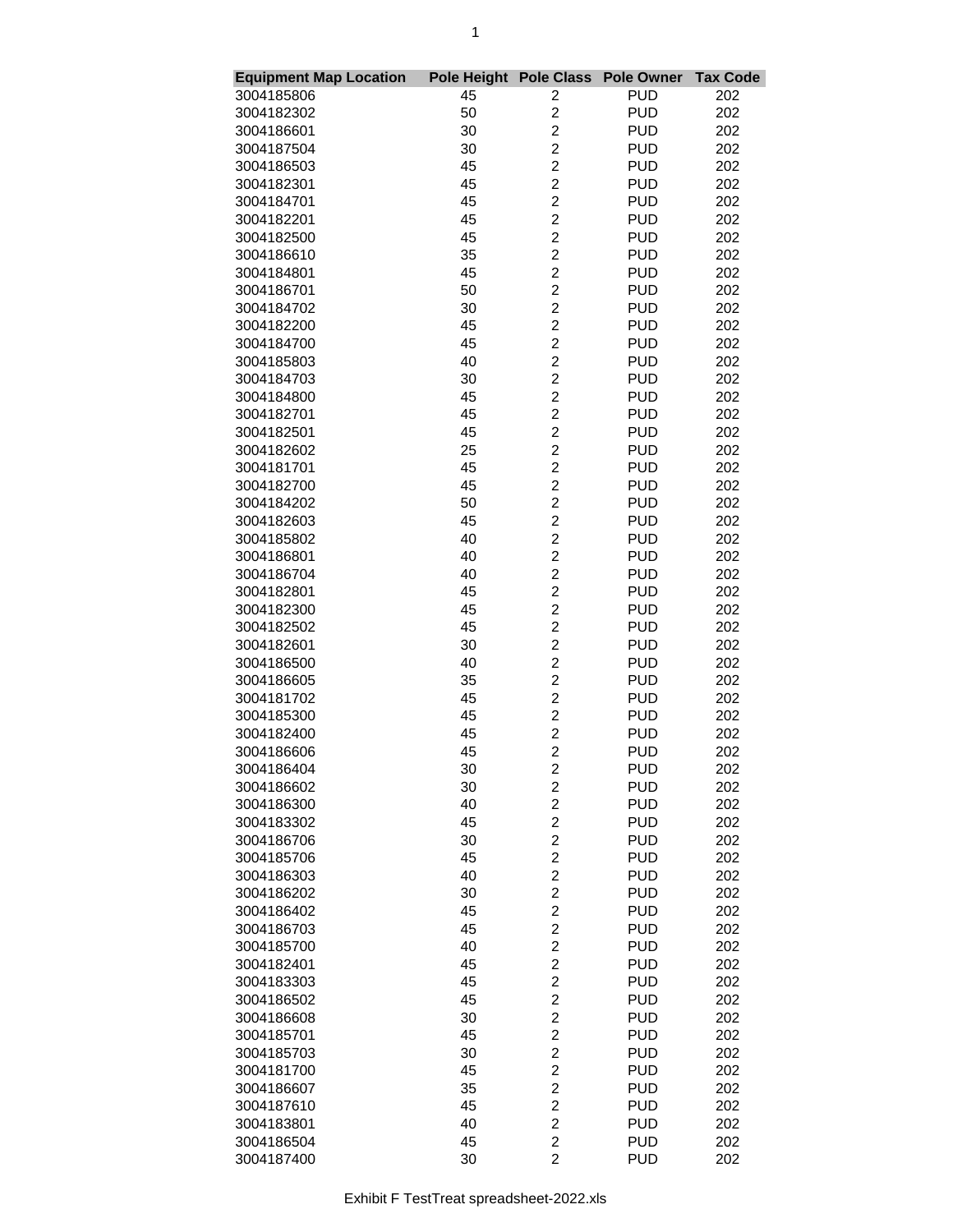| <b>Equipment Map Location</b> | Pole Height Pole Class |                                           | <b>Pole Owner</b> | <b>Tax Code</b> |
|-------------------------------|------------------------|-------------------------------------------|-------------------|-----------------|
| 3004185806                    | 45                     | 2                                         | <b>PUD</b>        | 202             |
| 3004182302                    | 50                     | $\overline{c}$                            | <b>PUD</b>        | 202             |
| 3004186601                    | 30                     | $\overline{2}$                            | <b>PUD</b>        | 202             |
| 3004187504                    | 30                     | $\overline{c}$                            | <b>PUD</b>        | 202             |
| 3004186503                    | 45                     | $\overline{\mathbf{c}}$                   | <b>PUD</b>        | 202             |
| 3004182301                    | 45                     | $\overline{\mathbf{c}}$                   | <b>PUD</b>        | 202             |
| 3004184701                    | 45                     | $\overline{2}$                            | <b>PUD</b>        | 202             |
| 3004182201                    | 45                     | $\overline{2}$                            | <b>PUD</b>        | 202             |
| 3004182500                    | 45                     | $\overline{c}$                            | <b>PUD</b>        | 202             |
| 3004186610                    | 35                     | $\overline{c}$                            | <b>PUD</b>        | 202             |
| 3004184801                    | 45                     | $\overline{\mathbf{c}}$                   | <b>PUD</b>        | 202             |
| 3004186701                    | 50                     | $\overline{c}$                            | <b>PUD</b>        | 202             |
| 3004184702                    | 30                     | $\overline{c}$                            | <b>PUD</b>        | 202             |
| 3004182200                    | 45                     | $\overline{\mathbf{c}}$                   | <b>PUD</b>        | 202             |
| 3004184700                    | 45                     | $\overline{\mathbf{c}}$                   | <b>PUD</b>        | 202             |
| 3004185803                    | 40                     | $\overline{\mathbf{c}}$                   | <b>PUD</b>        | 202             |
| 3004184703                    | 30                     | $\overline{2}$                            | <b>PUD</b>        | 202             |
| 3004184800                    | 45                     | $\overline{2}$                            | <b>PUD</b>        | 202             |
| 3004182701                    | 45                     | $\overline{c}$                            | <b>PUD</b>        | 202             |
| 3004182501                    | 45                     | $\overline{c}$                            | <b>PUD</b>        | 202             |
| 3004182602                    | 25                     | $\overline{\mathbf{c}}$                   | <b>PUD</b>        | 202             |
| 3004181701                    | 45                     | $\overline{c}$                            | <b>PUD</b>        | 202             |
| 3004182700                    | 45                     | $\overline{c}$                            | <b>PUD</b>        | 202             |
|                               |                        | $\overline{2}$                            |                   |                 |
| 3004184202                    | 50                     |                                           | <b>PUD</b>        | 202             |
| 3004182603                    | 45                     | $\overline{\mathbf{c}}$                   | <b>PUD</b>        | 202             |
| 3004185802                    | 40                     | $\overline{\mathbf{c}}$<br>$\overline{2}$ | <b>PUD</b>        | 202             |
| 3004186801                    | 40                     |                                           | <b>PUD</b>        | 202             |
| 3004186704                    | 40                     | $\overline{2}$                            | <b>PUD</b>        | 202             |
| 3004182801                    | 45                     | $\overline{2}$                            | <b>PUD</b>        | 202             |
| 3004182300                    | 45                     | $\overline{c}$                            | <b>PUD</b>        | 202             |
| 3004182502                    | 45                     | $\overline{\mathbf{c}}$                   | <b>PUD</b>        | 202             |
| 3004182601                    | 30                     | $\overline{c}$                            | <b>PUD</b>        | 202             |
| 3004186500                    | 40                     | $\overline{c}$                            | <b>PUD</b>        | 202             |
| 3004186605                    | 35                     | $\overline{\mathbf{c}}$                   | <b>PUD</b>        | 202             |
| 3004181702                    | 45                     | $\overline{\mathbf{c}}$                   | <b>PUD</b>        | 202             |
| 3004185300                    | 45                     | $\overline{\mathbf{c}}$                   | <b>PUD</b>        | 202             |
| 3004182400                    | 45                     | $\overline{2}$                            | <b>PUD</b>        | 202             |
| 3004186606                    | 45                     | $\overline{2}$                            | <b>PUD</b>        | 202             |
| 3004186404                    | 30                     | $\overline{\mathbf{c}}$                   | <b>PUD</b>        | 202             |
| 3004186602                    | 30                     | $\overline{\mathbf{c}}$                   | <b>PUD</b>        | 202             |
| 3004186300                    | 40                     | $\overline{\mathbf{c}}$                   | <b>PUD</b>        | 202             |
| 3004183302                    | 45                     | $\overline{\mathbf{c}}$                   | <b>PUD</b>        | 202             |
| 3004186706                    | 30                     | $\overline{c}$                            | <b>PUD</b>        | 202             |
| 3004185706                    | 45                     | $\overline{\mathbf{c}}$                   | <b>PUD</b>        | 202             |
| 3004186303                    | 40                     | $\overline{\mathbf{c}}$                   | <b>PUD</b>        | 202             |
| 3004186202                    | 30                     | $\overline{c}$                            | <b>PUD</b>        | 202             |
| 3004186402                    | 45                     | $\overline{c}$                            | <b>PUD</b>        | 202             |
| 3004186703                    | 45                     | $\overline{2}$                            | <b>PUD</b>        | 202             |
| 3004185700                    | 40                     | $\overline{2}$                            | <b>PUD</b>        | 202             |
| 3004182401                    | 45                     | $\overline{c}$                            | <b>PUD</b>        | 202             |
| 3004183303                    | 45                     | $\overline{\mathbf{c}}$                   | <b>PUD</b>        | 202             |
| 3004186502                    | 45                     | $\overline{c}$                            | <b>PUD</b>        | 202             |
| 3004186608                    | 30                     | $\overline{c}$                            | <b>PUD</b>        | 202             |
| 3004185701                    | 45                     | $\overline{\mathbf{c}}$                   | <b>PUD</b>        | 202             |
| 3004185703                    | 30                     | $\overline{\mathbf{c}}$                   | <b>PUD</b>        | 202             |
| 3004181700                    | 45                     | $\overline{c}$                            | <b>PUD</b>        | 202             |
| 3004186607                    | 35                     | $\overline{c}$                            | <b>PUD</b>        | 202             |
| 3004187610                    | 45                     | $\overline{2}$                            | <b>PUD</b>        | 202             |
| 3004183801                    | 40                     | $\overline{2}$                            | <b>PUD</b>        | 202             |
| 3004186504                    | 45                     | $\overline{\mathbf{c}}$                   | <b>PUD</b>        | 202             |
| 3004187400                    | 30                     | $\overline{2}$                            | <b>PUD</b>        | 202             |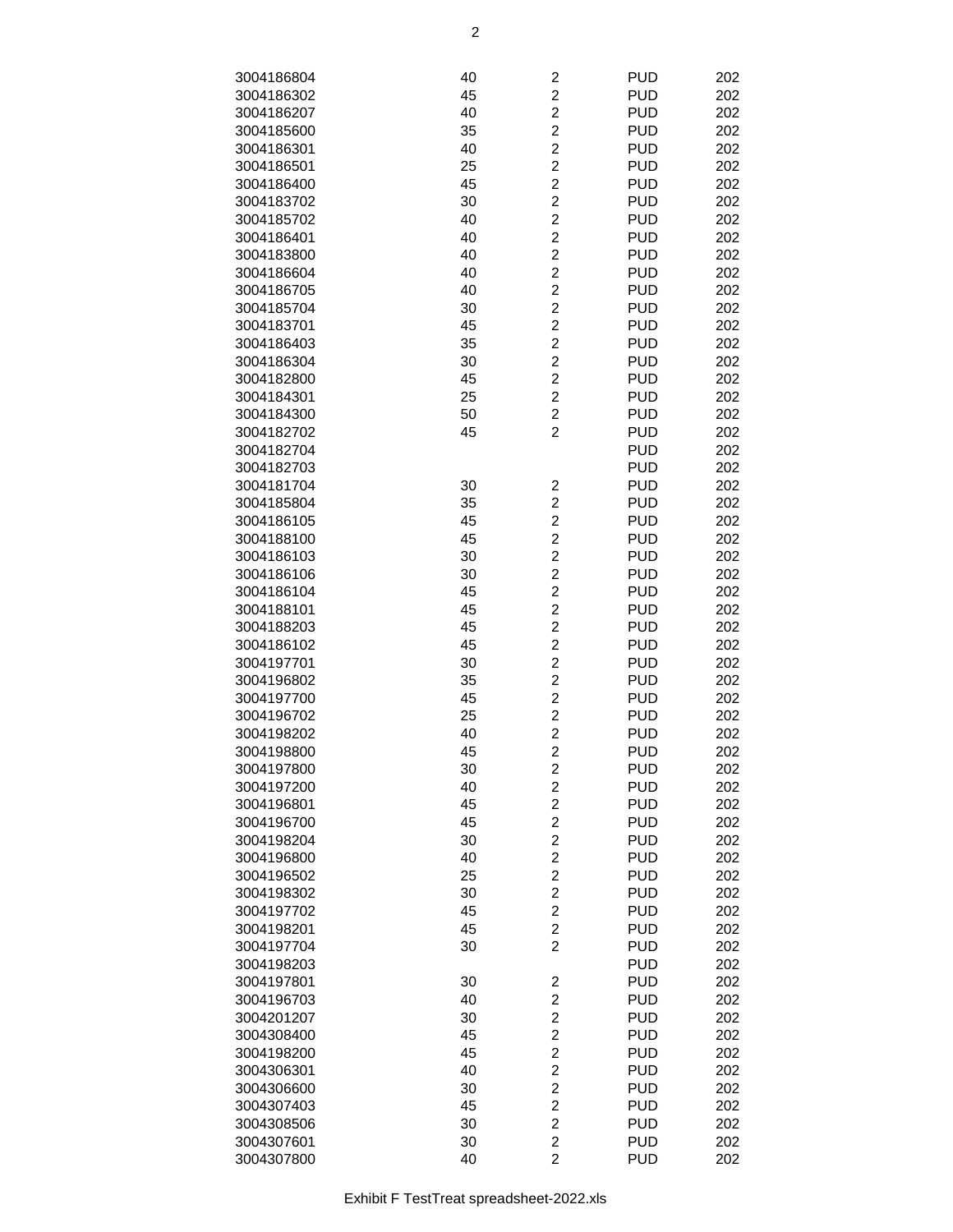| 3004186804 | 40 | $\overline{\mathbf{c}}$ | <b>PUD</b> | 202 |
|------------|----|-------------------------|------------|-----|
| 3004186302 | 45 | $\overline{c}$          | <b>PUD</b> | 202 |
|            |    | $\overline{c}$          |            |     |
| 3004186207 | 40 |                         | <b>PUD</b> | 202 |
| 3004185600 | 35 | $\overline{\mathbf{c}}$ | <b>PUD</b> | 202 |
| 3004186301 | 40 | $\overline{\mathbf{c}}$ | <b>PUD</b> | 202 |
| 3004186501 | 25 | $\overline{c}$          | <b>PUD</b> | 202 |
| 3004186400 | 45 | $\overline{c}$          | <b>PUD</b> | 202 |
| 3004183702 | 30 | $\overline{\mathbf{c}}$ | <b>PUD</b> | 202 |
| 3004185702 | 40 | $\overline{\mathbf{c}}$ | <b>PUD</b> | 202 |
| 3004186401 | 40 | $\overline{c}$          | <b>PUD</b> | 202 |
| 3004183800 | 40 | $\overline{c}$          | <b>PUD</b> | 202 |
| 3004186604 | 40 | $\overline{2}$          | <b>PUD</b> | 202 |
| 3004186705 | 40 | $\overline{c}$          | <b>PUD</b> | 202 |
| 3004185704 | 30 | $\overline{\mathbf{c}}$ | <b>PUD</b> | 202 |
| 3004183701 | 45 | $\overline{c}$          | <b>PUD</b> | 202 |
| 3004186403 | 35 | $\overline{c}$          | <b>PUD</b> | 202 |
|            |    | $\overline{c}$          | <b>PUD</b> |     |
| 3004186304 | 30 |                         |            | 202 |
| 3004182800 | 45 | $\overline{\mathbf{c}}$ | <b>PUD</b> | 202 |
| 3004184301 | 25 | $\overline{\mathbf{c}}$ | <b>PUD</b> | 202 |
| 3004184300 | 50 | $\overline{c}$          | <b>PUD</b> | 202 |
| 3004182702 | 45 | $\overline{2}$          | <b>PUD</b> | 202 |
| 3004182704 |    |                         | <b>PUD</b> | 202 |
| 3004182703 |    |                         | <b>PUD</b> | 202 |
| 3004181704 | 30 | 2                       | <b>PUD</b> | 202 |
| 3004185804 | 35 | $\overline{c}$          | <b>PUD</b> | 202 |
| 3004186105 | 45 | $\overline{c}$          | <b>PUD</b> | 202 |
| 3004188100 | 45 | $\overline{c}$          | <b>PUD</b> | 202 |
| 3004186103 | 30 | $\overline{\mathbf{c}}$ | <b>PUD</b> | 202 |
| 3004186106 | 30 | $\overline{\mathbf{c}}$ | <b>PUD</b> | 202 |
| 3004186104 | 45 | $\overline{c}$          | <b>PUD</b> | 202 |
|            |    |                         |            |     |
| 3004188101 | 45 | $\overline{c}$          | <b>PUD</b> | 202 |
| 3004188203 | 45 | $\overline{2}$          | <b>PUD</b> | 202 |
| 3004186102 | 45 | $\overline{\mathbf{c}}$ | <b>PUD</b> | 202 |
| 3004197701 | 30 | $\overline{\mathbf{c}}$ | <b>PUD</b> | 202 |
| 3004196802 | 35 | $\overline{c}$          | <b>PUD</b> | 202 |
| 3004197700 | 45 | $\overline{c}$          | <b>PUD</b> | 202 |
| 3004196702 | 25 | $\overline{c}$          | <b>PUD</b> | 202 |
| 3004198202 | 40 | $\overline{c}$          | <b>PUD</b> | 202 |
| 3004198800 | 45 | $\overline{c}$          | <b>PUD</b> | 202 |
| 3004197800 | 30 | $\overline{\mathbf{c}}$ | <b>PUD</b> | 202 |
| 3004197200 | 40 | $\overline{c}$          | <b>PUD</b> | 202 |
| 3004196801 | 45 | $\overline{2}$          | <b>PUD</b> | 202 |
| 3004196700 | 45 | $\overline{\mathbf{c}}$ | <b>PUD</b> | 202 |
| 3004198204 | 30 | $\overline{\mathbf{c}}$ | <b>PUD</b> | 202 |
|            |    | $\overline{c}$          | <b>PUD</b> | 202 |
| 3004196800 | 40 |                         |            |     |
| 3004196502 | 25 | $\overline{c}$          | <b>PUD</b> | 202 |
| 3004198302 | 30 | $\overline{c}$          | <b>PUD</b> | 202 |
| 3004197702 | 45 | $\overline{\mathbf{c}}$ | <b>PUD</b> | 202 |
| 3004198201 | 45 | $\overline{\mathbf{c}}$ | <b>PUD</b> | 202 |
| 3004197704 | 30 | $\overline{2}$          | <b>PUD</b> | 202 |
| 3004198203 |    |                         | <b>PUD</b> | 202 |
| 3004197801 | 30 | $\overline{\mathbf{c}}$ | <b>PUD</b> | 202 |
| 3004196703 | 40 | $\overline{\mathbf{c}}$ | <b>PUD</b> | 202 |
| 3004201207 | 30 | $\overline{\mathbf{c}}$ | <b>PUD</b> | 202 |
| 3004308400 | 45 | $\overline{c}$          | <b>PUD</b> | 202 |
| 3004198200 | 45 | $\overline{c}$          | <b>PUD</b> | 202 |
| 3004306301 | 40 | $\overline{c}$          | <b>PUD</b> | 202 |
| 3004306600 | 30 | $\overline{\mathbf{c}}$ | <b>PUD</b> | 202 |
|            |    |                         |            |     |
| 3004307403 | 45 | $\overline{\mathbf{c}}$ | <b>PUD</b> | 202 |
| 3004308506 | 30 | $\overline{c}$          | <b>PUD</b> | 202 |
| 3004307601 | 30 | $\overline{c}$          | <b>PUD</b> | 202 |
| 3004307800 | 40 | $\overline{2}$          | <b>PUD</b> | 202 |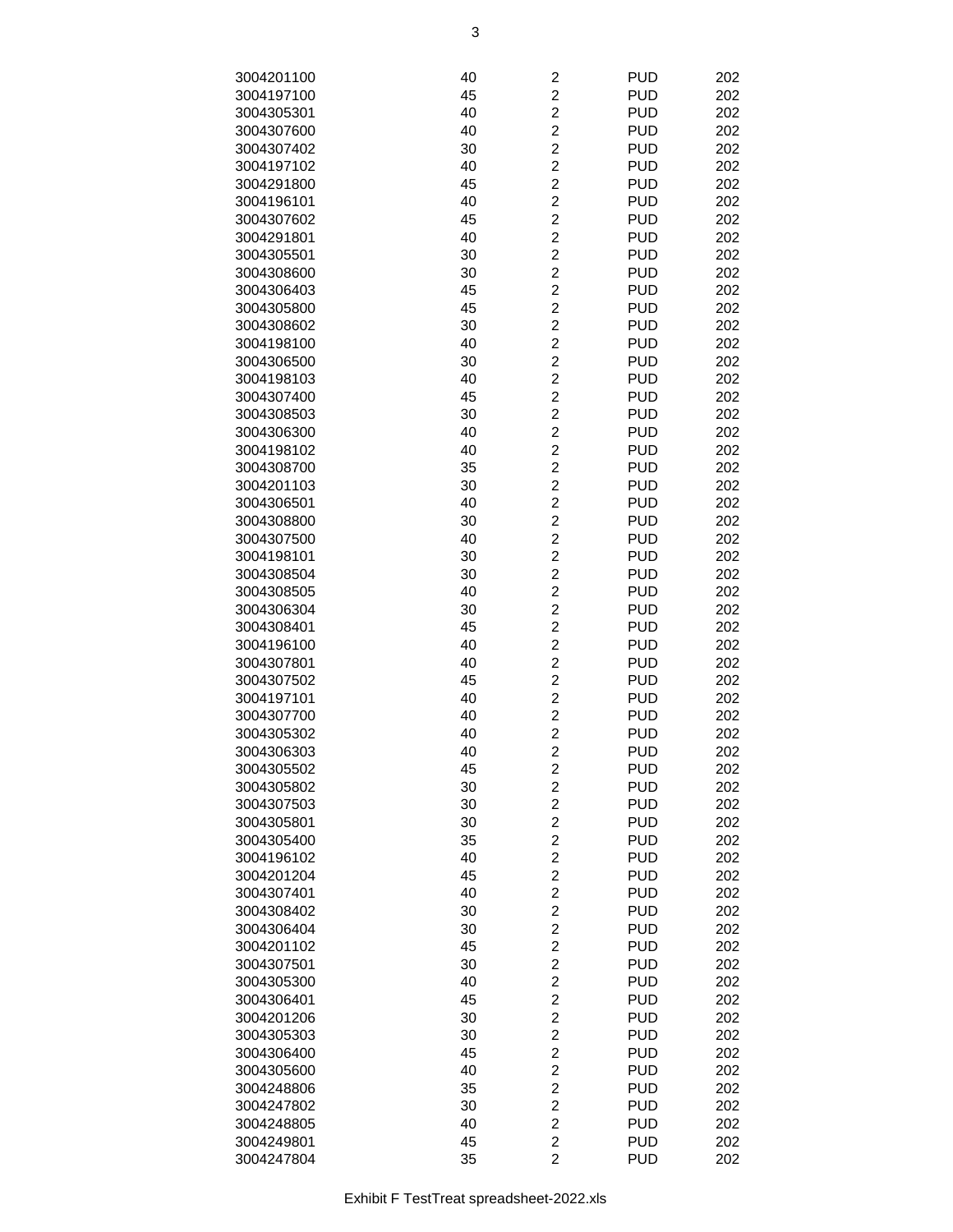| 3004201100               | 40       | $\overline{\mathbf{c}}$                   | <b>PUD</b>               | 202        |
|--------------------------|----------|-------------------------------------------|--------------------------|------------|
| 3004197100               | 45       | $\overline{\mathbf{c}}$                   | <b>PUD</b>               | 202        |
| 3004305301               | 40       | $\overline{c}$                            | <b>PUD</b>               | 202        |
| 3004307600               | 40       | $\overline{c}$                            | <b>PUD</b>               | 202        |
| 3004307402               | 30       | $\overline{c}$                            | <b>PUD</b>               | 202        |
| 3004197102               | 40       | $\overline{\mathbf{c}}$                   | <b>PUD</b>               | 202        |
| 3004291800               | 45       | $\overline{c}$                            | <b>PUD</b>               | 202        |
| 3004196101               | 40       | $\overline{c}$                            | <b>PUD</b>               | 202        |
| 3004307602               | 45       | $\overline{c}$                            | <b>PUD</b>               | 202        |
| 3004291801               | 40       | $\overline{2}$                            | <b>PUD</b>               | 202        |
| 3004305501               | 30       | $\overline{c}$                            | <b>PUD</b>               | 202        |
| 3004308600               | 30       | $\overline{c}$                            | <b>PUD</b>               | 202        |
| 3004306403               | 45       | $\overline{c}$                            | <b>PUD</b>               | 202        |
| 3004305800               | 45       | $\overline{c}$                            | <b>PUD</b>               | 202        |
| 3004308602               | 30       | $\overline{c}$                            | <b>PUD</b>               | 202        |
| 3004198100               | 40       | $\overline{c}$                            | <b>PUD</b>               | 202        |
| 3004306500               | 30       | $\overline{c}$                            | <b>PUD</b>               | 202        |
| 3004198103               | 40       | $\overline{c}$                            | <b>PUD</b>               | 202        |
| 3004307400               | 45       | $\overline{c}$                            | <b>PUD</b>               | 202        |
| 3004308503               | 30       | $\overline{c}$                            | <b>PUD</b>               | 202        |
| 3004306300               | 40       | $\overline{c}$<br>$\overline{c}$          | <b>PUD</b>               | 202        |
| 3004198102<br>3004308700 | 40<br>35 | $\overline{c}$                            | <b>PUD</b><br><b>PUD</b> | 202        |
| 3004201103               | 30       | $\overline{c}$                            | <b>PUD</b>               | 202<br>202 |
| 3004306501               | 40       | $\overline{c}$                            | <b>PUD</b>               | 202        |
| 3004308800               | 30       | $\overline{\mathbf{c}}$                   | <b>PUD</b>               | 202        |
| 3004307500               | 40       | $\overline{c}$                            | <b>PUD</b>               | 202        |
| 3004198101               | 30       | $\overline{c}$                            | <b>PUD</b>               | 202        |
| 3004308504               | 30       | $\overline{c}$                            | <b>PUD</b>               | 202        |
| 3004308505               | 40       | $\overline{2}$                            | <b>PUD</b>               | 202        |
| 3004306304               | 30       | $\overline{c}$                            | <b>PUD</b>               | 202        |
| 3004308401               | 45       | $\overline{c}$                            | <b>PUD</b>               | 202        |
| 3004196100               | 40       | $\overline{c}$                            | <b>PUD</b>               | 202        |
| 3004307801               | 40       | $\overline{c}$                            | <b>PUD</b>               | 202        |
| 3004307502               | 45       | $\overline{c}$                            | <b>PUD</b>               | 202        |
| 3004197101               | 40       | $\overline{c}$                            | <b>PUD</b>               | 202        |
| 3004307700               | 40       | $\overline{c}$                            | <b>PUD</b>               | 202        |
| 3004305302               | 40       | $\overline{2}$                            | <b>PUD</b>               | 202        |
| 3004306303               | 40       | $\overline{c}$                            | <b>PUD</b>               | 202        |
| 3004305502               | 45       | $\overline{\mathbf{c}}$                   | <b>PUD</b>               | 202        |
| 3004305802               | 30       | $\overline{\mathbf{c}}$                   | <b>PUD</b>               | 202        |
| 3004307503               | 30       | $\overline{c}$                            | <b>PUD</b>               | 202        |
| 3004305801               | 30       | $\overline{c}$                            | <b>PUD</b>               | 202        |
| 3004305400               | 35       | $\overline{c}$                            | <b>PUD</b>               | 202        |
| 3004196102               | 40       | $\overline{c}$                            | <b>PUD</b>               | 202        |
| 3004201204               | 45       | $\overline{\mathbf{c}}$                   | <b>PUD</b>               | 202        |
| 3004307401               | 40       | $\overline{\mathbf{c}}$                   | <b>PUD</b>               | 202        |
| 3004308402               | 30       | $\overline{c}$                            | <b>PUD</b>               | 202        |
| 3004306404               | 30       | $\overline{c}$                            | <b>PUD</b>               | 202        |
| 3004201102               | 45       | $\overline{c}$                            | <b>PUD</b>               | 202        |
| 3004307501               | 30       | $\overline{c}$                            | <b>PUD</b>               | 202        |
| 3004305300               | 40       | $\overline{c}$                            | <b>PUD</b>               | 202        |
| 3004306401<br>3004201206 | 45<br>30 | $\overline{c}$<br>$\overline{\mathbf{c}}$ | <b>PUD</b><br><b>PUD</b> | 202<br>202 |
| 3004305303               | 30       | $\overline{c}$                            | <b>PUD</b>               | 202        |
| 3004306400               | 45       | $\overline{\mathbf{c}}$                   | <b>PUD</b>               | 202        |
| 3004305600               | 40       | $\overline{\mathbf{c}}$                   | <b>PUD</b>               | 202        |
| 3004248806               | 35       | $\overline{\mathbf{c}}$                   | <b>PUD</b>               | 202        |
| 3004247802               | 30       | $\overline{c}$                            | <b>PUD</b>               | 202        |
| 3004248805               | 40       | $\overline{c}$                            | <b>PUD</b>               | 202        |
| 3004249801               | 45       | $\overline{c}$                            | <b>PUD</b>               | 202        |
| 3004247804               | 35       | $\overline{2}$                            | <b>PUD</b>               | 202        |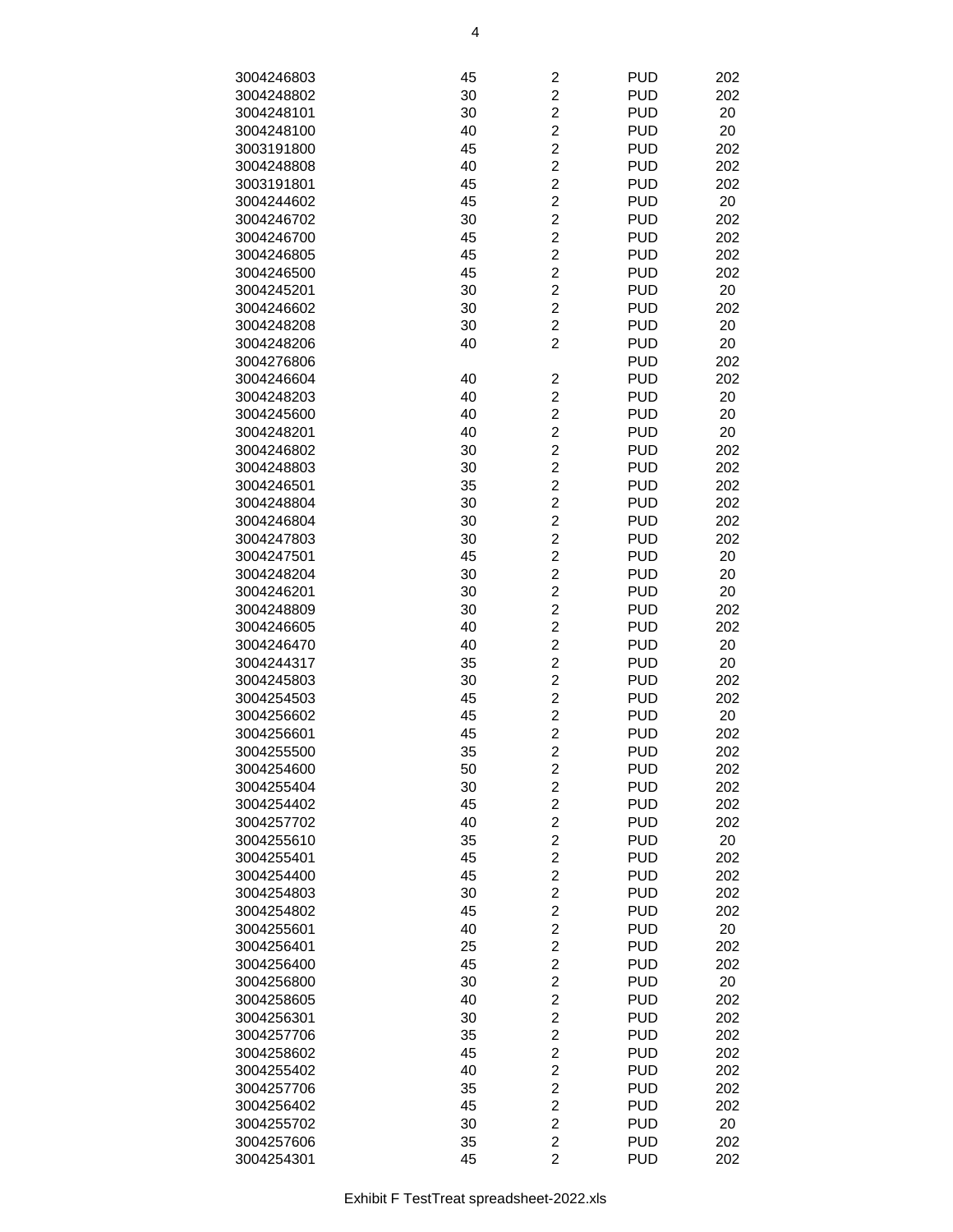| 3004246803 | 45 | $\overline{\mathbf{c}}$ | <b>PUD</b> | 202 |
|------------|----|-------------------------|------------|-----|
| 3004248802 | 30 | $\overline{c}$          | <b>PUD</b> | 202 |
| 3004248101 | 30 | $\overline{c}$          | <b>PUD</b> | 20  |
|            |    | $\overline{c}$          | <b>PUD</b> | 20  |
| 3004248100 | 40 |                         |            |     |
| 3003191800 | 45 | $\overline{c}$          | <b>PUD</b> | 202 |
| 3004248808 | 40 | $\overline{c}$          | <b>PUD</b> | 202 |
| 3003191801 | 45 | $\overline{\mathbf{c}}$ | <b>PUD</b> | 202 |
| 3004244602 | 45 | $\overline{c}$          | <b>PUD</b> | 20  |
| 3004246702 | 30 | $\overline{c}$          | <b>PUD</b> | 202 |
| 3004246700 | 45 | $\overline{2}$          | <b>PUD</b> | 202 |
| 3004246805 | 45 | $\overline{c}$          | <b>PUD</b> | 202 |
| 3004246500 | 45 | $\overline{c}$          | <b>PUD</b> | 202 |
| 3004245201 | 30 | $\overline{c}$          | <b>PUD</b> | 20  |
| 3004246602 | 30 | $\overline{c}$          | <b>PUD</b> | 202 |
| 3004248208 | 30 | $\overline{c}$          | <b>PUD</b> | 20  |
| 3004248206 | 40 | $\overline{c}$          | <b>PUD</b> | 20  |
| 3004276806 |    |                         | <b>PUD</b> | 202 |
| 3004246604 | 40 | 2                       | <b>PUD</b> | 202 |
| 3004248203 | 40 | $\overline{2}$          | <b>PUD</b> | 20  |
|            | 40 | $\overline{2}$          | <b>PUD</b> |     |
| 3004245600 |    |                         |            | 20  |
| 3004248201 | 40 | $\overline{2}$          | <b>PUD</b> | 20  |
| 3004246802 | 30 | $\overline{c}$          | <b>PUD</b> | 202 |
| 3004248803 | 30 | $\overline{c}$          | <b>PUD</b> | 202 |
| 3004246501 | 35 | $\overline{c}$          | <b>PUD</b> | 202 |
| 3004248804 | 30 | $\overline{c}$          | <b>PUD</b> | 202 |
| 3004246804 | 30 | $\overline{c}$          | <b>PUD</b> | 202 |
| 3004247803 | 30 | $\overline{\mathbf{c}}$ | <b>PUD</b> | 202 |
| 3004247501 | 45 | $\overline{c}$          | <b>PUD</b> | 20  |
| 3004248204 | 30 | $\overline{c}$          | <b>PUD</b> | 20  |
| 3004246201 | 30 | $\overline{2}$          | <b>PUD</b> | 20  |
| 3004248809 | 30 | $\overline{c}$          | <b>PUD</b> | 202 |
| 3004246605 | 40 | $\overline{c}$          | <b>PUD</b> | 202 |
| 3004246470 | 40 | $\overline{c}$          | <b>PUD</b> | 20  |
| 3004244317 | 35 | $\overline{c}$          | <b>PUD</b> | 20  |
| 3004245803 | 30 | $\overline{c}$          | <b>PUD</b> | 202 |
| 3004254503 | 45 | $\overline{c}$          | <b>PUD</b> | 202 |
|            |    |                         |            |     |
| 3004256602 | 45 | $\overline{\mathbf{c}}$ | <b>PUD</b> | 20  |
| 3004256601 | 45 | $\overline{c}$          | <b>PUD</b> | 202 |
| 3004255500 | 35 | $\overline{c}$          | <b>PUD</b> | 202 |
| 3004254600 | 50 | $\overline{\mathbf{c}}$ | <b>PUD</b> | 202 |
| 3004255404 | 30 | $\overline{c}$          | <b>PUD</b> | 202 |
| 3004254402 | 45 | $\overline{c}$          | <b>PUD</b> | 202 |
| 3004257702 | 40 | $\overline{c}$          | <b>PUD</b> | 202 |
| 3004255610 | 35 | $\overline{c}$          | <b>PUD</b> | 20  |
| 3004255401 | 45 | $\boldsymbol{2}$        | <b>PUD</b> | 202 |
| 3004254400 | 45 | $\overline{c}$          | <b>PUD</b> | 202 |
| 3004254803 | 30 | $\overline{\mathbf{c}}$ | <b>PUD</b> | 202 |
| 3004254802 | 45 | $\overline{c}$          | <b>PUD</b> | 202 |
| 3004255601 | 40 | $\overline{c}$          | <b>PUD</b> | 20  |
| 3004256401 | 25 | $\overline{c}$          | <b>PUD</b> | 202 |
| 3004256400 | 45 | $\overline{c}$          | <b>PUD</b> | 202 |
| 3004256800 | 30 | $\overline{c}$          | <b>PUD</b> | 20  |
| 3004258605 | 40 | $\overline{c}$          | <b>PUD</b> | 202 |
|            |    | $\overline{c}$          |            |     |
| 3004256301 | 30 |                         | <b>PUD</b> | 202 |
| 3004257706 | 35 | $\boldsymbol{2}$        | <b>PUD</b> | 202 |
| 3004258602 | 45 | $\overline{\mathbf{c}}$ | <b>PUD</b> | 202 |
| 3004255402 | 40 | $\overline{\mathbf{c}}$ | <b>PUD</b> | 202 |
| 3004257706 | 35 | $\overline{\mathbf{c}}$ | <b>PUD</b> | 202 |
| 3004256402 | 45 | $\overline{c}$          | <b>PUD</b> | 202 |
| 3004255702 | 30 | $\overline{c}$          | <b>PUD</b> | 20  |
| 3004257606 | 35 | $\overline{c}$          | <b>PUD</b> | 202 |
| 3004254301 | 45 | $\overline{2}$          | <b>PUD</b> | 202 |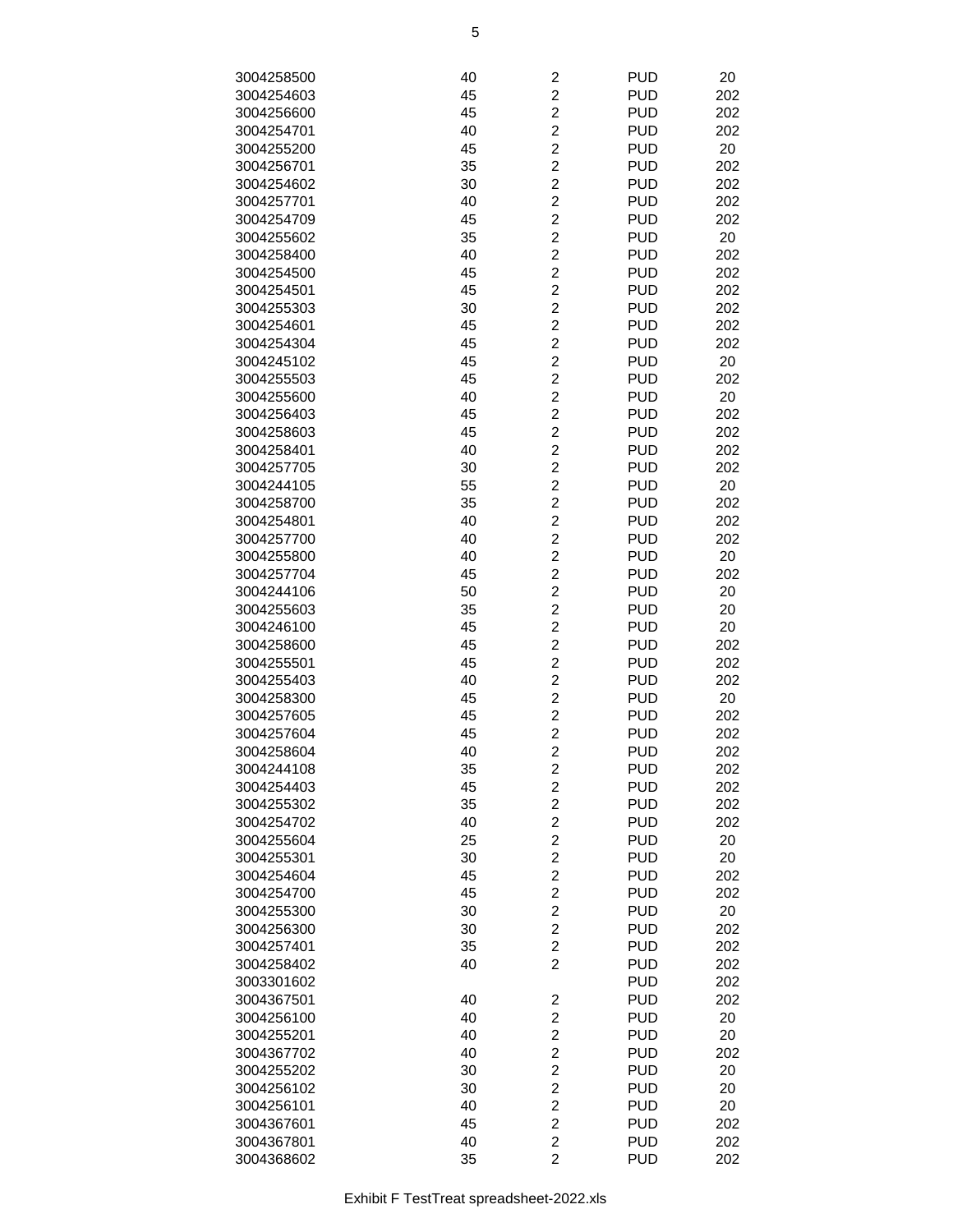| 3004258500 | 40 | 2                       | <b>PUD</b> | 20  |
|------------|----|-------------------------|------------|-----|
| 3004254603 | 45 | $\overline{c}$          | <b>PUD</b> | 202 |
| 3004256600 | 45 | $\overline{\mathbf{c}}$ | <b>PUD</b> | 202 |
| 3004254701 | 40 | $\overline{c}$          | <b>PUD</b> | 202 |
| 3004255200 | 45 | $\overline{c}$          | <b>PUD</b> | 20  |
| 3004256701 | 35 | $\overline{c}$          | <b>PUD</b> | 202 |
| 3004254602 | 30 | $\overline{c}$          | <b>PUD</b> | 202 |
| 3004257701 | 40 | $\overline{\mathbf{c}}$ | <b>PUD</b> | 202 |
| 3004254709 | 45 | $\overline{c}$          | <b>PUD</b> | 202 |
| 3004255602 | 35 | $\overline{2}$          | <b>PUD</b> | 20  |
| 3004258400 | 40 | $\overline{2}$          | <b>PUD</b> | 202 |
| 3004254500 | 45 | $\overline{c}$          | <b>PUD</b> | 202 |
| 3004254501 | 45 | $\overline{\mathbf{c}}$ | <b>PUD</b> | 202 |
| 3004255303 | 30 | $\overline{c}$          | <b>PUD</b> | 202 |
| 3004254601 | 45 | $\overline{c}$          | <b>PUD</b> | 202 |
| 3004254304 | 45 | $\overline{c}$          | <b>PUD</b> | 202 |
| 3004245102 | 45 | $\overline{c}$          | <b>PUD</b> | 20  |
| 3004255503 | 45 | $\overline{\mathbf{c}}$ | <b>PUD</b> | 202 |
| 3004255600 | 40 | $\overline{c}$          | <b>PUD</b> | 20  |
| 3004256403 | 45 | $\overline{2}$          | <b>PUD</b> | 202 |
|            |    | $\overline{2}$          | <b>PUD</b> |     |
| 3004258603 | 45 |                         |            | 202 |
| 3004258401 | 40 | $\overline{c}$          | <b>PUD</b> | 202 |
| 3004257705 | 30 | $\overline{\mathbf{c}}$ | <b>PUD</b> | 202 |
| 3004244105 | 55 | $\overline{\mathbf{c}}$ | <b>PUD</b> | 20  |
| 3004258700 | 35 | $\overline{c}$          | <b>PUD</b> | 202 |
| 3004254801 | 40 | $\overline{c}$          | <b>PUD</b> | 202 |
| 3004257700 | 40 | $\overline{c}$          | <b>PUD</b> | 202 |
| 3004255800 | 40 | $\overline{\mathbf{c}}$ | <b>PUD</b> | 20  |
| 3004257704 | 45 | $\overline{c}$          | <b>PUD</b> | 202 |
| 3004244106 | 50 | $\overline{2}$          | <b>PUD</b> | 20  |
| 3004255603 | 35 | $\overline{2}$          | <b>PUD</b> | 20  |
| 3004246100 | 45 | $\overline{c}$          | <b>PUD</b> | 20  |
| 3004258600 | 45 | $\overline{\mathbf{c}}$ | <b>PUD</b> | 202 |
| 3004255501 | 45 | $\overline{c}$          | <b>PUD</b> | 202 |
| 3004255403 | 40 | $\overline{c}$          | <b>PUD</b> | 202 |
| 3004258300 | 45 | $\overline{c}$          | <b>PUD</b> | 20  |
| 3004257605 | 45 | $\overline{c}$          | <b>PUD</b> | 202 |
| 3004257604 | 45 | $\overline{c}$          | <b>PUD</b> | 202 |
| 3004258604 | 40 | $\overline{2}$          | <b>PUD</b> | 202 |
| 3004244108 | 35 | $\overline{\mathbf{c}}$ | <b>PUD</b> | 202 |
| 3004254403 | 45 | $\overline{2}$          | <b>PUD</b> | 202 |
| 3004255302 | 35 | $\overline{c}$          | <b>PUD</b> | 202 |
| 3004254702 | 40 | $\overline{\mathbf{c}}$ | <b>PUD</b> | 202 |
| 3004255604 | 25 | $\overline{\mathbf{c}}$ | <b>PUD</b> | 20  |
| 3004255301 | 30 | $\overline{c}$          | <b>PUD</b> | 20  |
| 3004254604 | 45 | $\overline{c}$          | <b>PUD</b> | 202 |
| 3004254700 | 45 | $\overline{c}$          | <b>PUD</b> | 202 |
| 3004255300 | 30 | $\overline{\mathbf{c}}$ | <b>PUD</b> | 20  |
| 3004256300 | 30 | $\overline{c}$          | <b>PUD</b> | 202 |
| 3004257401 | 35 | $\overline{2}$          | <b>PUD</b> | 202 |
| 3004258402 | 40 | $\overline{2}$          | <b>PUD</b> | 202 |
| 3003301602 |    |                         | <b>PUD</b> | 202 |
| 3004367501 | 40 | $\overline{\mathbf{c}}$ | <b>PUD</b> | 202 |
| 3004256100 | 40 | $\boldsymbol{2}$        | <b>PUD</b> | 20  |
| 3004255201 | 40 | $\overline{\mathbf{c}}$ | <b>PUD</b> | 20  |
| 3004367702 | 40 | $\overline{c}$          | <b>PUD</b> | 202 |
| 3004255202 | 30 | 2                       | <b>PUD</b> | 20  |
| 3004256102 | 30 | $\overline{\mathbf{c}}$ | <b>PUD</b> | 20  |
| 3004256101 | 40 | $\overline{c}$          | <b>PUD</b> | 20  |
| 3004367601 | 45 | $\overline{c}$          | <b>PUD</b> | 202 |
| 3004367801 | 40 | $\overline{2}$          | <b>PUD</b> | 202 |
| 3004368602 | 35 | $\overline{2}$          | <b>PUD</b> | 202 |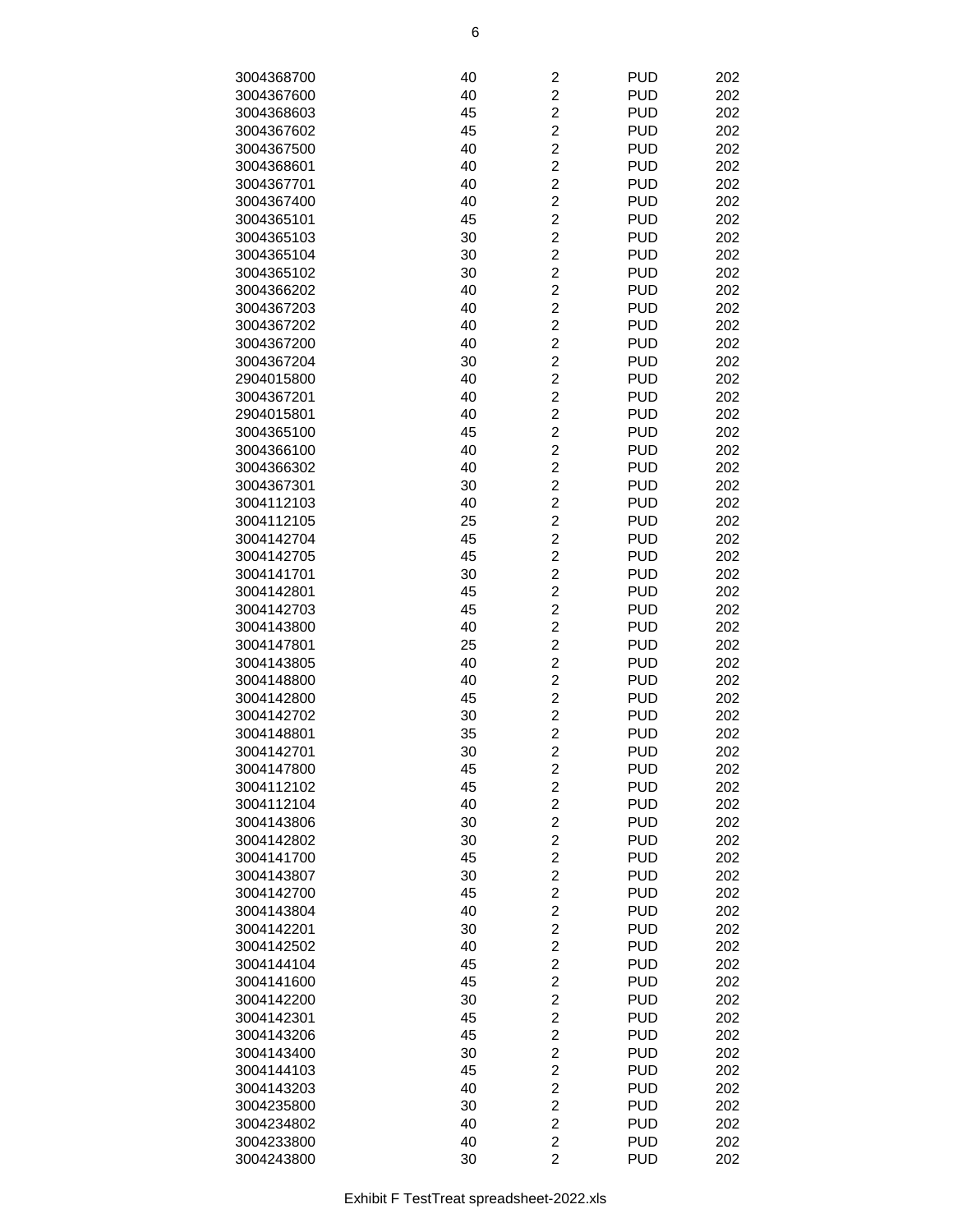| 3004368700 | 40 | $\overline{\mathbf{c}}$ | <b>PUD</b>               | 202 |
|------------|----|-------------------------|--------------------------|-----|
| 3004367600 | 40 | $\overline{c}$          | <b>PUD</b>               | 202 |
| 3004368603 | 45 | $\overline{c}$          | <b>PUD</b>               | 202 |
| 3004367602 | 45 | $\overline{\mathbf{c}}$ | <b>PUD</b>               | 202 |
| 3004367500 | 40 | $\overline{c}$          | <b>PUD</b>               | 202 |
| 3004368601 | 40 | $\overline{c}$          | <b>PUD</b>               | 202 |
|            |    | $\overline{c}$          |                          |     |
| 3004367701 | 40 |                         | <b>PUD</b>               | 202 |
| 3004367400 | 40 | $\overline{c}$          | <b>PUD</b>               | 202 |
| 3004365101 | 45 | $\overline{c}$          | <b>PUD</b>               | 202 |
| 3004365103 | 30 | $\overline{2}$          | <b>PUD</b>               | 202 |
| 3004365104 | 30 | $\overline{2}$          | <b>PUD</b>               | 202 |
| 3004365102 | 30 | $\overline{c}$          | <b>PUD</b>               | 202 |
| 3004366202 | 40 | $\overline{c}$          | <b>PUD</b>               | 202 |
| 3004367203 | 40 | $\overline{c}$          | <b>PUD</b>               | 202 |
| 3004367202 | 40 | $\overline{c}$          | <b>PUD</b>               | 202 |
| 3004367200 | 40 | $\overline{2}$          | <b>PUD</b>               | 202 |
| 3004367204 | 30 | $\overline{c}$          | <b>PUD</b>               | 202 |
| 2904015800 | 40 | $\overline{c}$          | <b>PUD</b>               | 202 |
| 3004367201 | 40 | $\overline{c}$          | <b>PUD</b>               | 202 |
| 2904015801 | 40 | $\overline{2}$          | <b>PUD</b>               | 202 |
| 3004365100 | 45 | $\overline{2}$          | <b>PUD</b>               | 202 |
| 3004366100 | 40 | $\overline{c}$          | <b>PUD</b>               | 202 |
| 3004366302 | 40 | $\overline{c}$          | <b>PUD</b>               | 202 |
| 3004367301 | 30 | $\overline{\mathbf{c}}$ | <b>PUD</b>               | 202 |
| 3004112103 | 40 | $\overline{c}$          | <b>PUD</b>               | 202 |
| 3004112105 | 25 | $\overline{c}$          | <b>PUD</b>               | 202 |
| 3004142704 | 45 | $\overline{c}$          | <b>PUD</b>               | 202 |
| 3004142705 | 45 | $\overline{c}$          | <b>PUD</b>               | 202 |
| 3004141701 | 30 | $\overline{c}$          | <b>PUD</b>               | 202 |
| 3004142801 | 45 | $\overline{2}$          | <b>PUD</b>               | 202 |
| 3004142703 | 45 | $\overline{2}$          | <b>PUD</b>               | 202 |
| 3004143800 | 40 | $\overline{c}$          | <b>PUD</b>               | 202 |
| 3004147801 | 25 | $\overline{c}$          | <b>PUD</b>               | 202 |
| 3004143805 | 40 | $\overline{c}$          | <b>PUD</b>               | 202 |
| 3004148800 | 40 | $\overline{c}$          | <b>PUD</b>               | 202 |
| 3004142800 | 45 | $\overline{2}$          | <b>PUD</b>               | 202 |
| 3004142702 | 30 | $\overline{c}$          | <b>PUD</b>               | 202 |
| 3004148801 | 35 | $\overline{c}$          | <b>PUD</b>               | 202 |
| 3004142701 | 30 | $\overline{2}$          | <b>PUD</b>               | 202 |
| 3004147800 | 45 | $\overline{\mathbf{c}}$ | <b>PUD</b>               | 202 |
| 3004112102 | 45 | $\overline{c}$          | <b>PUD</b>               | 202 |
| 3004112104 | 40 | $\overline{\mathbf{c}}$ | <b>PUD</b>               | 202 |
|            | 30 | $\overline{\mathbf{c}}$ | <b>PUD</b>               | 202 |
| 3004143806 |    | $\overline{\mathbf{c}}$ |                          | 202 |
| 3004142802 | 30 | $\overline{c}$          | <b>PUD</b><br><b>PUD</b> |     |
| 3004141700 | 45 |                         |                          | 202 |
| 3004143807 | 30 | $\overline{c}$          | <b>PUD</b>               | 202 |
| 3004142700 | 45 | $\overline{\mathbf{c}}$ | <b>PUD</b>               | 202 |
| 3004143804 | 40 | $\overline{\mathbf{c}}$ | <b>PUD</b>               | 202 |
| 3004142201 | 30 | $\overline{\mathbf{c}}$ | <b>PUD</b>               | 202 |
| 3004142502 | 40 | $\overline{c}$          | <b>PUD</b>               | 202 |
| 3004144104 | 45 | $\overline{2}$          | <b>PUD</b>               | 202 |
| 3004141600 | 45 | $\overline{\mathbf{c}}$ | <b>PUD</b>               | 202 |
| 3004142200 | 30 | $\overline{\mathbf{c}}$ | <b>PUD</b>               | 202 |
| 3004142301 | 45 | $\overline{\mathbf{c}}$ | <b>PUD</b>               | 202 |
| 3004143206 | 45 | $\overline{\mathbf{c}}$ | <b>PUD</b>               | 202 |
| 3004143400 | 30 | $\overline{c}$          | <b>PUD</b>               | 202 |
| 3004144103 | 45 | $\overline{\mathbf{c}}$ | <b>PUD</b>               | 202 |
| 3004143203 | 40 | $\overline{\mathbf{c}}$ | <b>PUD</b>               | 202 |
| 3004235800 | 30 | $\overline{\mathbf{c}}$ | <b>PUD</b>               | 202 |
| 3004234802 | 40 | $\overline{c}$          | <b>PUD</b>               | 202 |
| 3004233800 | 40 | $\overline{2}$          | <b>PUD</b>               | 202 |
| 3004243800 | 30 | $\overline{2}$          | <b>PUD</b>               | 202 |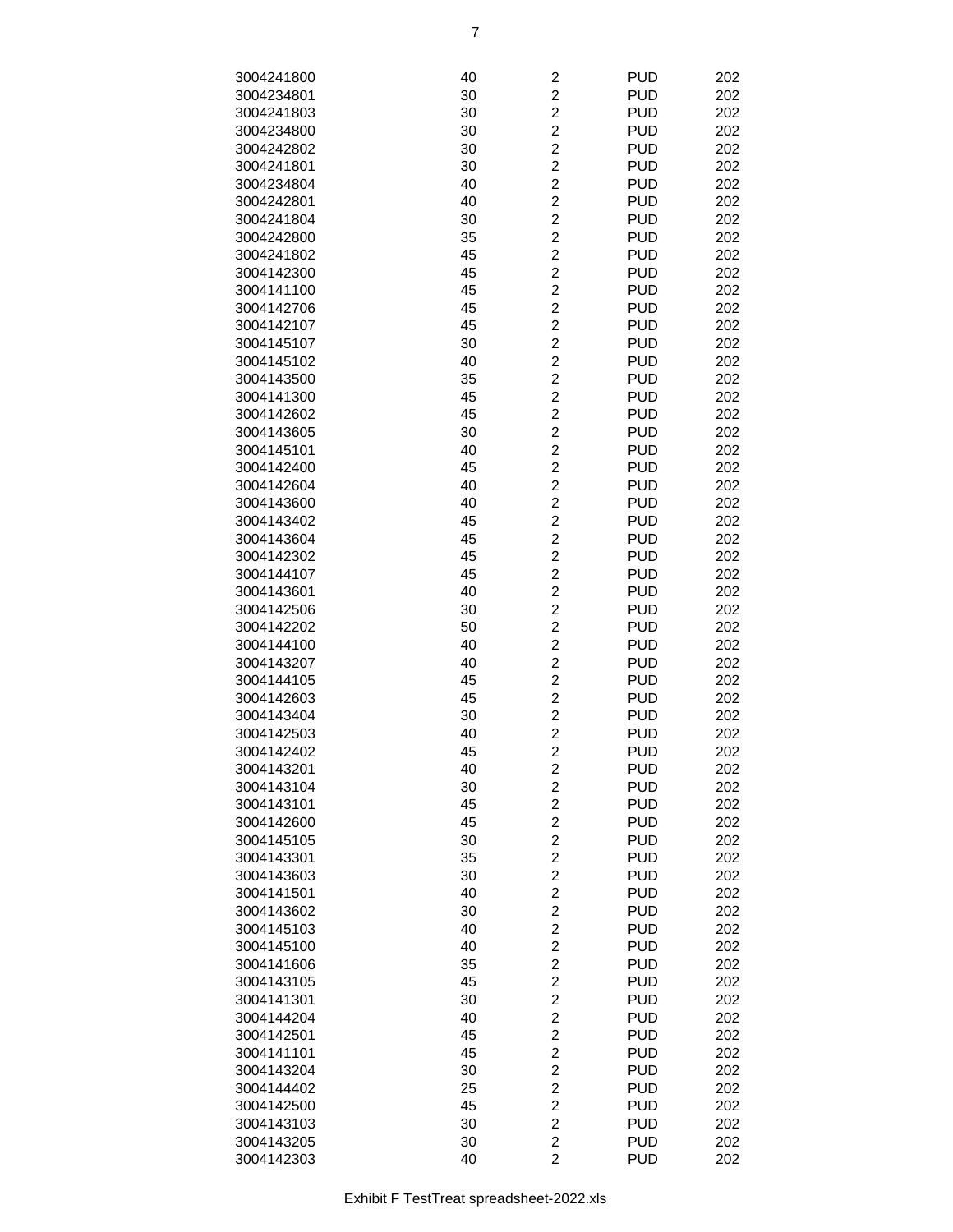| 3004241800 | 40 | $\overline{c}$          | <b>PUD</b> | 202 |
|------------|----|-------------------------|------------|-----|
|            |    |                         |            |     |
| 3004234801 | 30 | $\overline{c}$          | <b>PUD</b> | 202 |
| 3004241803 | 30 | $\overline{c}$          | <b>PUD</b> | 202 |
| 3004234800 | 30 | $\overline{c}$          | <b>PUD</b> | 202 |
| 3004242802 | 30 | $\overline{c}$          | <b>PUD</b> | 202 |
| 3004241801 | 30 | $\overline{c}$          | <b>PUD</b> | 202 |
| 3004234804 | 40 | $\overline{\mathbf{c}}$ | <b>PUD</b> | 202 |
| 3004242801 | 40 | $\overline{c}$          | <b>PUD</b> | 202 |
| 3004241804 | 30 | $\overline{c}$          | <b>PUD</b> | 202 |
|            |    | $\overline{2}$          |            |     |
| 3004242800 | 35 |                         | <b>PUD</b> | 202 |
| 3004241802 | 45 | $\overline{c}$          | <b>PUD</b> | 202 |
| 3004142300 | 45 | $\overline{c}$          | <b>PUD</b> | 202 |
| 3004141100 | 45 | $\overline{c}$          | <b>PUD</b> | 202 |
| 3004142706 | 45 | $\overline{c}$          | <b>PUD</b> | 202 |
| 3004142107 | 45 | $\overline{c}$          | <b>PUD</b> | 202 |
| 3004145107 | 30 | $\overline{c}$          | <b>PUD</b> | 202 |
| 3004145102 | 40 | $\overline{c}$          | <b>PUD</b> | 202 |
| 3004143500 | 35 | $\overline{c}$          | <b>PUD</b> | 202 |
|            |    | $\overline{c}$          |            |     |
| 3004141300 | 45 |                         | <b>PUD</b> | 202 |
| 3004142602 | 45 | $\overline{2}$          | <b>PUD</b> | 202 |
| 3004143605 | 30 | $\overline{c}$          | <b>PUD</b> | 202 |
| 3004145101 | 40 | $\overline{c}$          | <b>PUD</b> | 202 |
| 3004142400 | 45 | $\overline{c}$          | <b>PUD</b> | 202 |
| 3004142604 | 40 | $\overline{c}$          | <b>PUD</b> | 202 |
| 3004143600 | 40 | $\overline{c}$          | <b>PUD</b> | 202 |
| 3004143402 | 45 | $\overline{c}$          | <b>PUD</b> | 202 |
| 3004143604 | 45 | $\overline{\mathbf{c}}$ | <b>PUD</b> | 202 |
|            |    |                         |            |     |
| 3004142302 | 45 | $\overline{c}$          | <b>PUD</b> | 202 |
| 3004144107 | 45 | $\overline{c}$          | <b>PUD</b> | 202 |
| 3004143601 | 40 | $\overline{2}$          | <b>PUD</b> | 202 |
| 3004142506 | 30 | $\overline{c}$          | <b>PUD</b> | 202 |
| 3004142202 | 50 | $\overline{c}$          | <b>PUD</b> | 202 |
| 3004144100 | 40 | $\overline{c}$          | <b>PUD</b> | 202 |
| 3004143207 | 40 | $\overline{c}$          | <b>PUD</b> | 202 |
| 3004144105 | 45 | $\overline{c}$          | <b>PUD</b> | 202 |
| 3004142603 | 45 | $\overline{c}$          | <b>PUD</b> | 202 |
| 3004143404 | 30 | $\overline{\mathbf{c}}$ | <b>PUD</b> | 202 |
| 3004142503 | 40 | $\overline{c}$          | <b>PUD</b> | 202 |
|            |    |                         |            |     |
| 3004142402 | 45 | $\overline{c}$          | <b>PUD</b> | 202 |
| 3004143201 | 40 | $\overline{\mathbf{c}}$ | <b>PUD</b> | 202 |
| 3004143104 | 30 | $\overline{c}$          | <b>PUD</b> | 202 |
| 3004143101 | 45 | $\overline{c}$          | <b>PUD</b> | 202 |
| 3004142600 | 45 | $\overline{c}$          | <b>PUD</b> | 202 |
| 3004145105 | 30 | $\overline{c}$          | <b>PUD</b> | 202 |
| 3004143301 | 35 | $\boldsymbol{2}$        | <b>PUD</b> | 202 |
| 3004143603 | 30 | $\overline{\mathbf{c}}$ | <b>PUD</b> | 202 |
| 3004141501 | 40 | $\overline{\mathbf{c}}$ | <b>PUD</b> | 202 |
| 3004143602 | 30 | $\overline{\mathbf{c}}$ | <b>PUD</b> | 202 |
|            |    | $\overline{c}$          |            |     |
| 3004145103 | 40 |                         | <b>PUD</b> | 202 |
| 3004145100 | 40 | $\overline{c}$          | <b>PUD</b> | 202 |
| 3004141606 | 35 | $\overline{c}$          | <b>PUD</b> | 202 |
| 3004143105 | 45 | $\overline{c}$          | <b>PUD</b> | 202 |
| 3004141301 | 30 | $\overline{c}$          | <b>PUD</b> | 202 |
| 3004144204 | 40 | $\overline{c}$          | <b>PUD</b> | 202 |
| 3004142501 | 45 | $\overline{c}$          | <b>PUD</b> | 202 |
| 3004141101 | 45 | $\overline{\mathbf{c}}$ | <b>PUD</b> | 202 |
| 3004143204 | 30 | $\overline{\mathbf{c}}$ | <b>PUD</b> | 202 |
| 3004144402 | 25 | $\overline{c}$          | <b>PUD</b> | 202 |
|            |    | $\overline{c}$          | <b>PUD</b> |     |
| 3004142500 | 45 |                         |            | 202 |
| 3004143103 | 30 | $\overline{c}$          | <b>PUD</b> | 202 |
| 3004143205 | 30 | $\overline{c}$          | <b>PUD</b> | 202 |
| 3004142303 | 40 | $\overline{2}$          | <b>PUD</b> | 202 |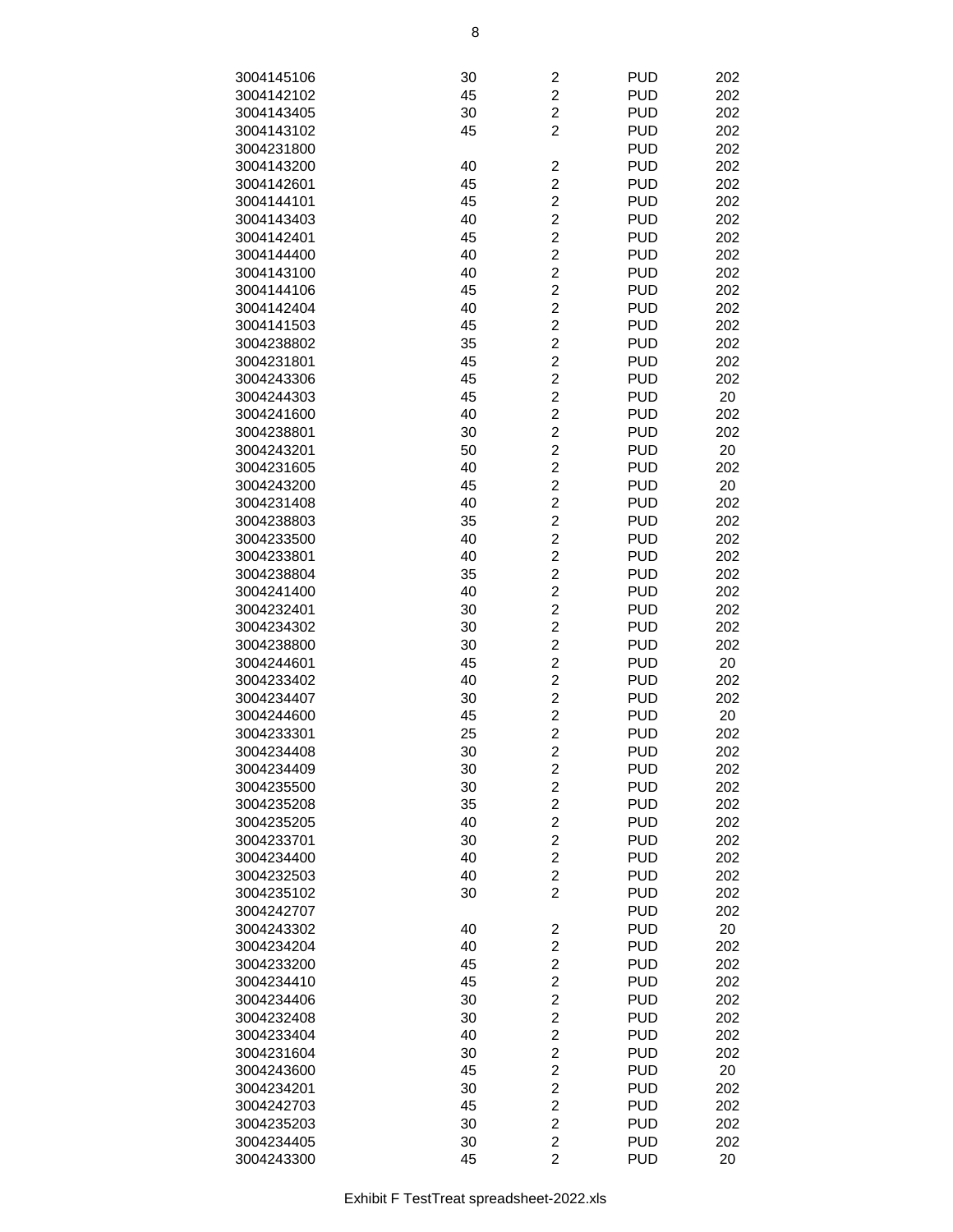| 3004145106 | 30 | $\overline{\mathbf{c}}$ | <b>PUD</b> | 202 |
|------------|----|-------------------------|------------|-----|
| 3004142102 | 45 | $\overline{c}$          | <b>PUD</b> | 202 |
|            |    |                         |            |     |
| 3004143405 | 30 | $\overline{\mathbf{c}}$ | <b>PUD</b> | 202 |
| 3004143102 | 45 | $\overline{2}$          | <b>PUD</b> | 202 |
| 3004231800 |    |                         | <b>PUD</b> | 202 |
| 3004143200 | 40 | $\overline{\mathbf{c}}$ | <b>PUD</b> | 202 |
| 3004142601 | 45 | $\overline{c}$          | <b>PUD</b> | 202 |
| 3004144101 | 45 | $\overline{c}$          | <b>PUD</b> | 202 |
| 3004143403 | 40 | $\overline{c}$          | <b>PUD</b> | 202 |
| 3004142401 | 45 | $\overline{2}$          | <b>PUD</b> | 202 |
| 3004144400 | 40 | $\overline{2}$          | <b>PUD</b> | 202 |
| 3004143100 | 40 | $\overline{2}$          | <b>PUD</b> | 202 |
| 3004144106 | 45 | $\overline{c}$          | <b>PUD</b> | 202 |
| 3004142404 | 40 | $\overline{c}$          | <b>PUD</b> | 202 |
| 3004141503 | 45 | $\overline{c}$          | <b>PUD</b> | 202 |
|            |    |                         |            |     |
| 3004238802 | 35 | $\overline{c}$          | <b>PUD</b> | 202 |
| 3004231801 | 45 | $\overline{c}$          | <b>PUD</b> | 202 |
| 3004243306 | 45 | $\overline{c}$          | <b>PUD</b> | 202 |
| 3004244303 | 45 | $\overline{c}$          | <b>PUD</b> | 20  |
| 3004241600 | 40 | $\overline{2}$          | <b>PUD</b> | 202 |
| 3004238801 | 30 | $\overline{2}$          | <b>PUD</b> | 202 |
| 3004243201 | 50 | $\overline{c}$          | <b>PUD</b> | 20  |
| 3004231605 | 40 | $\overline{c}$          | <b>PUD</b> | 202 |
| 3004243200 | 45 | $\overline{c}$          | <b>PUD</b> | 20  |
| 3004231408 | 40 | $\overline{c}$          | <b>PUD</b> | 202 |
| 3004238803 | 35 | $\overline{c}$          | <b>PUD</b> | 202 |
| 3004233500 | 40 | $\overline{c}$          | <b>PUD</b> | 202 |
| 3004233801 | 40 | $\overline{c}$          | <b>PUD</b> | 202 |
| 3004238804 | 35 | $\overline{c}$          | <b>PUD</b> | 202 |
| 3004241400 | 40 | $\overline{2}$          | <b>PUD</b> | 202 |
|            |    | $\overline{2}$          |            |     |
| 3004232401 | 30 |                         | <b>PUD</b> | 202 |
| 3004234302 | 30 | $\overline{c}$          | <b>PUD</b> | 202 |
| 3004238800 | 30 | $\overline{c}$          | <b>PUD</b> | 202 |
| 3004244601 | 45 | $\overline{c}$          | <b>PUD</b> | 20  |
| 3004233402 | 40 | $\overline{c}$          | <b>PUD</b> | 202 |
| 3004234407 | 30 | $\overline{c}$          | <b>PUD</b> | 202 |
| 3004244600 | 45 | $\overline{c}$          | <b>PUD</b> | 20  |
| 3004233301 | 25 | $\overline{c}$          | <b>PUD</b> | 202 |
| 3004234408 | 30 | $\overline{2}$          | <b>PUD</b> | 202 |
| 3004234409 | 30 | 2                       | <b>PUD</b> | 202 |
| 3004235500 | 30 | $\overline{2}$          | <b>PUD</b> | 202 |
| 3004235208 | 35 | $\overline{c}$          | <b>PUD</b> | 202 |
| 3004235205 | 40 | $\overline{\mathbf{c}}$ | <b>PUD</b> | 202 |
| 3004233701 | 30 | $\overline{c}$          | <b>PUD</b> | 202 |
| 3004234400 | 40 | $\overline{c}$          | <b>PUD</b> | 202 |
| 3004232503 | 40 | $\overline{c}$          | <b>PUD</b> | 202 |
| 3004235102 | 30 | $\overline{2}$          | <b>PUD</b> | 202 |
|            |    |                         |            |     |
| 3004242707 |    |                         | <b>PUD</b> | 202 |
| 3004243302 | 40 | 2                       | <b>PUD</b> | 20  |
| 3004234204 | 40 | $\overline{2}$          | <b>PUD</b> | 202 |
| 3004233200 | 45 | $\overline{2}$          | <b>PUD</b> | 202 |
| 3004234410 | 45 | $\overline{c}$          | <b>PUD</b> | 202 |
| 3004234406 | 30 | $\overline{\mathbf{c}}$ | <b>PUD</b> | 202 |
| 3004232408 | 30 | $\overline{\mathbf{c}}$ | <b>PUD</b> | 202 |
| 3004233404 | 40 | $\overline{\mathbf{c}}$ | <b>PUD</b> | 202 |
| 3004231604 | 30 | $\overline{c}$          | <b>PUD</b> | 202 |
| 3004243600 | 45 | $\overline{c}$          | <b>PUD</b> | 20  |
| 3004234201 | 30 | $\overline{\mathbf{c}}$ | <b>PUD</b> | 202 |
| 3004242703 | 45 | $\overline{c}$          | <b>PUD</b> | 202 |
| 3004235203 | 30 | $\overline{2}$          | <b>PUD</b> | 202 |
| 3004234405 | 30 | $\overline{c}$          | <b>PUD</b> | 202 |
| 3004243300 | 45 | $\overline{2}$          | <b>PUD</b> | 20  |
|            |    |                         |            |     |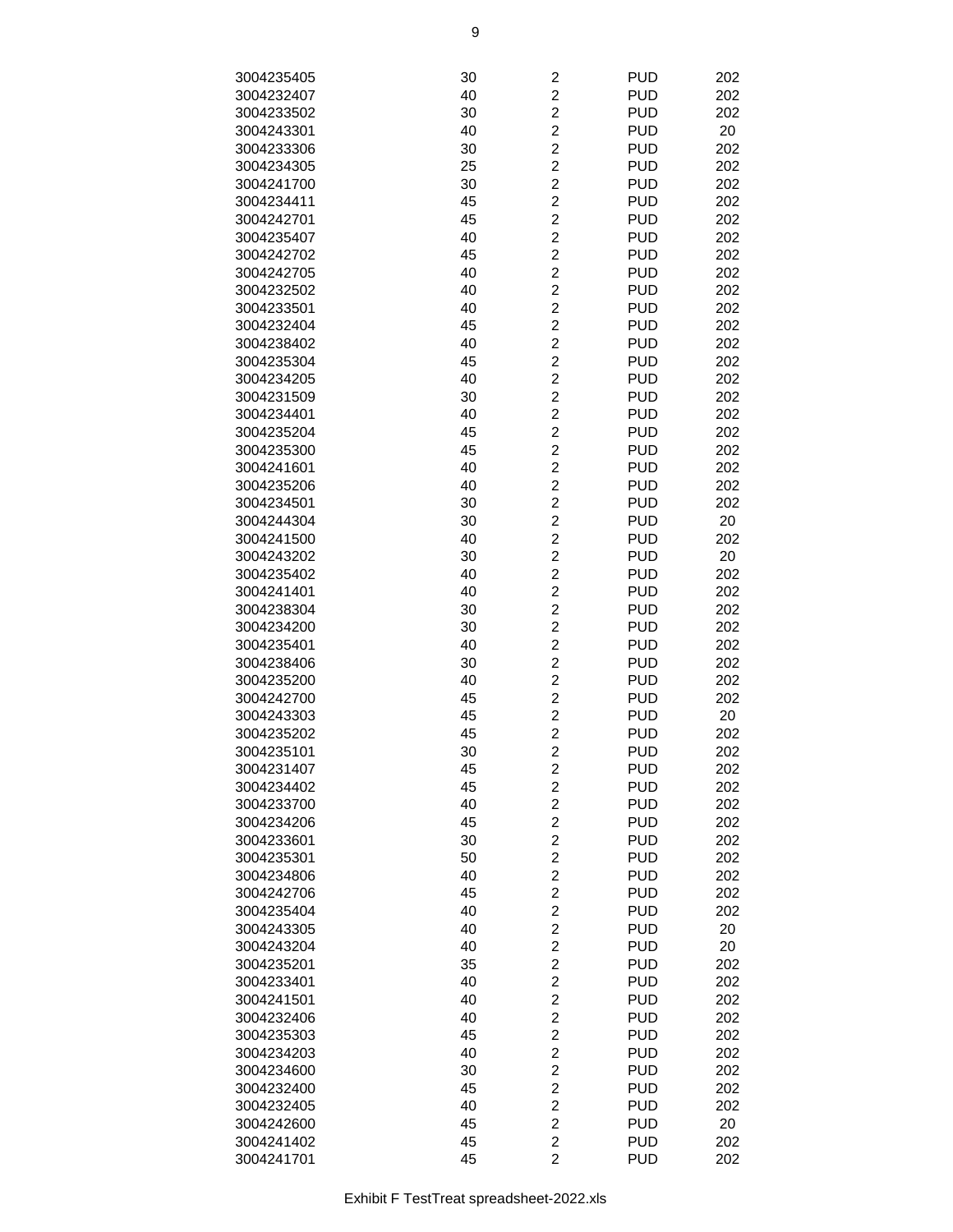| 3004235405 | 30 | $\overline{\mathbf{c}}$ | <b>PUD</b> | 202 |
|------------|----|-------------------------|------------|-----|
| 3004232407 | 40 | $\overline{c}$          | <b>PUD</b> | 202 |
| 3004233502 | 30 | $\overline{\mathbf{c}}$ | <b>PUD</b> | 202 |
| 3004243301 | 40 | $\overline{\mathbf{c}}$ | <b>PUD</b> | 20  |
| 3004233306 | 30 | $\overline{\mathbf{c}}$ | <b>PUD</b> | 202 |
|            |    |                         | <b>PUD</b> |     |
| 3004234305 | 25 | $\overline{c}$          |            | 202 |
| 3004241700 | 30 | $\overline{c}$          | <b>PUD</b> | 202 |
| 3004234411 | 45 | $\overline{\mathbf{c}}$ | <b>PUD</b> | 202 |
| 3004242701 | 45 | $\overline{\mathbf{c}}$ | <b>PUD</b> | 202 |
| 3004235407 | 40 | $\overline{\mathbf{c}}$ | <b>PUD</b> | 202 |
| 3004242702 | 45 | $\overline{c}$          | <b>PUD</b> | 202 |
| 3004242705 | 40 | $\overline{2}$          | <b>PUD</b> | 202 |
| 3004232502 | 40 | $\overline{\mathbf{c}}$ | <b>PUD</b> | 202 |
| 3004233501 | 40 | $\overline{c}$          | <b>PUD</b> | 202 |
| 3004232404 | 45 | $\overline{\mathbf{c}}$ | <b>PUD</b> | 202 |
| 3004238402 | 40 | $\overline{c}$          | <b>PUD</b> | 202 |
| 3004235304 | 45 | $\overline{c}$          | <b>PUD</b> | 202 |
| 3004234205 | 40 | $\overline{\mathbf{c}}$ | <b>PUD</b> | 202 |
| 3004231509 | 30 | $\overline{c}$          | <b>PUD</b> | 202 |
| 3004234401 | 40 | $\overline{\mathbf{c}}$ | <b>PUD</b> | 202 |
| 3004235204 | 45 | $\overline{c}$          | <b>PUD</b> | 202 |
| 3004235300 | 45 | $\overline{2}$          | <b>PUD</b> | 202 |
| 3004241601 | 40 | $\overline{\mathbf{c}}$ | <b>PUD</b> | 202 |
| 3004235206 | 40 | $\overline{\mathbf{c}}$ | <b>PUD</b> | 202 |
| 3004234501 | 30 | $\overline{\mathbf{c}}$ | <b>PUD</b> | 202 |
| 3004244304 | 30 | $\overline{c}$          | <b>PUD</b> | 20  |
| 3004241500 | 40 | $\overline{c}$          | <b>PUD</b> | 202 |
| 3004243202 | 30 | $\overline{\mathbf{c}}$ | <b>PUD</b> | 20  |
| 3004235402 | 40 | $\overline{\mathbf{c}}$ | <b>PUD</b> | 202 |
| 3004241401 | 40 | $\overline{\mathbf{c}}$ | <b>PUD</b> | 202 |
|            |    | $\overline{c}$          |            |     |
| 3004238304 | 30 |                         | <b>PUD</b> | 202 |
| 3004234200 | 30 | $\overline{2}$          | <b>PUD</b> | 202 |
| 3004235401 | 40 | $\overline{\mathbf{c}}$ | <b>PUD</b> | 202 |
| 3004238406 | 30 | $\overline{c}$          | <b>PUD</b> | 202 |
| 3004235200 | 40 | $\overline{\mathbf{c}}$ | <b>PUD</b> | 202 |
| 3004242700 | 45 | $\overline{c}$          | <b>PUD</b> | 202 |
| 3004243303 | 45 | $\overline{\mathbf{c}}$ | <b>PUD</b> | 20  |
| 3004235202 | 45 | $\overline{c}$          | <b>PUD</b> | 202 |
| 3004235101 | 30 | $\overline{c}$          | <b>PUD</b> | 202 |
| 3004231407 | 45 | $\overline{\mathbf{c}}$ | <b>PUD</b> | 202 |
| 3004234402 | 45 | $\overline{c}$          | <b>PUD</b> | 202 |
| 3004233700 | 40 | $\overline{2}$          | <b>PUD</b> | 202 |
| 3004234206 | 45 | $\overline{\mathbf{c}}$ | <b>PUD</b> | 202 |
| 3004233601 | 30 | $\overline{\mathbf{c}}$ | <b>PUD</b> | 202 |
| 3004235301 | 50 | $\overline{\mathbf{c}}$ | <b>PUD</b> | 202 |
| 3004234806 | 40 | $\overline{c}$          | <b>PUD</b> | 202 |
| 3004242706 | 45 | $\overline{c}$          | <b>PUD</b> | 202 |
| 3004235404 | 40 | $\overline{\mathbf{c}}$ | <b>PUD</b> | 202 |
| 3004243305 | 40 | $\overline{\mathbf{c}}$ | <b>PUD</b> | 20  |
| 3004243204 | 40 | $\overline{\mathbf{c}}$ | <b>PUD</b> | 20  |
| 3004235201 | 35 | $\overline{c}$          | <b>PUD</b> | 202 |
| 3004233401 | 40 | $\overline{2}$          | <b>PUD</b> | 202 |
| 3004241501 | 40 | $\overline{\mathbf{c}}$ | <b>PUD</b> | 202 |
| 3004232406 | 40 | $\overline{\mathbf{c}}$ | <b>PUD</b> | 202 |
| 3004235303 | 45 | $\overline{c}$          | <b>PUD</b> | 202 |
| 3004234203 | 40 | $\overline{c}$          | <b>PUD</b> | 202 |
| 3004234600 | 30 | $\overline{c}$          | <b>PUD</b> | 202 |
| 3004232400 | 45 | $\overline{\mathbf{c}}$ | <b>PUD</b> | 202 |
| 3004232405 | 40 | $\overline{\mathbf{c}}$ | <b>PUD</b> | 202 |
| 3004242600 | 45 | $\overline{\mathbf{c}}$ | <b>PUD</b> | 20  |
| 3004241402 | 45 | $\overline{2}$          | <b>PUD</b> | 202 |
| 3004241701 | 45 | $\overline{2}$          | <b>PUD</b> | 202 |
|            |    |                         |            |     |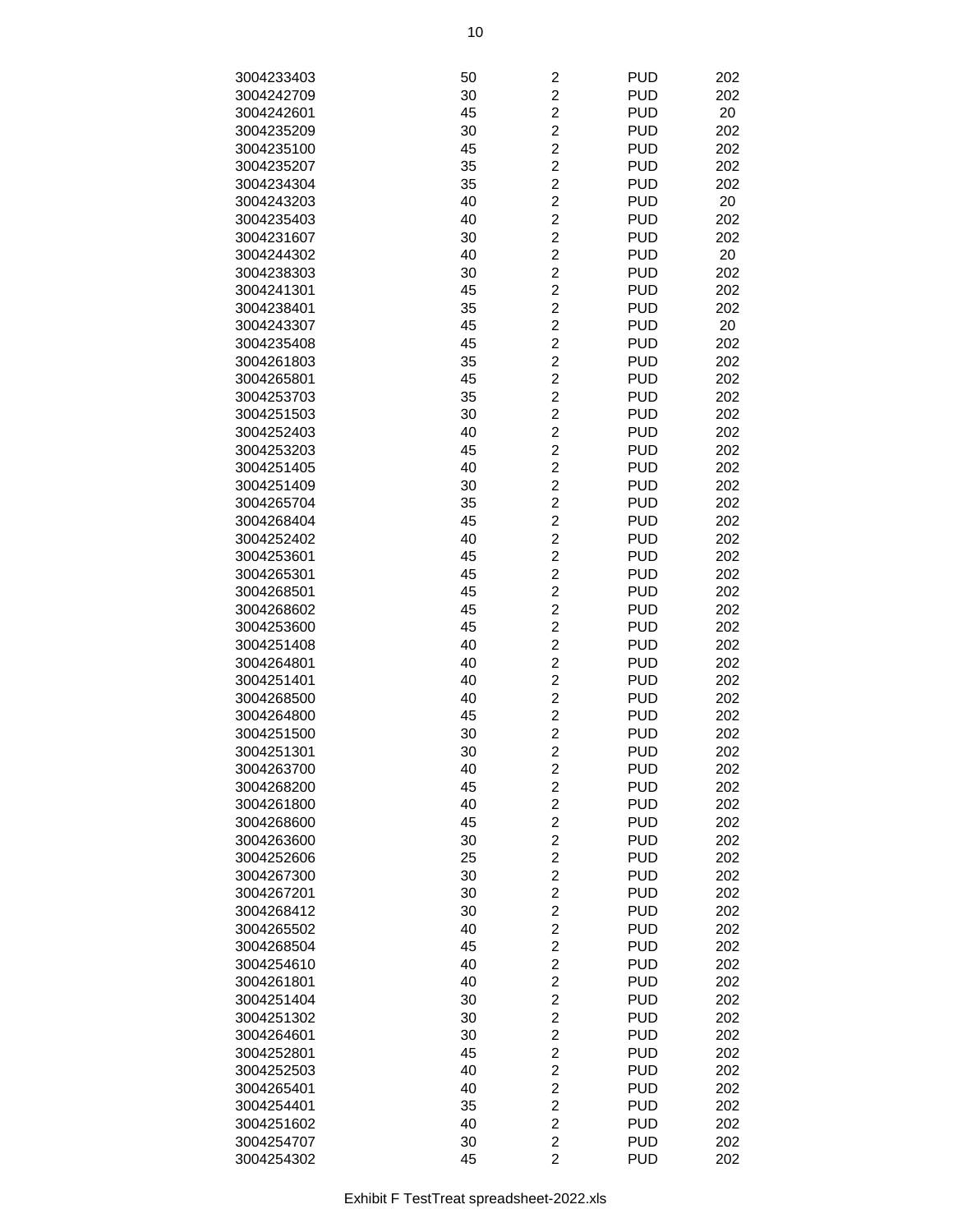| 3004233403 | 50 | $\overline{\mathbf{c}}$ | <b>PUD</b> | 202 |
|------------|----|-------------------------|------------|-----|
| 3004242709 | 30 | $\overline{c}$          | <b>PUD</b> | 202 |
| 3004242601 | 45 | $\overline{c}$          | <b>PUD</b> | 20  |
| 3004235209 | 30 | $\overline{c}$          | <b>PUD</b> | 202 |
| 3004235100 | 45 | $\overline{c}$          | <b>PUD</b> | 202 |
| 3004235207 | 35 | $\overline{c}$          | <b>PUD</b> | 202 |
| 3004234304 | 35 | $\overline{c}$          | <b>PUD</b> | 202 |
| 3004243203 | 40 | $\overline{c}$          | <b>PUD</b> | 20  |
| 3004235403 | 40 | $\overline{c}$          | <b>PUD</b> | 202 |
| 3004231607 | 30 | $\overline{2}$          | <b>PUD</b> | 202 |
| 3004244302 | 40 | $\overline{c}$          | <b>PUD</b> | 20  |
| 3004238303 | 30 | $\overline{c}$          | <b>PUD</b> | 202 |
| 3004241301 | 45 | $\overline{c}$          | <b>PUD</b> | 202 |
| 3004238401 | 35 | $\overline{c}$          | <b>PUD</b> | 202 |
| 3004243307 | 45 | $\overline{c}$          | <b>PUD</b> | 20  |
| 3004235408 | 45 | $\overline{c}$          | <b>PUD</b> | 202 |
| 3004261803 | 35 | $\overline{c}$          | <b>PUD</b> | 202 |
|            |    | $\overline{c}$          | <b>PUD</b> | 202 |
| 3004265801 | 45 | $\overline{2}$          |            |     |
| 3004253703 | 35 | $\overline{2}$          | <b>PUD</b> | 202 |
| 3004251503 | 30 |                         | <b>PUD</b> | 202 |
| 3004252403 | 40 | $\overline{c}$          | <b>PUD</b> | 202 |
| 3004253203 | 45 | $\overline{c}$          | <b>PUD</b> | 202 |
| 3004251405 | 40 | $\overline{c}$          | <b>PUD</b> | 202 |
| 3004251409 | 30 | $\overline{c}$          | <b>PUD</b> | 202 |
| 3004265704 | 35 | $\overline{c}$          | <b>PUD</b> | 202 |
| 3004268404 | 45 | $\overline{c}$          | <b>PUD</b> | 202 |
| 3004252402 | 40 | $\overline{c}$          | <b>PUD</b> | 202 |
| 3004253601 | 45 | $\overline{c}$          | <b>PUD</b> | 202 |
| 3004265301 | 45 | $\overline{c}$          | <b>PUD</b> | 202 |
| 3004268501 | 45 | $\overline{2}$          | <b>PUD</b> | 202 |
| 3004268602 | 45 | $\overline{c}$          | <b>PUD</b> | 202 |
| 3004253600 | 45 | $\overline{c}$          | <b>PUD</b> | 202 |
| 3004251408 | 40 | $\overline{c}$          | <b>PUD</b> | 202 |
| 3004264801 | 40 | $\overline{c}$          | <b>PUD</b> | 202 |
| 3004251401 | 40 | $\overline{c}$          | <b>PUD</b> | 202 |
| 3004268500 | 40 | $\overline{c}$          | <b>PUD</b> | 202 |
| 3004264800 | 45 | $\overline{c}$          | <b>PUD</b> | 202 |
| 3004251500 | 30 | $\overline{c}$          | <b>PUD</b> | 202 |
| 3004251301 | 30 | $\overline{2}$          | <b>PUD</b> | 202 |
| 3004263700 | 40 | $\overline{c}$          | <b>PUD</b> | 202 |
| 3004268200 | 45 | $\overline{c}$          | <b>PUD</b> | 202 |
| 3004261800 | 40 | $\overline{c}$          | <b>PUD</b> | 202 |
| 3004268600 | 45 | $\overline{c}$          | <b>PUD</b> | 202 |
| 3004263600 | 30 | $\overline{c}$          | <b>PUD</b> | 202 |
| 3004252606 | 25 | $\overline{c}$          | <b>PUD</b> | 202 |
| 3004267300 | 30 | $\overline{c}$          | <b>PUD</b> | 202 |
| 3004267201 | 30 | $\overline{c}$          | <b>PUD</b> | 202 |
| 3004268412 | 30 | $\overline{c}$          | <b>PUD</b> | 202 |
| 3004265502 | 40 | $\overline{c}$          | <b>PUD</b> | 202 |
| 3004268504 | 45 | $\overline{2}$          | <b>PUD</b> | 202 |
| 3004254610 | 40 | $\overline{c}$          | <b>PUD</b> | 202 |
| 3004261801 | 40 | $\overline{c}$          | <b>PUD</b> | 202 |
| 3004251404 | 30 | $\overline{c}$          | <b>PUD</b> | 202 |
| 3004251302 | 30 | $\overline{\mathbf{c}}$ | <b>PUD</b> | 202 |
| 3004264601 | 30 | $\overline{c}$          | <b>PUD</b> | 202 |
| 3004252801 | 45 | $\overline{\mathbf{c}}$ | <b>PUD</b> | 202 |
| 3004252503 | 40 | $\overline{c}$          | <b>PUD</b> | 202 |
| 3004265401 | 40 | $\overline{c}$          | <b>PUD</b> | 202 |
| 3004254401 | 35 | $\overline{c}$          | <b>PUD</b> | 202 |
| 3004251602 | 40 | $\overline{2}$          | <b>PUD</b> | 202 |
| 3004254707 | 30 | $\overline{2}$          | <b>PUD</b> | 202 |
| 3004254302 | 45 | $\overline{2}$          | <b>PUD</b> | 202 |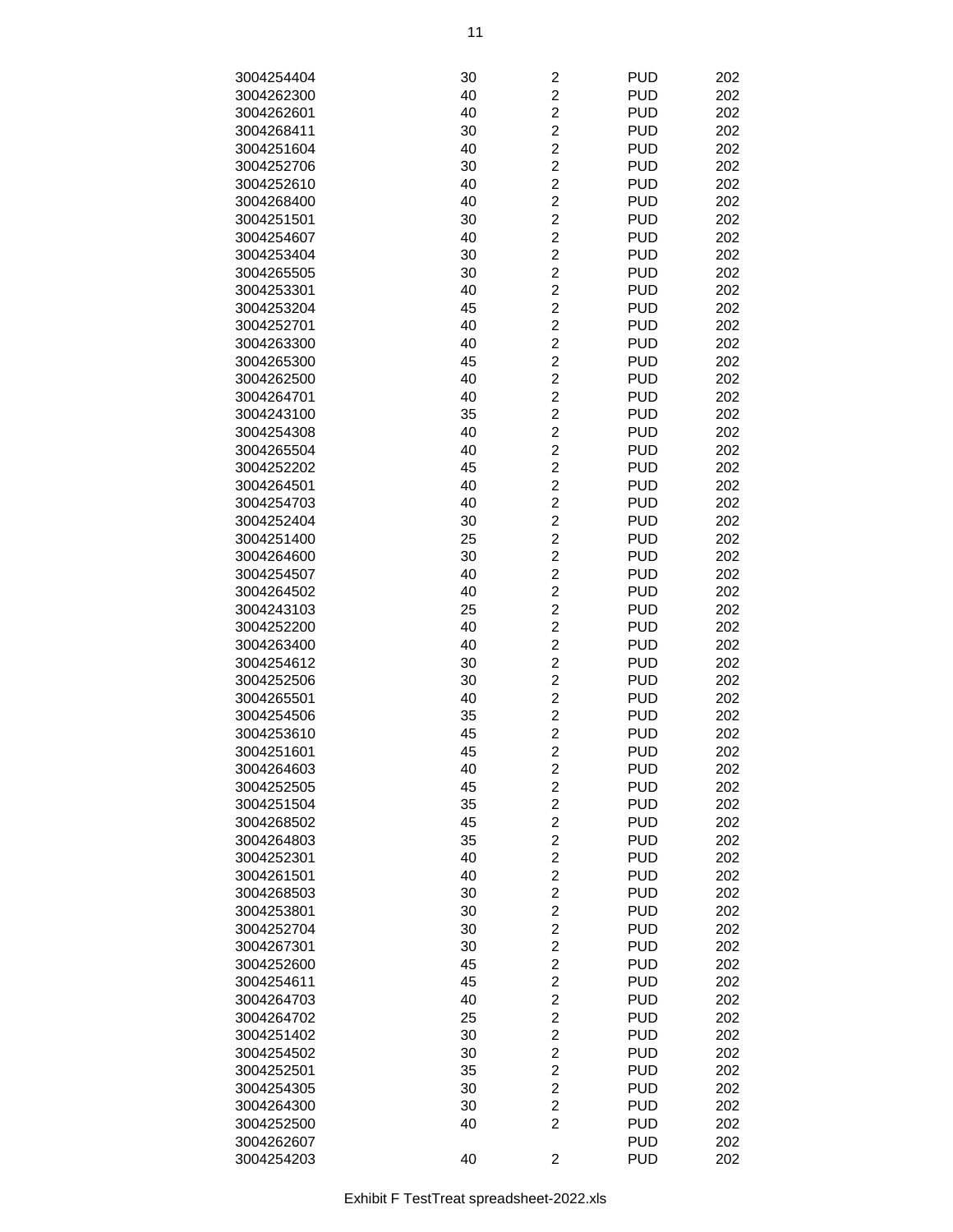| 3004254404 | 30 | 2                       | <b>PUD</b> | 202 |
|------------|----|-------------------------|------------|-----|
| 3004262300 | 40 | $\overline{\mathbf{c}}$ | <b>PUD</b> | 202 |
|            |    |                         |            |     |
| 3004262601 | 40 | $\overline{c}$          | <b>PUD</b> | 202 |
| 3004268411 | 30 | $\overline{c}$          | <b>PUD</b> | 202 |
| 3004251604 | 40 | $\overline{c}$          | <b>PUD</b> | 202 |
| 3004252706 | 30 | $\overline{c}$          | <b>PUD</b> | 202 |
| 3004252610 | 40 | $\overline{\mathbf{c}}$ | <b>PUD</b> | 202 |
| 3004268400 | 40 | $\overline{\mathbf{c}}$ | <b>PUD</b> | 202 |
| 3004251501 | 30 | $\overline{c}$          | <b>PUD</b> | 202 |
| 3004254607 | 40 | $\overline{2}$          | <b>PUD</b> | 202 |
| 3004253404 | 30 | $\overline{c}$          | <b>PUD</b> | 202 |
| 3004265505 | 30 | $\overline{c}$          | <b>PUD</b> | 202 |
| 3004253301 | 40 | $\overline{c}$          | <b>PUD</b> | 202 |
| 3004253204 | 45 | $\overline{c}$          | <b>PUD</b> | 202 |
| 3004252701 | 40 | $\overline{c}$          | <b>PUD</b> | 202 |
|            |    |                         |            |     |
| 3004263300 | 40 | $\overline{c}$          | <b>PUD</b> | 202 |
| 3004265300 | 45 | $\overline{c}$          | <b>PUD</b> | 202 |
| 3004262500 | 40 | $\overline{c}$          | <b>PUD</b> | 202 |
| 3004264701 | 40 | $\overline{c}$          | <b>PUD</b> | 202 |
| 3004243100 | 35 | $\overline{2}$          | <b>PUD</b> | 202 |
| 3004254308 | 40 | $\overline{c}$          | <b>PUD</b> | 202 |
| 3004265504 | 40 | $\overline{c}$          | <b>PUD</b> | 202 |
| 3004252202 | 45 | $\overline{c}$          | <b>PUD</b> | 202 |
| 3004264501 | 40 | $\overline{c}$          | <b>PUD</b> | 202 |
| 3004254703 | 40 | $\overline{c}$          | <b>PUD</b> | 202 |
| 3004252404 | 30 | $\overline{c}$          | <b>PUD</b> | 202 |
| 3004251400 | 25 | $\overline{\mathbf{c}}$ | <b>PUD</b> | 202 |
|            |    | $\overline{c}$          | <b>PUD</b> | 202 |
| 3004264600 | 30 |                         |            |     |
| 3004254507 | 40 | $\overline{c}$          | <b>PUD</b> | 202 |
| 3004264502 | 40 | $\overline{2}$          | <b>PUD</b> | 202 |
| 3004243103 | 25 | $\overline{2}$          | <b>PUD</b> | 202 |
| 3004252200 | 40 | $\overline{c}$          | <b>PUD</b> | 202 |
| 3004263400 | 40 | $\overline{c}$          | <b>PUD</b> | 202 |
| 3004254612 | 30 | $\overline{c}$          | <b>PUD</b> | 202 |
| 3004252506 | 30 | $\overline{c}$          | <b>PUD</b> | 202 |
| 3004265501 | 40 | $\overline{c}$          | <b>PUD</b> | 202 |
| 3004254506 | 35 | $\overline{\mathbf{c}}$ | <b>PUD</b> | 202 |
| 3004253610 | 45 | $\overline{c}$          | <b>PUD</b> | 202 |
| 3004251601 | 45 | $\overline{c}$          | <b>PUD</b> | 202 |
| 3004264603 | 40 | $\overline{\mathbf{c}}$ | <b>PUD</b> | 202 |
| 3004252505 | 45 | $\overline{c}$          | <b>PUD</b> | 202 |
| 3004251504 | 35 | $\overline{c}$          | <b>PUD</b> | 202 |
|            |    | $\overline{c}$          | <b>PUD</b> | 202 |
| 3004268502 | 45 |                         |            |     |
| 3004264803 | 35 | $\overline{c}$          | <b>PUD</b> | 202 |
| 3004252301 | 40 | $\overline{c}$          | <b>PUD</b> | 202 |
| 3004261501 | 40 | $\overline{c}$          | <b>PUD</b> | 202 |
| 3004268503 | 30 | $\overline{\mathbf{c}}$ | <b>PUD</b> | 202 |
| 3004253801 | 30 | $\overline{c}$          | <b>PUD</b> | 202 |
| 3004252704 | 30 | $\overline{c}$          | <b>PUD</b> | 202 |
| 3004267301 | 30 | $\overline{c}$          | <b>PUD</b> | 202 |
| 3004252600 | 45 | $\overline{c}$          | <b>PUD</b> | 202 |
| 3004254611 | 45 | $\overline{c}$          | <b>PUD</b> | 202 |
| 3004264703 | 40 | $\overline{c}$          | <b>PUD</b> | 202 |
| 3004264702 | 25 | $\overline{c}$          | <b>PUD</b> | 202 |
| 3004251402 | 30 | $\overline{c}$          | <b>PUD</b> | 202 |
| 3004254502 | 30 | $\overline{\mathbf{c}}$ | <b>PUD</b> | 202 |
|            |    | $\overline{\mathbf{c}}$ |            |     |
| 3004252501 | 35 |                         | <b>PUD</b> | 202 |
| 3004254305 | 30 | $\overline{\mathbf{c}}$ | <b>PUD</b> | 202 |
| 3004264300 | 30 | $\overline{c}$          | <b>PUD</b> | 202 |
| 3004252500 | 40 | $\overline{2}$          | <b>PUD</b> | 202 |
| 3004262607 |    |                         | <b>PUD</b> | 202 |
| 3004254203 | 40 | $\overline{\mathbf{c}}$ | <b>PUD</b> | 202 |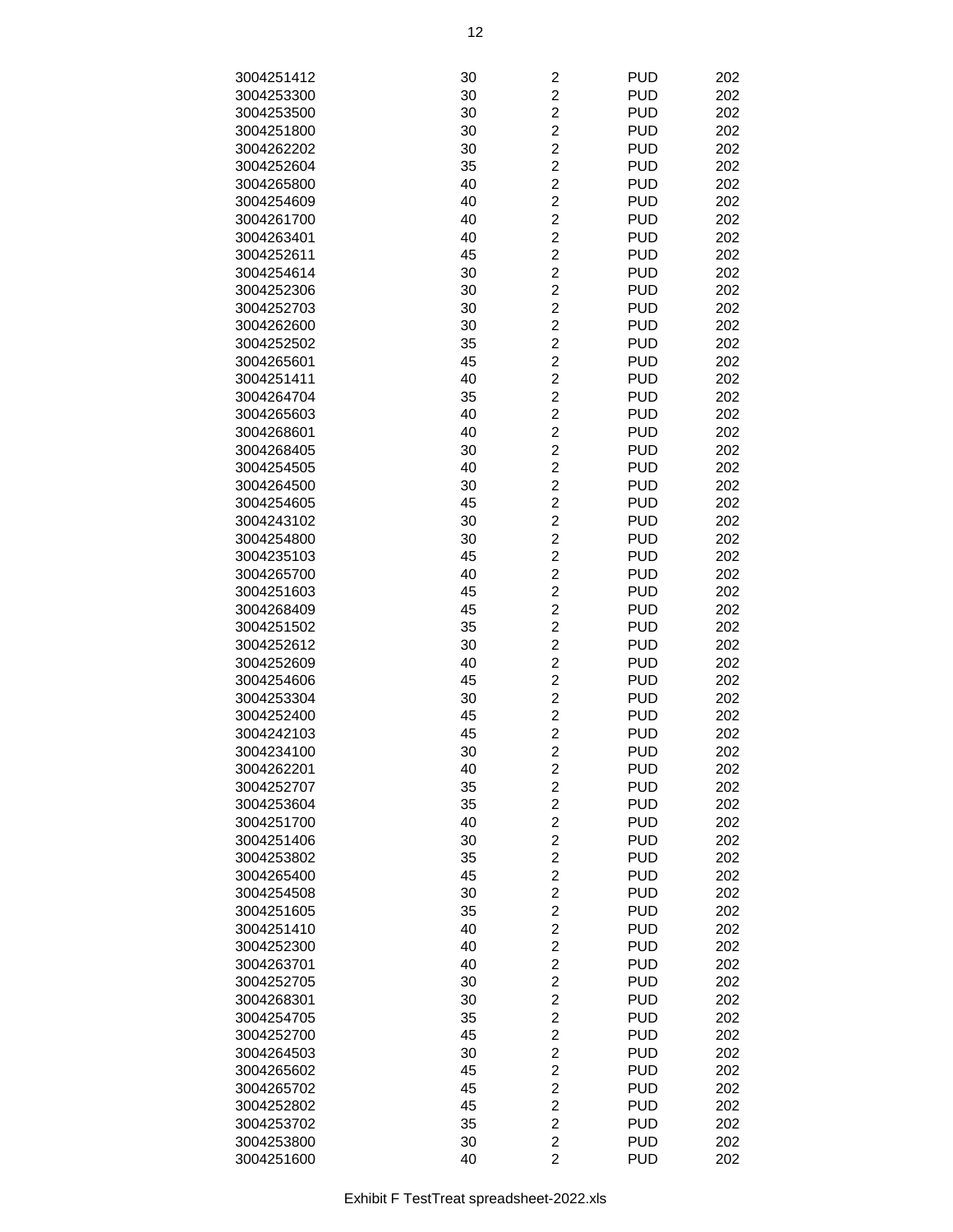| 3004251412 | 30 | $\overline{c}$          | <b>PUD</b> | 202 |
|------------|----|-------------------------|------------|-----|
| 3004253300 | 30 | $\overline{c}$          | <b>PUD</b> | 202 |
| 3004253500 | 30 | $\overline{c}$          | <b>PUD</b> | 202 |
|            |    |                         |            |     |
| 3004251800 | 30 | $\overline{c}$          | <b>PUD</b> | 202 |
| 3004262202 | 30 | $\overline{c}$          | <b>PUD</b> | 202 |
| 3004252604 | 35 | $\overline{c}$          | <b>PUD</b> | 202 |
| 3004265800 | 40 | $\overline{\mathbf{c}}$ | <b>PUD</b> | 202 |
| 3004254609 | 40 | $\overline{c}$          | <b>PUD</b> | 202 |
| 3004261700 | 40 | $\overline{c}$          | <b>PUD</b> | 202 |
| 3004263401 | 40 | $\overline{2}$          | <b>PUD</b> | 202 |
| 3004252611 | 45 | $\overline{2}$          | <b>PUD</b> | 202 |
| 3004254614 | 30 | $\overline{c}$          | <b>PUD</b> | 202 |
| 3004252306 | 30 | $\overline{c}$          | <b>PUD</b> | 202 |
| 3004252703 | 30 | $\overline{c}$          | <b>PUD</b> | 202 |
| 3004262600 | 30 | $\overline{c}$          | <b>PUD</b> | 202 |
| 3004252502 | 35 | $\overline{c}$          | <b>PUD</b> | 202 |
|            |    |                         |            |     |
| 3004265601 | 45 | $\overline{c}$          | <b>PUD</b> | 202 |
| 3004251411 | 40 | $\overline{c}$          | <b>PUD</b> | 202 |
| 3004264704 | 35 | $\overline{c}$          | <b>PUD</b> | 202 |
| 3004265603 | 40 | $\overline{2}$          | <b>PUD</b> | 202 |
| 3004268601 | 40 | $\overline{2}$          | <b>PUD</b> | 202 |
| 3004268405 | 30 | $\overline{c}$          | <b>PUD</b> | 202 |
| 3004254505 | 40 | $\overline{c}$          | <b>PUD</b> | 202 |
| 3004264500 | 30 | $\overline{c}$          | <b>PUD</b> | 202 |
| 3004254605 | 45 | $\overline{c}$          | <b>PUD</b> | 202 |
| 3004243102 | 30 | $\overline{c}$          | <b>PUD</b> | 202 |
| 3004254800 | 30 | $\overline{\mathbf{c}}$ | <b>PUD</b> | 202 |
| 3004235103 | 45 | $\overline{c}$          | <b>PUD</b> | 202 |
| 3004265700 | 40 | $\overline{c}$          | <b>PUD</b> | 202 |
| 3004251603 | 45 | $\overline{2}$          | <b>PUD</b> | 202 |
|            |    | $\overline{2}$          | <b>PUD</b> |     |
| 3004268409 | 45 |                         |            | 202 |
| 3004251502 | 35 | $\overline{c}$          | <b>PUD</b> | 202 |
| 3004252612 | 30 | $\overline{c}$          | <b>PUD</b> | 202 |
| 3004252609 | 40 | $\overline{c}$          | <b>PUD</b> | 202 |
| 3004254606 | 45 | $\overline{c}$          | <b>PUD</b> | 202 |
| 3004253304 | 30 | $\overline{c}$          | <b>PUD</b> | 202 |
| 3004252400 | 45 | $\overline{c}$          | <b>PUD</b> | 202 |
| 3004242103 | 45 | $\overline{c}$          | <b>PUD</b> | 202 |
| 3004234100 | 30 | $\overline{c}$          | <b>PUD</b> | 202 |
| 3004262201 | 40 | 2                       | <b>PUD</b> | 202 |
| 3004252707 | 35 | $\overline{c}$          | <b>PUD</b> | 202 |
| 3004253604 | 35 | $\overline{c}$          | <b>PUD</b> | 202 |
| 3004251700 | 40 | $\overline{c}$          | <b>PUD</b> | 202 |
| 3004251406 | 30 | $\overline{c}$          | <b>PUD</b> | 202 |
| 3004253802 | 35 | $\overline{c}$          | <b>PUD</b> | 202 |
| 3004265400 | 45 | $\overline{c}$          | <b>PUD</b> | 202 |
|            |    | $\overline{\mathbf{c}}$ |            |     |
| 3004254508 | 30 |                         | <b>PUD</b> | 202 |
| 3004251605 | 35 | $\overline{c}$          | <b>PUD</b> | 202 |
| 3004251410 | 40 | $\overline{c}$          | <b>PUD</b> | 202 |
| 3004252300 | 40 | $\overline{2}$          | <b>PUD</b> | 202 |
| 3004263701 | 40 | $\overline{c}$          | <b>PUD</b> | 202 |
| 3004252705 | 30 | $\overline{c}$          | <b>PUD</b> | 202 |
| 3004268301 | 30 | $\overline{c}$          | <b>PUD</b> | 202 |
| 3004254705 | 35 | $\overline{c}$          | <b>PUD</b> | 202 |
| 3004252700 | 45 | $\overline{c}$          | <b>PUD</b> | 202 |
| 3004264503 | 30 | $\overline{\mathbf{c}}$ | <b>PUD</b> | 202 |
| 3004265602 | 45 | $\overline{\mathbf{c}}$ | <b>PUD</b> | 202 |
| 3004265702 | 45 | $\overline{\mathbf{c}}$ | <b>PUD</b> | 202 |
| 3004252802 | 45 | $\overline{c}$          | <b>PUD</b> | 202 |
| 3004253702 | 35 | $\overline{c}$          | <b>PUD</b> | 202 |
| 3004253800 | 30 | $\overline{c}$          | <b>PUD</b> | 202 |
| 3004251600 | 40 | $\overline{2}$          | <b>PUD</b> | 202 |
|            |    |                         |            |     |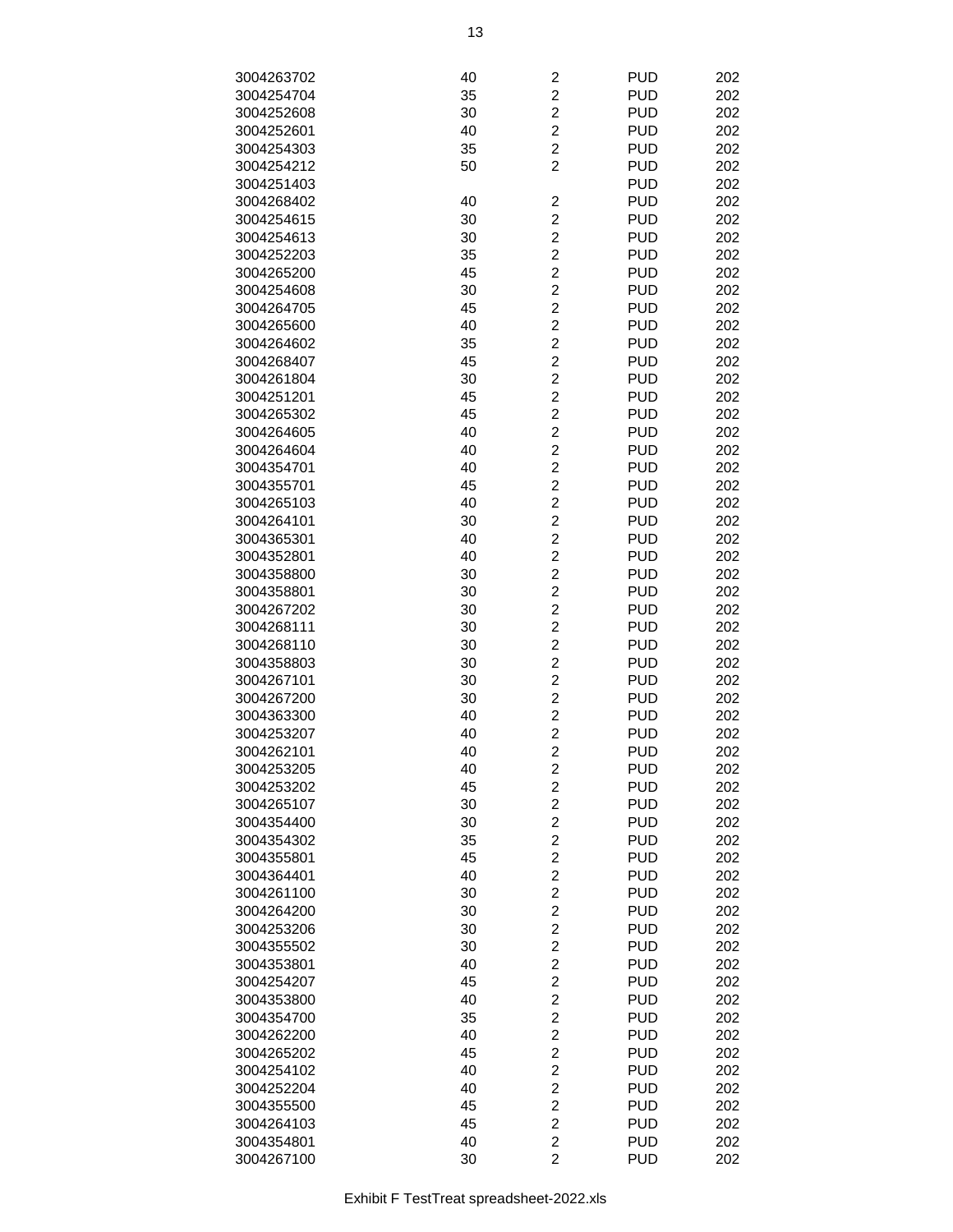| 3004263702 | 40 | 2                       | <b>PUD</b> | 202 |
|------------|----|-------------------------|------------|-----|
| 3004254704 | 35 | $\overline{c}$          | <b>PUD</b> | 202 |
| 3004252608 | 30 | $\overline{c}$          | <b>PUD</b> | 202 |
| 3004252601 | 40 | $\overline{c}$          | <b>PUD</b> | 202 |
| 3004254303 | 35 | $\overline{c}$          | <b>PUD</b> | 202 |
| 3004254212 | 50 | 2                       | <b>PUD</b> | 202 |
| 3004251403 |    |                         | <b>PUD</b> | 202 |
| 3004268402 | 40 | 2                       | <b>PUD</b> | 202 |
|            |    | $\overline{2}$          | <b>PUD</b> | 202 |
| 3004254615 | 30 | $\overline{c}$          | <b>PUD</b> |     |
| 3004254613 | 30 |                         |            | 202 |
| 3004252203 | 35 | $\overline{c}$          | <b>PUD</b> | 202 |
| 3004265200 | 45 | $\overline{\mathbf{c}}$ | <b>PUD</b> | 202 |
| 3004254608 | 30 | $\overline{c}$          | <b>PUD</b> | 202 |
| 3004264705 | 45 | $\overline{c}$          | <b>PUD</b> | 202 |
| 3004265600 | 40 | $\overline{c}$          | <b>PUD</b> | 202 |
| 3004264602 | 35 | $\overline{\mathbf{c}}$ | <b>PUD</b> | 202 |
| 3004268407 | 45 | $\overline{c}$          | <b>PUD</b> | 202 |
| 3004261804 | 30 | $\overline{2}$          | <b>PUD</b> | 202 |
| 3004251201 | 45 | $\overline{2}$          | <b>PUD</b> | 202 |
| 3004265302 | 45 | $\overline{c}$          | <b>PUD</b> | 202 |
| 3004264605 | 40 | $\overline{c}$          | <b>PUD</b> | 202 |
| 3004264604 | 40 | $\overline{c}$          | <b>PUD</b> | 202 |
| 3004354701 | 40 | $\overline{c}$          | <b>PUD</b> | 202 |
| 3004355701 | 45 | $\overline{c}$          | <b>PUD</b> | 202 |
| 3004265103 | 40 | $\overline{c}$          | <b>PUD</b> | 202 |
| 3004264101 | 30 | $\overline{\mathbf{c}}$ | <b>PUD</b> | 202 |
| 3004365301 | 40 | $\overline{\mathbf{c}}$ | <b>PUD</b> | 202 |
| 3004352801 | 40 | $\overline{c}$          | <b>PUD</b> | 202 |
| 3004358800 | 30 | $\overline{2}$          | <b>PUD</b> | 202 |
| 3004358801 | 30 | $\overline{c}$          | <b>PUD</b> | 202 |
| 3004267202 | 30 | $\overline{c}$          | <b>PUD</b> | 202 |
| 3004268111 | 30 | $\overline{\mathbf{c}}$ | <b>PUD</b> | 202 |
| 3004268110 | 30 | $\overline{c}$          | <b>PUD</b> | 202 |
| 3004358803 | 30 | $\overline{c}$          | <b>PUD</b> | 202 |
| 3004267101 | 30 | 2                       | <b>PUD</b> | 202 |
| 3004267200 | 30 | $\overline{\mathbf{c}}$ | <b>PUD</b> | 202 |
| 3004363300 | 40 | $\overline{\mathbf{c}}$ | <b>PUD</b> | 202 |
| 3004253207 | 40 | $\overline{2}$          | <b>PUD</b> | 202 |
| 3004262101 | 40 | $\overline{2}$          | <b>PUD</b> | 202 |
| 3004253205 | 40 | 2                       | <b>PUD</b> | 202 |
| 3004253202 | 45 | $\overline{\mathbf{c}}$ | <b>PUD</b> | 202 |
| 3004265107 | 30 | $\overline{\mathbf{c}}$ | <b>PUD</b> | 202 |
| 3004354400 | 30 | $\overline{c}$          | <b>PUD</b> | 202 |
| 3004354302 | 35 | $\overline{c}$          | <b>PUD</b> | 202 |
| 3004355801 | 45 | $\overline{c}$          | <b>PUD</b> | 202 |
| 3004364401 | 40 | 2                       | <b>PUD</b> | 202 |
| 3004261100 | 30 | $\overline{\mathbf{c}}$ | <b>PUD</b> | 202 |
| 3004264200 | 30 | $\overline{c}$          | <b>PUD</b> | 202 |
| 3004253206 | 30 | $\overline{2}$          | <b>PUD</b> | 202 |
| 3004355502 | 30 | $\overline{c}$          | <b>PUD</b> | 202 |
| 3004353801 | 40 | $\overline{\mathbf{c}}$ | <b>PUD</b> | 202 |
| 3004254207 | 45 | $\overline{\mathbf{c}}$ | <b>PUD</b> | 202 |
| 3004353800 | 40 | $\overline{\mathbf{c}}$ | <b>PUD</b> | 202 |
| 3004354700 | 35 | $\overline{c}$          | <b>PUD</b> | 202 |
|            |    | $\overline{\mathbf{c}}$ |            |     |
| 3004262200 | 40 |                         | <b>PUD</b> | 202 |
| 3004265202 | 45 | 2                       | <b>PUD</b> | 202 |
| 3004254102 | 40 | $\overline{\mathbf{c}}$ | <b>PUD</b> | 202 |
| 3004252204 | 40 | $\overline{c}$          | <b>PUD</b> | 202 |
| 3004355500 | 45 | $\overline{2}$          | <b>PUD</b> | 202 |
| 3004264103 | 45 | $\overline{c}$          | <b>PUD</b> | 202 |
| 3004354801 | 40 | $\overline{\mathbf{c}}$ | <b>PUD</b> | 202 |
| 3004267100 | 30 | $\overline{2}$          | <b>PUD</b> | 202 |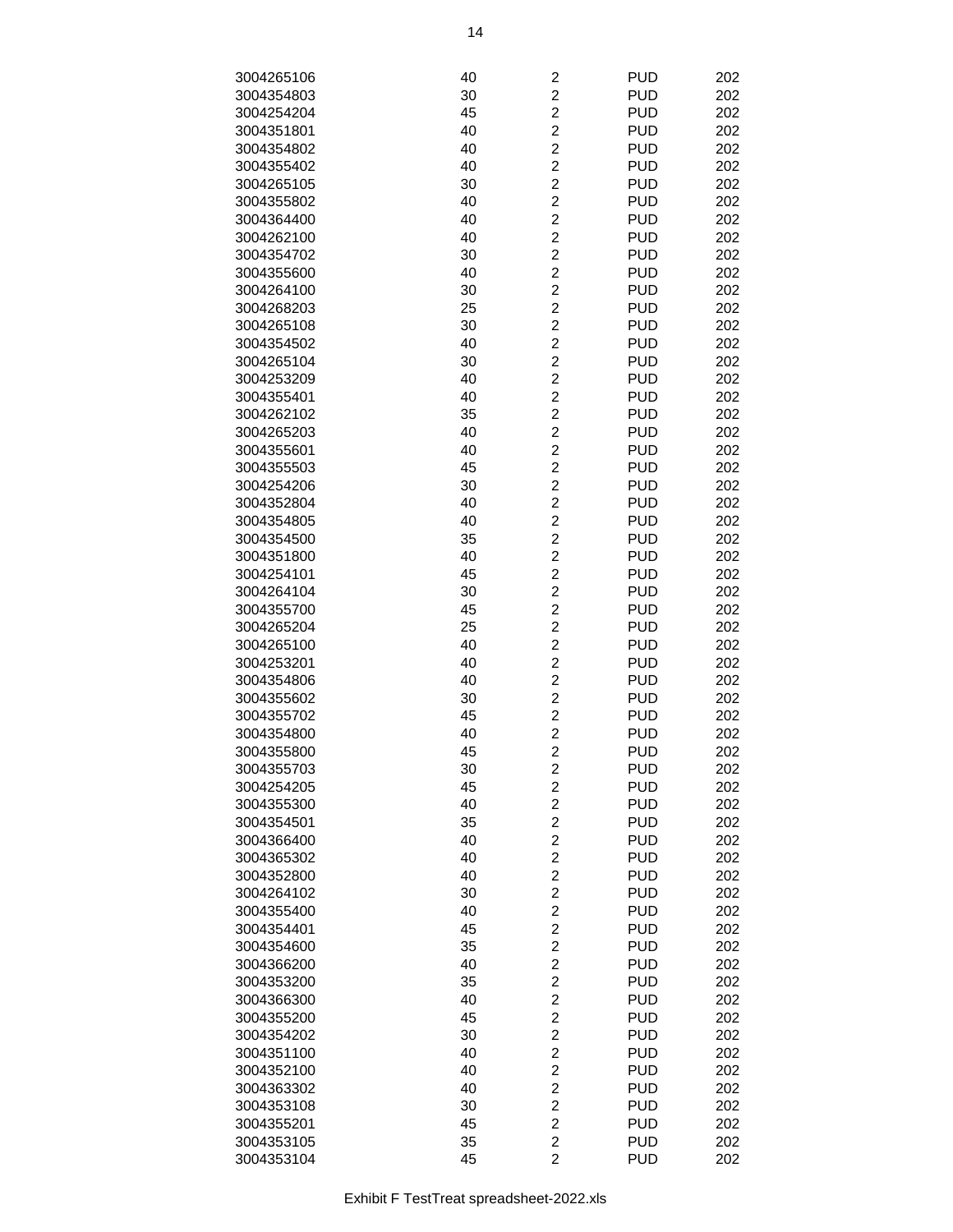| 3004265106 | 40 | $\overline{c}$          | <b>PUD</b> | 202 |
|------------|----|-------------------------|------------|-----|
| 3004354803 | 30 | $\overline{c}$          | <b>PUD</b> | 202 |
| 3004254204 | 45 | $\overline{\mathbf{c}}$ | <b>PUD</b> | 202 |
| 3004351801 | 40 | $\overline{c}$          | <b>PUD</b> | 202 |
| 3004354802 | 40 | $\overline{c}$          | <b>PUD</b> | 202 |
| 3004355402 | 40 | $\overline{c}$          | <b>PUD</b> | 202 |
| 3004265105 | 30 | $\overline{c}$          | <b>PUD</b> | 202 |
| 3004355802 | 40 | $\overline{c}$          | <b>PUD</b> | 202 |
| 3004364400 | 40 | $\overline{c}$          | <b>PUD</b> | 202 |
| 3004262100 | 40 | $\overline{2}$          | <b>PUD</b> | 202 |
| 3004354702 | 30 | $\overline{2}$          | <b>PUD</b> | 202 |
| 3004355600 | 40 | $\overline{c}$          | <b>PUD</b> | 202 |
| 3004264100 | 30 | $\overline{c}$          | <b>PUD</b> | 202 |
| 3004268203 | 25 | $\overline{c}$          | <b>PUD</b> | 202 |
| 3004265108 | 30 | $\overline{c}$          | <b>PUD</b> | 202 |
| 3004354502 | 40 | $\overline{c}$          | <b>PUD</b> | 202 |
| 3004265104 | 30 | $\overline{c}$          | <b>PUD</b> | 202 |
| 3004253209 | 40 | $\overline{c}$          | <b>PUD</b> | 202 |
| 3004355401 | 40 | $\overline{c}$          | <b>PUD</b> | 202 |
| 3004262102 | 35 | $\overline{2}$          | <b>PUD</b> | 202 |
| 3004265203 | 40 | $\overline{2}$          | <b>PUD</b> | 202 |
| 3004355601 | 40 | $\overline{c}$          | <b>PUD</b> | 202 |
| 3004355503 | 45 | $\overline{c}$          | <b>PUD</b> | 202 |
| 3004254206 | 30 | $\overline{c}$          | <b>PUD</b> | 202 |
| 3004352804 | 40 | $\overline{c}$          | <b>PUD</b> | 202 |
| 3004354805 | 40 | $\overline{c}$          | <b>PUD</b> | 202 |
| 3004354500 | 35 | $\overline{c}$          | <b>PUD</b> | 202 |
| 3004351800 | 40 | $\overline{c}$          | <b>PUD</b> | 202 |
| 3004254101 | 45 | $\overline{c}$          | <b>PUD</b> | 202 |
| 3004264104 | 30 | $\overline{2}$          | <b>PUD</b> | 202 |
| 3004355700 | 45 | $\overline{2}$          | <b>PUD</b> | 202 |
| 3004265204 | 25 | $\overline{c}$          | <b>PUD</b> | 202 |
| 3004265100 | 40 | $\overline{c}$          | <b>PUD</b> | 202 |
| 3004253201 | 40 | $\overline{c}$          | <b>PUD</b> | 202 |
| 3004354806 | 40 | $\overline{c}$          | <b>PUD</b> | 202 |
| 3004355602 | 30 | $\overline{c}$          | <b>PUD</b> | 202 |
| 3004355702 | 45 | $\overline{c}$          | <b>PUD</b> | 202 |
| 3004354800 | 40 | $\overline{c}$          | <b>PUD</b> | 202 |
| 3004355800 | 45 | $\overline{2}$          | <b>PUD</b> | 202 |
| 3004355703 | 30 | $\overline{\mathbf{c}}$ | <b>PUD</b> | 202 |
| 3004254205 | 45 | $\overline{c}$          | <b>PUD</b> | 202 |
| 3004355300 | 40 | $\overline{c}$          | <b>PUD</b> | 202 |
| 3004354501 | 35 | $\overline{c}$          | <b>PUD</b> | 202 |
| 3004366400 | 40 | $\overline{c}$          | <b>PUD</b> | 202 |
| 3004365302 | 40 | $\overline{c}$          | <b>PUD</b> | 202 |
| 3004352800 | 40 | $\overline{c}$          | <b>PUD</b> | 202 |
| 3004264102 | 30 | $\overline{c}$          | <b>PUD</b> | 202 |
| 3004355400 | 40 | $\overline{\mathbf{c}}$ | <b>PUD</b> | 202 |
| 3004354401 | 45 | $\overline{c}$          | <b>PUD</b> | 202 |
| 3004354600 | 35 | $\overline{c}$          | <b>PUD</b> | 202 |
| 3004366200 | 40 | $\overline{2}$          | <b>PUD</b> | 202 |
| 3004353200 | 35 | $\overline{c}$          | <b>PUD</b> | 202 |
| 3004366300 | 40 | $\overline{\mathbf{c}}$ | <b>PUD</b> | 202 |
| 3004355200 | 45 | $\overline{\mathbf{c}}$ | <b>PUD</b> | 202 |
| 3004354202 | 30 | $\overline{\mathbf{c}}$ | <b>PUD</b> | 202 |
| 3004351100 | 40 | $\overline{c}$          | <b>PUD</b> | 202 |
| 3004352100 | 40 | $\overline{c}$          | <b>PUD</b> | 202 |
| 3004363302 | 40 | $\overline{\mathbf{c}}$ | <b>PUD</b> | 202 |
| 3004353108 | 30 | $\overline{c}$          | <b>PUD</b> | 202 |
| 3004355201 | 45 | $\overline{c}$          | <b>PUD</b> | 202 |
| 3004353105 | 35 | $\overline{2}$          | <b>PUD</b> | 202 |
| 3004353104 | 45 | $\overline{2}$          | <b>PUD</b> | 202 |
|            |    |                         |            |     |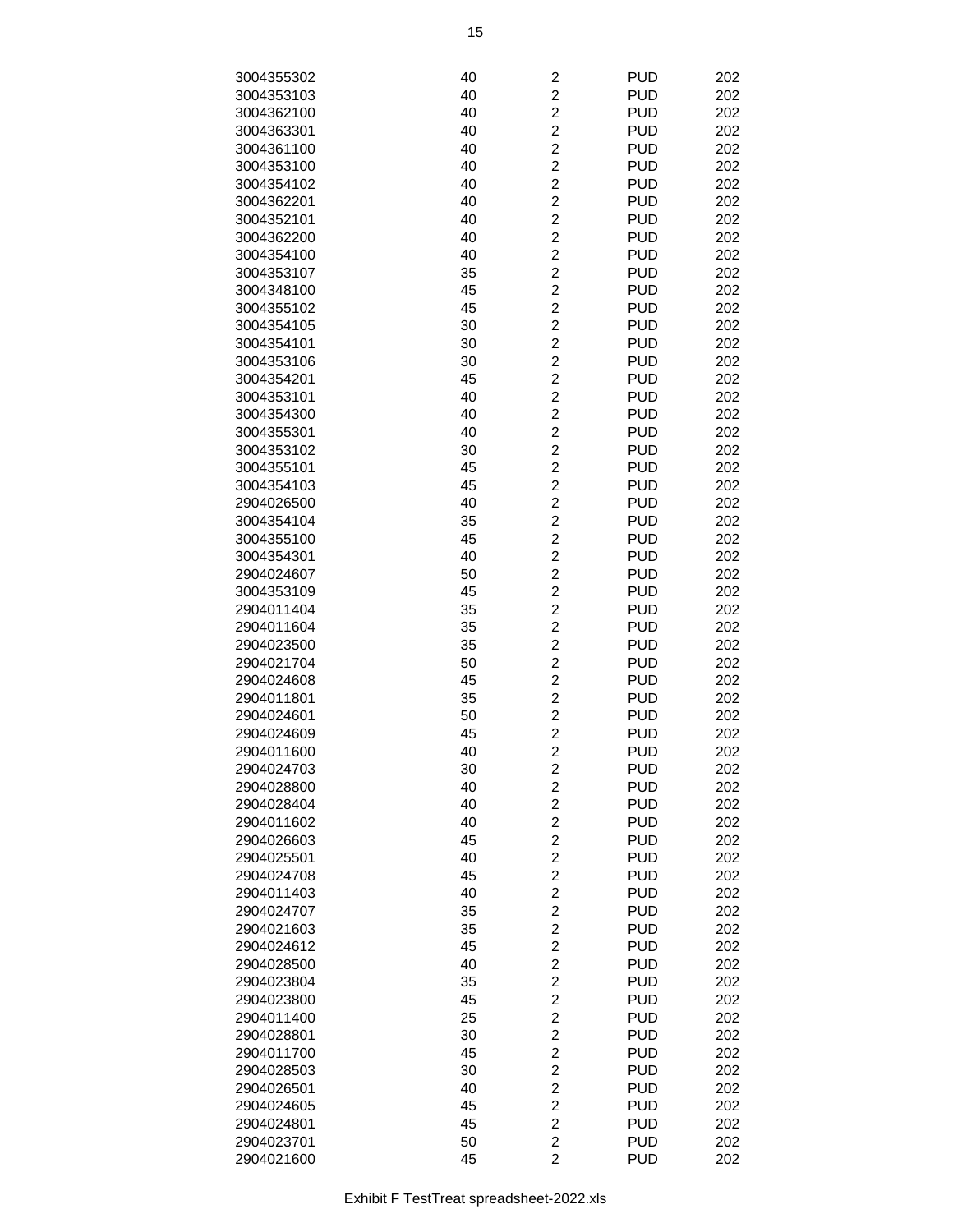| 3004355302               | 40 | $\overline{\mathbf{c}}$ | <b>PUD</b> | 202 |
|--------------------------|----|-------------------------|------------|-----|
| 3004353103               | 40 | $\overline{c}$          | <b>PUD</b> | 202 |
| 3004362100               | 40 | $\overline{c}$          | <b>PUD</b> | 202 |
| 3004363301               | 40 | $\overline{c}$          | <b>PUD</b> | 202 |
| 3004361100               | 40 | $\overline{c}$          | <b>PUD</b> | 202 |
| 3004353100               |    | $\overline{c}$          | <b>PUD</b> |     |
|                          | 40 |                         |            | 202 |
| 3004354102               | 40 | $\overline{\mathbf{c}}$ | <b>PUD</b> | 202 |
| 3004362201               | 40 | $\overline{\mathbf{c}}$ | <b>PUD</b> | 202 |
| 3004352101               | 40 | $\overline{c}$          | <b>PUD</b> | 202 |
| 3004362200               | 40 | $\overline{2}$          | <b>PUD</b> | 202 |
| 3004354100               | 40 | $\overline{2}$          | <b>PUD</b> | 202 |
| 3004353107               | 35 | $\overline{c}$          | <b>PUD</b> | 202 |
| 3004348100               | 45 | $\overline{c}$          | <b>PUD</b> | 202 |
| 3004355102               | 45 | $\overline{c}$          | <b>PUD</b> | 202 |
| 3004354105               | 30 | $\overline{c}$          | <b>PUD</b> | 202 |
| 3004354101               | 30 | $\overline{c}$          | <b>PUD</b> | 202 |
| 3004353106               | 30 | $\overline{c}$          | <b>PUD</b> | 202 |
| 3004354201               | 45 | $\overline{c}$          | <b>PUD</b> | 202 |
| 3004353101               | 40 | $\overline{c}$          | <b>PUD</b> | 202 |
| 3004354300               | 40 | $\overline{2}$          | <b>PUD</b> | 202 |
| 3004355301               | 40 | $\overline{2}$          | <b>PUD</b> | 202 |
| 3004353102               | 30 | $\overline{c}$          | <b>PUD</b> | 202 |
| 3004355101               | 45 | $\overline{c}$          | <b>PUD</b> | 202 |
| 3004354103               | 45 | $\overline{c}$          | <b>PUD</b> | 202 |
| 2904026500               | 40 | $\overline{c}$          | <b>PUD</b> | 202 |
| 3004354104               | 35 | $\overline{c}$          | <b>PUD</b> | 202 |
| 3004355100               | 45 | $\overline{\mathbf{c}}$ | <b>PUD</b> | 202 |
| 3004354301               | 40 | $\overline{c}$          | <b>PUD</b> | 202 |
| 2904024607               | 50 | $\overline{c}$          | <b>PUD</b> | 202 |
| 3004353109               | 45 | $\overline{2}$          | <b>PUD</b> | 202 |
| 2904011404               | 35 | $\overline{2}$          | <b>PUD</b> | 202 |
| 2904011604               | 35 | $\overline{c}$          | <b>PUD</b> | 202 |
| 2904023500               | 35 | $\overline{c}$          | <b>PUD</b> | 202 |
| 2904021704               | 50 | $\overline{c}$          | <b>PUD</b> | 202 |
| 2904024608               | 45 | $\overline{c}$          | <b>PUD</b> | 202 |
| 2904011801               | 35 | $\overline{c}$          | <b>PUD</b> | 202 |
| 2904024601               | 50 | $\overline{\mathbf{c}}$ | <b>PUD</b> | 202 |
| 2904024609               | 45 | $\overline{c}$          | <b>PUD</b> | 202 |
| 2904011600               | 40 | $\overline{c}$          | <b>PUD</b> | 202 |
| 2904024703               | 30 | 2                       | <b>PUD</b> | 202 |
| 2904028800               | 40 | $\overline{c}$          | <b>PUD</b> | 202 |
| 2904028404               | 40 | $\overline{c}$          | <b>PUD</b> | 202 |
| 2904011602               | 40 | $\overline{c}$          | <b>PUD</b> | 202 |
| 2904026603               | 45 | $\overline{c}$          | <b>PUD</b> | 202 |
| 2904025501               | 40 | $\overline{c}$          | <b>PUD</b> | 202 |
|                          |    | $\overline{c}$          | <b>PUD</b> |     |
| 2904024708<br>2904011403 | 45 |                         |            | 202 |
|                          | 40 | $\overline{\mathbf{c}}$ | <b>PUD</b> | 202 |
| 2904024707               | 35 | $\overline{c}$          | <b>PUD</b> | 202 |
| 2904021603               | 35 | $\overline{c}$          | <b>PUD</b> | 202 |
| 2904024612               | 45 | $\overline{2}$          | <b>PUD</b> | 202 |
| 2904028500               | 40 | $\overline{c}$          | <b>PUD</b> | 202 |
| 2904023804               | 35 | $\overline{c}$          | <b>PUD</b> | 202 |
| 2904023800               | 45 | $\overline{c}$          | <b>PUD</b> | 202 |
| 2904011400               | 25 | $\overline{c}$          | <b>PUD</b> | 202 |
| 2904028801               | 30 | $\overline{c}$          | <b>PUD</b> | 202 |
| 2904011700               | 45 | $\overline{\mathbf{c}}$ | <b>PUD</b> | 202 |
| 2904028503               | 30 | $\overline{\mathbf{c}}$ | <b>PUD</b> | 202 |
| 2904026501               | 40 | $\overline{\mathbf{c}}$ | <b>PUD</b> | 202 |
| 2904024605               | 45 | $\overline{c}$          | <b>PUD</b> | 202 |
| 2904024801               | 45 | $\overline{c}$          | <b>PUD</b> | 202 |
| 2904023701               | 50 | $\overline{c}$          | <b>PUD</b> | 202 |
| 2904021600               | 45 | $\overline{2}$          | <b>PUD</b> | 202 |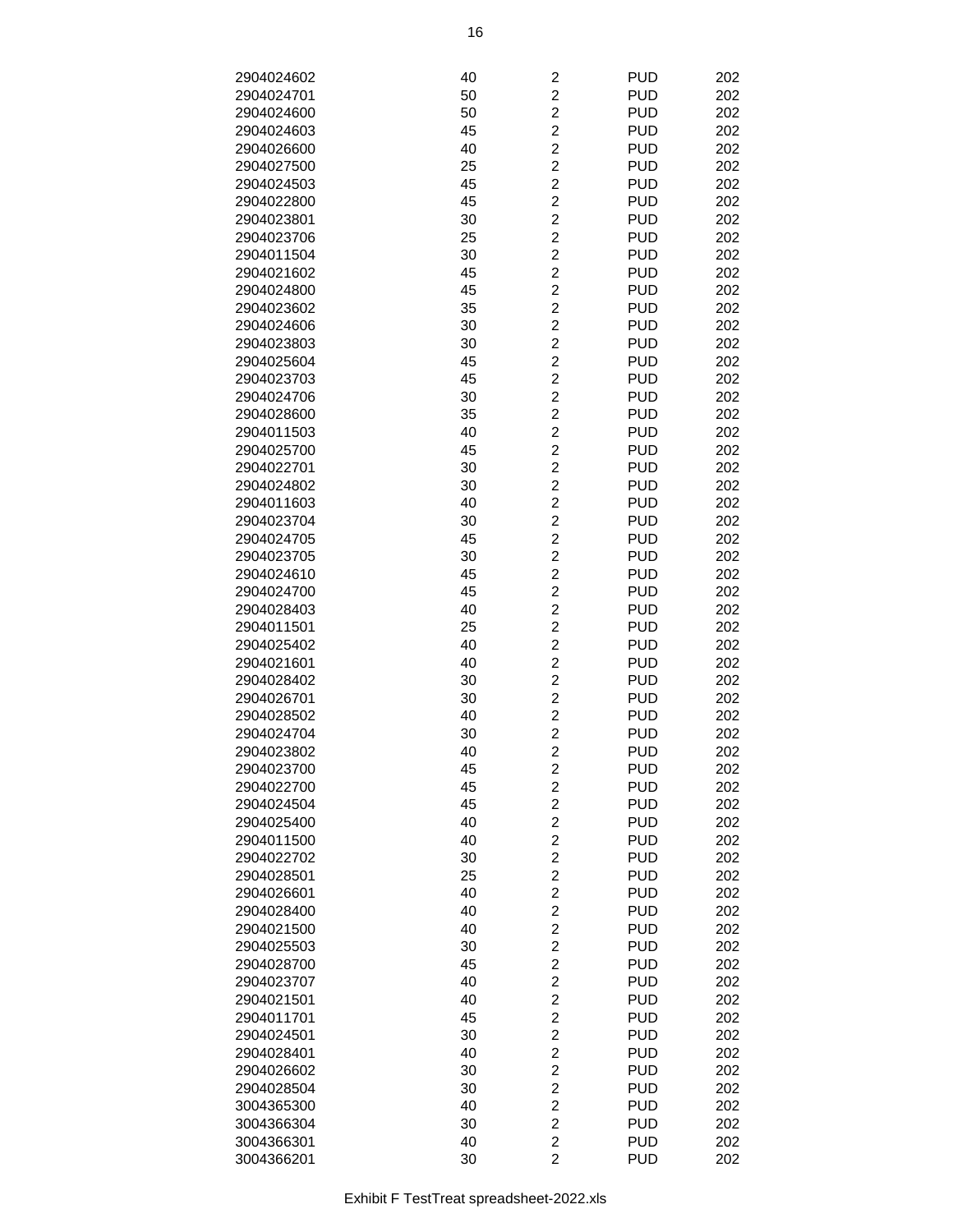| 2904024602 | 40 | $\overline{\mathbf{c}}$ | <b>PUD</b> | 202 |
|------------|----|-------------------------|------------|-----|
| 2904024701 | 50 | $\overline{c}$          | <b>PUD</b> | 202 |
| 2904024600 | 50 | $\overline{c}$          | <b>PUD</b> | 202 |
| 2904024603 | 45 | $\overline{c}$          | <b>PUD</b> | 202 |
|            | 40 | $\overline{c}$          | <b>PUD</b> | 202 |
| 2904026600 |    |                         |            |     |
| 2904027500 | 25 | $\overline{c}$          | <b>PUD</b> | 202 |
| 2904024503 | 45 | $\overline{\mathbf{c}}$ | <b>PUD</b> | 202 |
| 2904022800 | 45 | $\overline{c}$          | <b>PUD</b> | 202 |
| 2904023801 | 30 | $\overline{c}$          | <b>PUD</b> | 202 |
| 2904023706 | 25 | $\overline{2}$          | <b>PUD</b> | 202 |
| 2904011504 | 30 | $\overline{2}$          | <b>PUD</b> | 202 |
| 2904021602 | 45 | $\overline{c}$          | <b>PUD</b> | 202 |
| 2904024800 | 45 | $\overline{c}$          | <b>PUD</b> | 202 |
| 2904023602 | 35 | $\overline{c}$          | <b>PUD</b> | 202 |
| 2904024606 | 30 | $\overline{c}$          | <b>PUD</b> | 202 |
| 2904023803 | 30 | $\overline{c}$          | <b>PUD</b> | 202 |
| 2904025604 | 45 | $\overline{c}$          | <b>PUD</b> | 202 |
| 2904023703 | 45 | $\overline{c}$          | <b>PUD</b> | 202 |
| 2904024706 | 30 | $\overline{c}$          | <b>PUD</b> | 202 |
| 2904028600 | 35 | $\overline{2}$          | <b>PUD</b> | 202 |
| 2904011503 | 40 | $\overline{2}$          | <b>PUD</b> | 202 |
|            |    | $\overline{c}$          |            |     |
| 2904025700 | 45 |                         | <b>PUD</b> | 202 |
| 2904022701 | 30 | $\overline{c}$          | <b>PUD</b> | 202 |
| 2904024802 | 30 | $\overline{c}$          | <b>PUD</b> | 202 |
| 2904011603 | 40 | $\overline{c}$          | <b>PUD</b> | 202 |
| 2904023704 | 30 | $\overline{c}$          | <b>PUD</b> | 202 |
| 2904024705 | 45 | $\overline{\mathbf{c}}$ | <b>PUD</b> | 202 |
| 2904023705 | 30 | $\overline{c}$          | <b>PUD</b> | 202 |
| 2904024610 | 45 | $\overline{c}$          | <b>PUD</b> | 202 |
| 2904024700 | 45 | $\overline{2}$          | <b>PUD</b> | 202 |
| 2904028403 | 40 | $\overline{2}$          | <b>PUD</b> | 202 |
| 2904011501 | 25 | $\overline{c}$          | <b>PUD</b> | 202 |
| 2904025402 | 40 | $\overline{c}$          | <b>PUD</b> | 202 |
| 2904021601 | 40 | $\overline{c}$          | <b>PUD</b> | 202 |
| 2904028402 | 30 | $\overline{c}$          | <b>PUD</b> | 202 |
| 2904026701 | 30 | $\overline{c}$          | <b>PUD</b> | 202 |
| 2904028502 | 40 | $\overline{c}$          | <b>PUD</b> | 202 |
| 2904024704 | 30 | $\overline{c}$          | <b>PUD</b> | 202 |
| 2904023802 | 40 | $\overline{c}$          | <b>PUD</b> | 202 |
| 2904023700 | 45 | 2                       | <b>PUD</b> | 202 |
| 2904022700 | 45 | $\overline{c}$          | <b>PUD</b> | 202 |
| 2904024504 | 45 | $\overline{c}$          | <b>PUD</b> | 202 |
|            | 40 | $\overline{c}$          |            | 202 |
| 2904025400 |    |                         | <b>PUD</b> |     |
| 2904011500 | 40 | $\overline{c}$          | <b>PUD</b> | 202 |
| 2904022702 | 30 | $\overline{c}$          | <b>PUD</b> | 202 |
| 2904028501 | 25 | $\overline{c}$          | <b>PUD</b> | 202 |
| 2904026601 | 40 | $\overline{\mathbf{c}}$ | <b>PUD</b> | 202 |
| 2904028400 | 40 | $\overline{\mathbf{c}}$ | <b>PUD</b> | 202 |
| 2904021500 | 40 | $\overline{c}$          | <b>PUD</b> | 202 |
| 2904025503 | 30 | $\overline{2}$          | <b>PUD</b> | 202 |
| 2904028700 | 45 | $\overline{c}$          | <b>PUD</b> | 202 |
| 2904023707 | 40 | $\overline{c}$          | <b>PUD</b> | 202 |
| 2904021501 | 40 | $\overline{c}$          | <b>PUD</b> | 202 |
| 2904011701 | 45 | $\overline{\mathbf{c}}$ | <b>PUD</b> | 202 |
| 2904024501 | 30 | $\overline{c}$          | <b>PUD</b> | 202 |
| 2904028401 | 40 | $\overline{\mathbf{c}}$ | <b>PUD</b> | 202 |
| 2904026602 | 30 | $\overline{\mathbf{c}}$ | <b>PUD</b> | 202 |
| 2904028504 | 30 | $\overline{\mathbf{c}}$ | <b>PUD</b> | 202 |
| 3004365300 | 40 | $\overline{c}$          | <b>PUD</b> | 202 |
| 3004366304 | 30 | $\overline{c}$          | <b>PUD</b> | 202 |
| 3004366301 | 40 | $\overline{c}$          | <b>PUD</b> | 202 |
| 3004366201 | 30 | $\overline{2}$          | <b>PUD</b> | 202 |
|            |    |                         |            |     |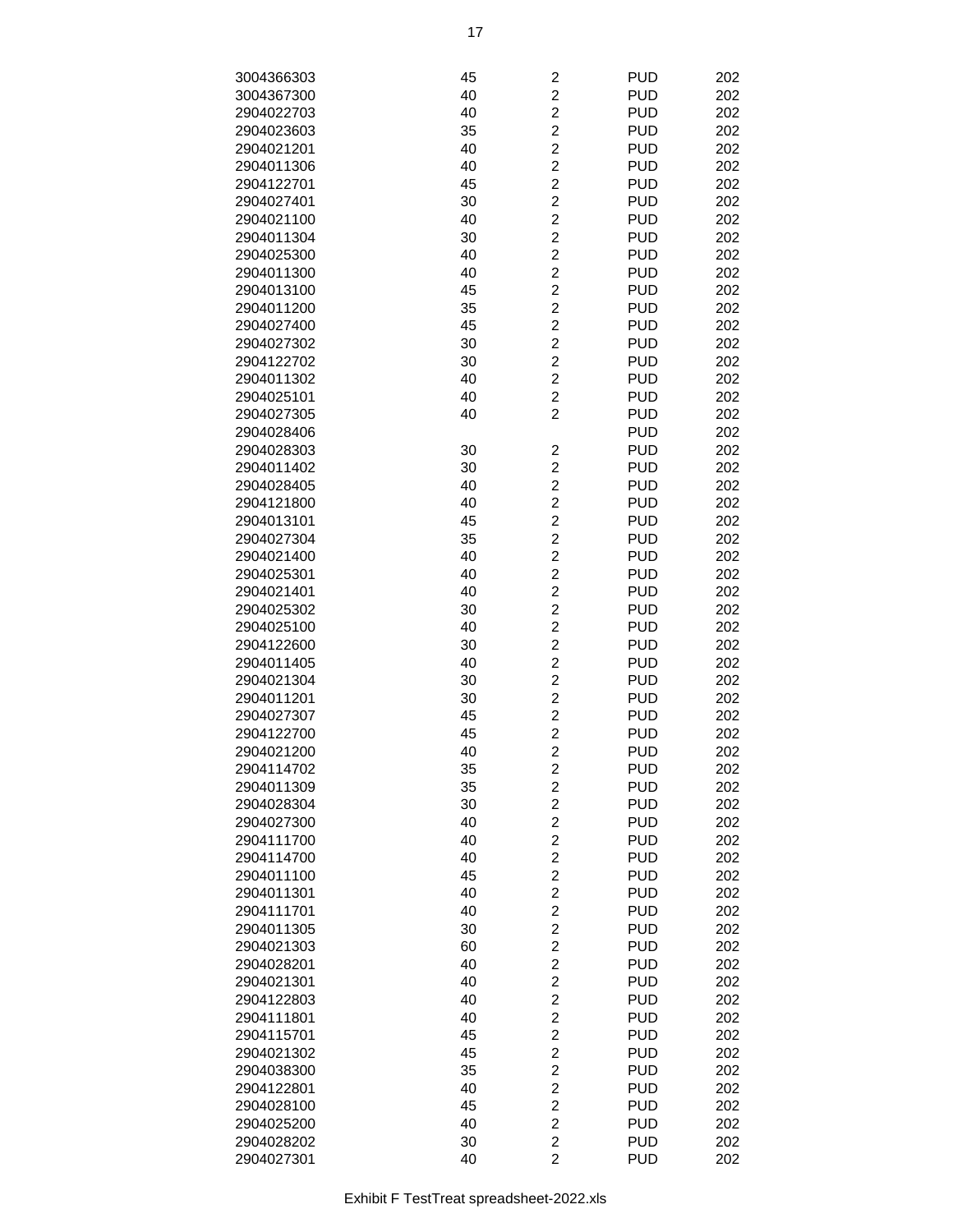| 3004366303 | 45 | 2                       | <b>PUD</b> | 202 |
|------------|----|-------------------------|------------|-----|
| 3004367300 | 40 | $\overline{c}$          | <b>PUD</b> | 202 |
| 2904022703 | 40 | $\overline{c}$          | <b>PUD</b> | 202 |
| 2904023603 | 35 | $\overline{c}$          | <b>PUD</b> | 202 |
| 2904021201 | 40 | $\overline{c}$          | <b>PUD</b> | 202 |
|            |    | $\overline{\mathbf{c}}$ | <b>PUD</b> |     |
| 2904011306 | 40 |                         |            | 202 |
| 2904122701 | 45 | $\overline{c}$          | <b>PUD</b> | 202 |
| 2904027401 | 30 | $\overline{c}$          | <b>PUD</b> | 202 |
| 2904021100 | 40 | $\overline{c}$          | <b>PUD</b> | 202 |
| 2904011304 | 30 | $\overline{c}$          | <b>PUD</b> | 202 |
| 2904025300 | 40 | $\overline{c}$          | <b>PUD</b> | 202 |
| 2904011300 | 40 | $\overline{c}$          | <b>PUD</b> | 202 |
| 2904013100 | 45 | $\overline{c}$          | <b>PUD</b> | 202 |
| 2904011200 | 35 | $\overline{c}$          | <b>PUD</b> | 202 |
| 2904027400 | 45 | $\overline{c}$          | <b>PUD</b> | 202 |
| 2904027302 | 30 | $\overline{c}$          | <b>PUD</b> | 202 |
| 2904122702 | 30 | $\overline{c}$          | <b>PUD</b> | 202 |
| 2904011302 | 40 | $\overline{c}$          | <b>PUD</b> | 202 |
| 2904025101 | 40 | $\overline{c}$          | <b>PUD</b> | 202 |
| 2904027305 | 40 | $\overline{2}$          | <b>PUD</b> | 202 |
| 2904028406 |    |                         | <b>PUD</b> | 202 |
| 2904028303 | 30 | $\overline{\mathbf{c}}$ | <b>PUD</b> | 202 |
| 2904011402 | 30 | $\overline{c}$          | <b>PUD</b> | 202 |
| 2904028405 | 40 | $\overline{c}$          | <b>PUD</b> | 202 |
| 2904121800 | 40 | $\overline{c}$          | <b>PUD</b> | 202 |
| 2904013101 | 45 | $\overline{\mathbf{c}}$ | <b>PUD</b> | 202 |
| 2904027304 | 35 | $\overline{\mathbf{c}}$ | <b>PUD</b> | 202 |
|            |    |                         |            |     |
| 2904021400 | 40 | $\overline{c}$          | <b>PUD</b> | 202 |
| 2904025301 | 40 | $\overline{c}$          | <b>PUD</b> | 202 |
| 2904021401 | 40 | $\overline{2}$          | <b>PUD</b> | 202 |
| 2904025302 | 30 | $\overline{c}$          | <b>PUD</b> | 202 |
| 2904025100 | 40 | $\overline{c}$          | <b>PUD</b> | 202 |
| 2904122600 | 30 | $\overline{c}$          | <b>PUD</b> | 202 |
| 2904011405 | 40 | $\overline{c}$          | <b>PUD</b> | 202 |
| 2904021304 | 30 | $\overline{c}$          | <b>PUD</b> | 202 |
| 2904011201 | 30 | $\overline{c}$          | <b>PUD</b> | 202 |
| 2904027307 | 45 | $\overline{\mathbf{c}}$ | <b>PUD</b> | 202 |
| 2904122700 | 45 | $\overline{c}$          | <b>PUD</b> | 202 |
| 2904021200 | 40 | $\overline{c}$          | <b>PUD</b> | 202 |
| 2904114702 | 35 | $\overline{\mathbf{c}}$ | <b>PUD</b> | 202 |
| 2904011309 | 35 | $\overline{\mathbf{c}}$ | <b>PUD</b> | 202 |
| 2904028304 | 30 | $\overline{c}$          | <b>PUD</b> | 202 |
| 2904027300 | 40 | $\overline{\mathbf{c}}$ | <b>PUD</b> | 202 |
| 2904111700 | 40 | $\overline{c}$          | <b>PUD</b> | 202 |
| 2904114700 | 40 | $\overline{c}$          | <b>PUD</b> | 202 |
| 2904011100 | 45 | $\overline{\mathbf{c}}$ | <b>PUD</b> | 202 |
| 2904011301 | 40 | $\overline{\mathbf{c}}$ | <b>PUD</b> | 202 |
| 2904111701 | 40 | $\overline{c}$          | <b>PUD</b> | 202 |
| 2904011305 | 30 | $\overline{c}$          | <b>PUD</b> | 202 |
| 2904021303 | 60 | $\overline{c}$          | <b>PUD</b> | 202 |
| 2904028201 | 40 | $\overline{c}$          | <b>PUD</b> | 202 |
| 2904021301 | 40 | $\overline{c}$          | <b>PUD</b> | 202 |
| 2904122803 | 40 | $\overline{\mathbf{c}}$ | <b>PUD</b> | 202 |
|            |    |                         |            |     |
| 2904111801 | 40 | $\overline{\mathbf{c}}$ | <b>PUD</b> | 202 |
| 2904115701 | 45 | $\boldsymbol{2}$        | <b>PUD</b> | 202 |
| 2904021302 | 45 | $\overline{\mathbf{c}}$ | <b>PUD</b> | 202 |
| 2904038300 | 35 | $\overline{\mathbf{c}}$ | <b>PUD</b> | 202 |
| 2904122801 | 40 | $\overline{\mathbf{c}}$ | <b>PUD</b> | 202 |
| 2904028100 | 45 | $\overline{c}$          | <b>PUD</b> | 202 |
| 2904025200 | 40 | $\overline{c}$          | <b>PUD</b> | 202 |
| 2904028202 | 30 | $\overline{c}$          | <b>PUD</b> | 202 |
| 2904027301 | 40 | $\overline{2}$          | <b>PUD</b> | 202 |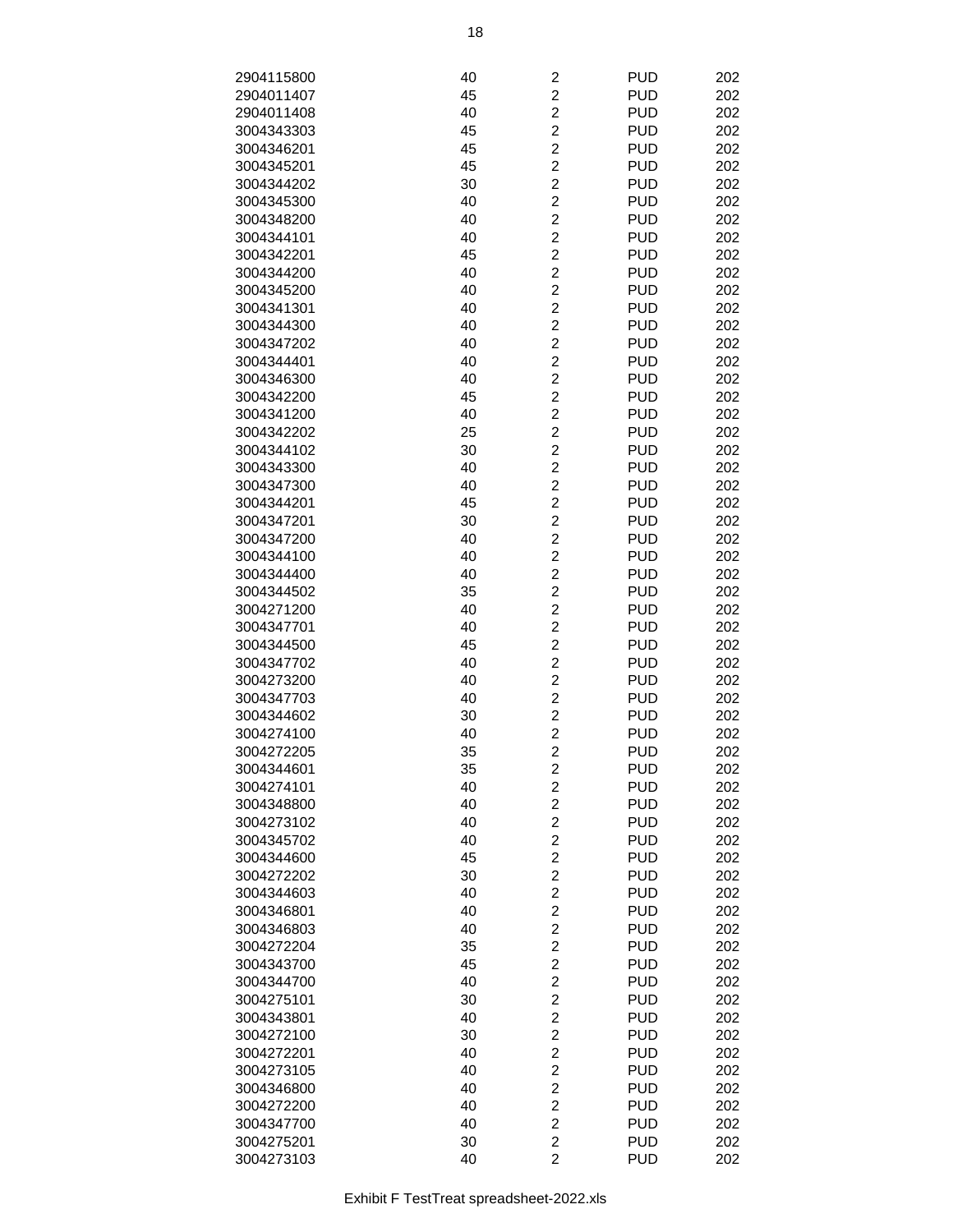| 2904115800 | 40 | $\overline{c}$          | <b>PUD</b> | 202 |
|------------|----|-------------------------|------------|-----|
| 2904011407 | 45 | $\overline{c}$          | <b>PUD</b> | 202 |
| 2904011408 | 40 | $\overline{c}$          | <b>PUD</b> | 202 |
| 3004343303 | 45 | $\overline{c}$          | <b>PUD</b> | 202 |
| 3004346201 | 45 | $\overline{c}$          | <b>PUD</b> | 202 |
|            |    | $\overline{2}$          |            |     |
| 3004345201 | 45 |                         | <b>PUD</b> | 202 |
| 3004344202 | 30 | $\overline{c}$          | <b>PUD</b> | 202 |
| 3004345300 | 40 | $\overline{c}$          | <b>PUD</b> | 202 |
| 3004348200 | 40 | $\overline{c}$          | <b>PUD</b> | 202 |
| 3004344101 | 40 | $\overline{2}$          | <b>PUD</b> | 202 |
| 3004342201 | 45 | $\overline{2}$          | <b>PUD</b> | 202 |
| 3004344200 | 40 | $\overline{c}$          | <b>PUD</b> | 202 |
| 3004345200 | 40 | $\overline{c}$          | <b>PUD</b> | 202 |
| 3004341301 | 40 | $\overline{c}$          | <b>PUD</b> | 202 |
| 3004344300 | 40 | $\overline{c}$          | <b>PUD</b> | 202 |
| 3004347202 | 40 | $\overline{c}$          | <b>PUD</b> | 202 |
| 3004344401 | 40 | $\overline{c}$          | <b>PUD</b> | 202 |
| 3004346300 | 40 | $\overline{c}$          | <b>PUD</b> | 202 |
| 3004342200 | 45 | $\overline{c}$          | <b>PUD</b> | 202 |
| 3004341200 | 40 | $\overline{2}$          | <b>PUD</b> | 202 |
| 3004342202 | 25 | $\overline{2}$          | <b>PUD</b> | 202 |
| 3004344102 | 30 | $\overline{c}$          | <b>PUD</b> | 202 |
| 3004343300 | 40 | $\overline{c}$          | <b>PUD</b> | 202 |
| 3004347300 | 40 | $\overline{c}$          | <b>PUD</b> | 202 |
| 3004344201 | 45 | $\overline{c}$          | <b>PUD</b> | 202 |
| 3004347201 | 30 | $\overline{c}$          | <b>PUD</b> | 202 |
| 3004347200 | 40 | $\overline{c}$          | <b>PUD</b> | 202 |
| 3004344100 | 40 | $\overline{c}$          | <b>PUD</b> | 202 |
| 3004344400 | 40 | $\overline{c}$          | <b>PUD</b> | 202 |
| 3004344502 | 35 | $\overline{2}$          | <b>PUD</b> | 202 |
| 3004271200 | 40 | $\overline{2}$          | <b>PUD</b> | 202 |
| 3004347701 | 40 | $\overline{c}$          | <b>PUD</b> | 202 |
|            |    |                         |            |     |
| 3004344500 | 45 | $\overline{c}$          | <b>PUD</b> | 202 |
| 3004347702 | 40 | $\overline{c}$          | <b>PUD</b> | 202 |
| 3004273200 | 40 | $\overline{c}$          | <b>PUD</b> | 202 |
| 3004347703 | 40 | $\overline{c}$          | <b>PUD</b> | 202 |
| 3004344602 | 30 | $\overline{c}$          | <b>PUD</b> | 202 |
| 3004274100 | 40 | $\overline{c}$          | <b>PUD</b> | 202 |
| 3004272205 | 35 | $\overline{2}$          | <b>PUD</b> | 202 |
| 3004344601 | 35 | $\overline{\mathbf{c}}$ | <b>PUD</b> | 202 |
| 3004274101 | 40 | $\overline{2}$          | <b>PUD</b> | 202 |
| 3004348800 | 40 | $\overline{c}$          | <b>PUD</b> | 202 |
| 3004273102 | 40 | $\overline{\mathbf{c}}$ | <b>PUD</b> | 202 |
| 3004345702 | 40 | $\overline{c}$          | <b>PUD</b> | 202 |
| 3004344600 | 45 | $\overline{c}$          | <b>PUD</b> | 202 |
| 3004272202 | 30 | $\overline{c}$          | <b>PUD</b> | 202 |
| 3004344603 | 40 | $\overline{c}$          | <b>PUD</b> | 202 |
| 3004346801 | 40 | $\overline{\mathbf{c}}$ | <b>PUD</b> | 202 |
| 3004346803 | 40 | $\overline{c}$          | <b>PUD</b> | 202 |
| 3004272204 | 35 | $\overline{2}$          | <b>PUD</b> | 202 |
| 3004343700 | 45 | $\overline{2}$          | <b>PUD</b> | 202 |
| 3004344700 | 40 | $\overline{c}$          | <b>PUD</b> | 202 |
| 3004275101 | 30 | $\overline{\mathbf{c}}$ | <b>PUD</b> | 202 |
| 3004343801 | 40 | $\overline{c}$          | <b>PUD</b> | 202 |
| 3004272100 | 30 | $\overline{\mathbf{c}}$ | <b>PUD</b> | 202 |
| 3004272201 | 40 | $\overline{c}$          | <b>PUD</b> | 202 |
| 3004273105 | 40 | $\overline{c}$          | <b>PUD</b> | 202 |
| 3004346800 | 40 | $\overline{\mathbf{c}}$ | <b>PUD</b> | 202 |
| 3004272200 | 40 | $\overline{c}$          | <b>PUD</b> | 202 |
| 3004347700 | 40 | $\overline{c}$          | <b>PUD</b> | 202 |
| 3004275201 | 30 | $\overline{2}$          | <b>PUD</b> | 202 |
| 3004273103 | 40 | $\overline{2}$          | <b>PUD</b> | 202 |
|            |    |                         |            |     |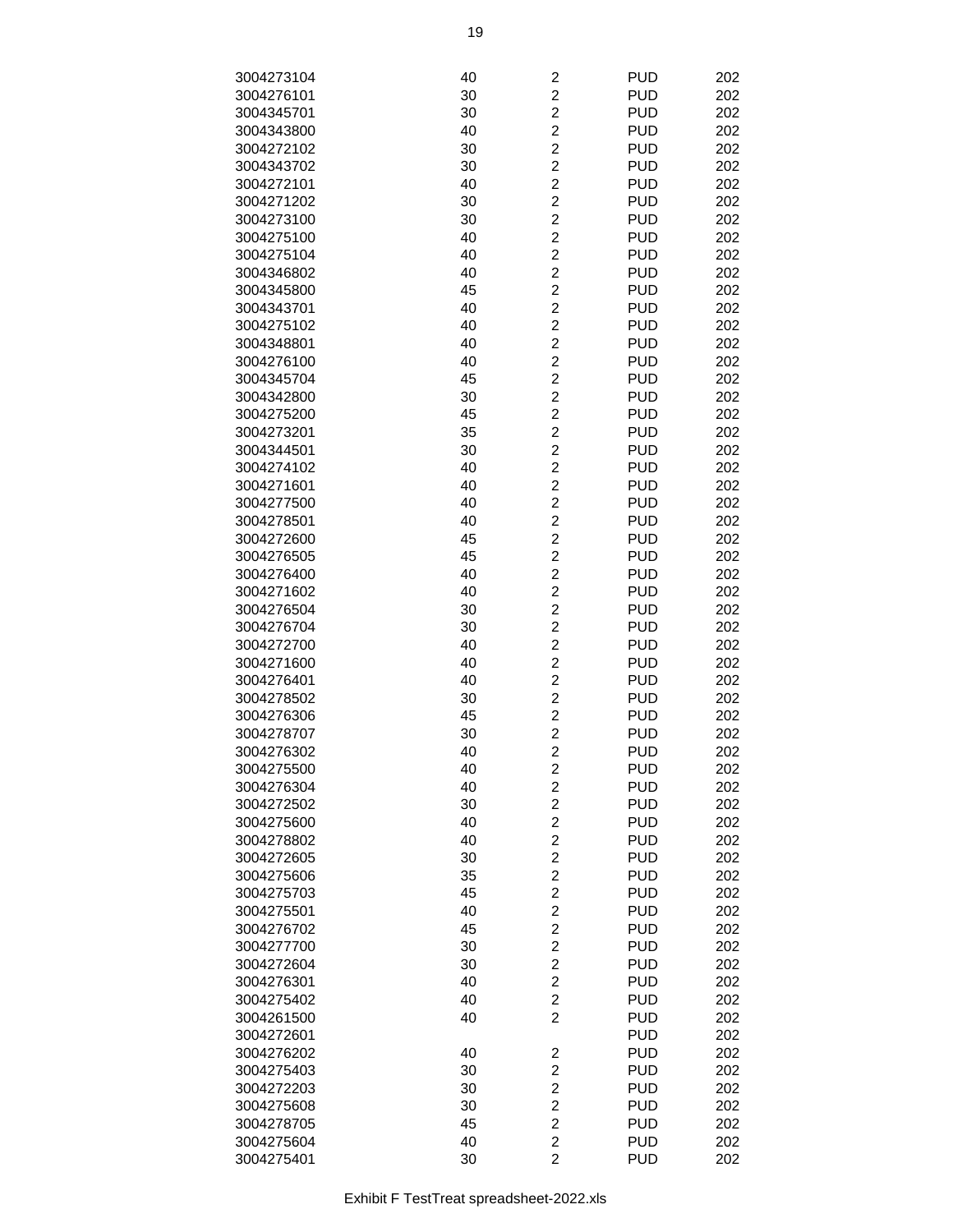| 3004273104 | 40 | $\overline{\mathbf{c}}$ | <b>PUD</b> | 202 |
|------------|----|-------------------------|------------|-----|
|            |    | $\overline{2}$          | <b>PUD</b> |     |
| 3004276101 | 30 |                         |            | 202 |
| 3004345701 | 30 | $\overline{2}$          | <b>PUD</b> | 202 |
| 3004343800 | 40 | $\overline{2}$          | <b>PUD</b> | 202 |
| 3004272102 | 30 | $\overline{c}$          | <b>PUD</b> | 202 |
| 3004343702 | 30 | $\overline{c}$          | <b>PUD</b> | 202 |
| 3004272101 | 40 | $\overline{c}$          | <b>PUD</b> | 202 |
| 3004271202 | 30 | $\overline{c}$          | <b>PUD</b> | 202 |
| 3004273100 | 30 | $\overline{c}$          | <b>PUD</b> | 202 |
| 3004275100 | 40 | $\overline{2}$          | <b>PUD</b> | 202 |
| 3004275104 | 40 | $\overline{c}$          | <b>PUD</b> | 202 |
| 3004346802 | 40 | $\overline{2}$          | <b>PUD</b> | 202 |
| 3004345800 | 45 | $\overline{2}$          | <b>PUD</b> | 202 |
| 3004343701 | 40 | $\overline{2}$          | <b>PUD</b> | 202 |
| 3004275102 | 40 | $\overline{2}$          | <b>PUD</b> | 202 |
|            |    |                         |            |     |
| 3004348801 | 40 | $\overline{c}$          | <b>PUD</b> | 202 |
| 3004276100 | 40 | $\overline{c}$          | <b>PUD</b> | 202 |
| 3004345704 | 45 | $\overline{c}$          | <b>PUD</b> | 202 |
| 3004342800 | 30 | $\overline{c}$          | <b>PUD</b> | 202 |
| 3004275200 | 45 | $\overline{2}$          | <b>PUD</b> | 202 |
| 3004273201 | 35 | $\overline{c}$          | <b>PUD</b> | 202 |
| 3004344501 | 30 | $\overline{2}$          | <b>PUD</b> | 202 |
| 3004274102 | 40 | $\overline{2}$          | <b>PUD</b> | 202 |
| 3004271601 | 40 | $\overline{2}$          | <b>PUD</b> | 202 |
| 3004277500 | 40 | $\overline{c}$          | <b>PUD</b> | 202 |
| 3004278501 | 40 | $\overline{c}$          | <b>PUD</b> | 202 |
| 3004272600 | 45 | $\overline{c}$          | <b>PUD</b> | 202 |
|            |    | $\overline{c}$          | <b>PUD</b> | 202 |
| 3004276505 | 45 |                         |            |     |
| 3004276400 | 40 | $\overline{c}$          | <b>PUD</b> | 202 |
| 3004271602 | 40 | $\overline{2}$          | <b>PUD</b> | 202 |
| 3004276504 | 30 | $\overline{c}$          | <b>PUD</b> | 202 |
| 3004276704 | 30 | $\overline{2}$          | <b>PUD</b> | 202 |
| 3004272700 | 40 | $\overline{2}$          | <b>PUD</b> | 202 |
| 3004271600 | 40 | $\overline{c}$          | <b>PUD</b> | 202 |
| 3004276401 | 40 | $\overline{c}$          | <b>PUD</b> | 202 |
| 3004278502 | 30 | $\overline{c}$          | <b>PUD</b> | 202 |
| 3004276306 | 45 | $\overline{c}$          | <b>PUD</b> | 202 |
| 3004278707 | 30 | $\overline{2}$          | <b>PUD</b> | 202 |
| 3004276302 | 40 | $\overline{c}$          | <b>PUD</b> | 202 |
| 3004275500 | 40 | $\overline{c}$          | <b>PUD</b> | 202 |
| 3004276304 | 40 | $\overline{c}$          | <b>PUD</b> | 202 |
| 3004272502 | 30 | $\overline{2}$          | <b>PUD</b> | 202 |
|            |    |                         |            |     |
| 3004275600 | 40 | $\overline{2}$          | <b>PUD</b> | 202 |
| 3004278802 | 40 | $\overline{2}$          | <b>PUD</b> | 202 |
| 3004272605 | 30 | $\overline{c}$          | <b>PUD</b> | 202 |
| 3004275606 | 35 | $\overline{c}$          | <b>PUD</b> | 202 |
| 3004275703 | 45 | $\overline{c}$          | <b>PUD</b> | 202 |
| 3004275501 | 40 | $\overline{c}$          | <b>PUD</b> | 202 |
| 3004276702 | 45 | $\overline{c}$          | <b>PUD</b> | 202 |
| 3004277700 | 30 | $\overline{2}$          | <b>PUD</b> | 202 |
| 3004272604 | 30 | $\overline{c}$          | <b>PUD</b> | 202 |
| 3004276301 | 40 | $\overline{2}$          | <b>PUD</b> | 202 |
| 3004275402 | 40 | $\overline{2}$          | <b>PUD</b> | 202 |
| 3004261500 | 40 | $\overline{2}$          | <b>PUD</b> | 202 |
| 3004272601 |    |                         | <b>PUD</b> | 202 |
|            |    |                         |            |     |
| 3004276202 | 40 | $\overline{\mathbf{c}}$ | <b>PUD</b> | 202 |
| 3004275403 | 30 | $\overline{\mathbf{c}}$ | <b>PUD</b> | 202 |
| 3004272203 | 30 | $\overline{c}$          | <b>PUD</b> | 202 |
| 3004275608 | 30 | $\overline{c}$          | <b>PUD</b> | 202 |
| 3004278705 | 45 | $\overline{c}$          | <b>PUD</b> | 202 |
| 3004275604 | 40 | $\overline{c}$          | <b>PUD</b> | 202 |
| 3004275401 | 30 | $\overline{2}$          | <b>PUD</b> | 202 |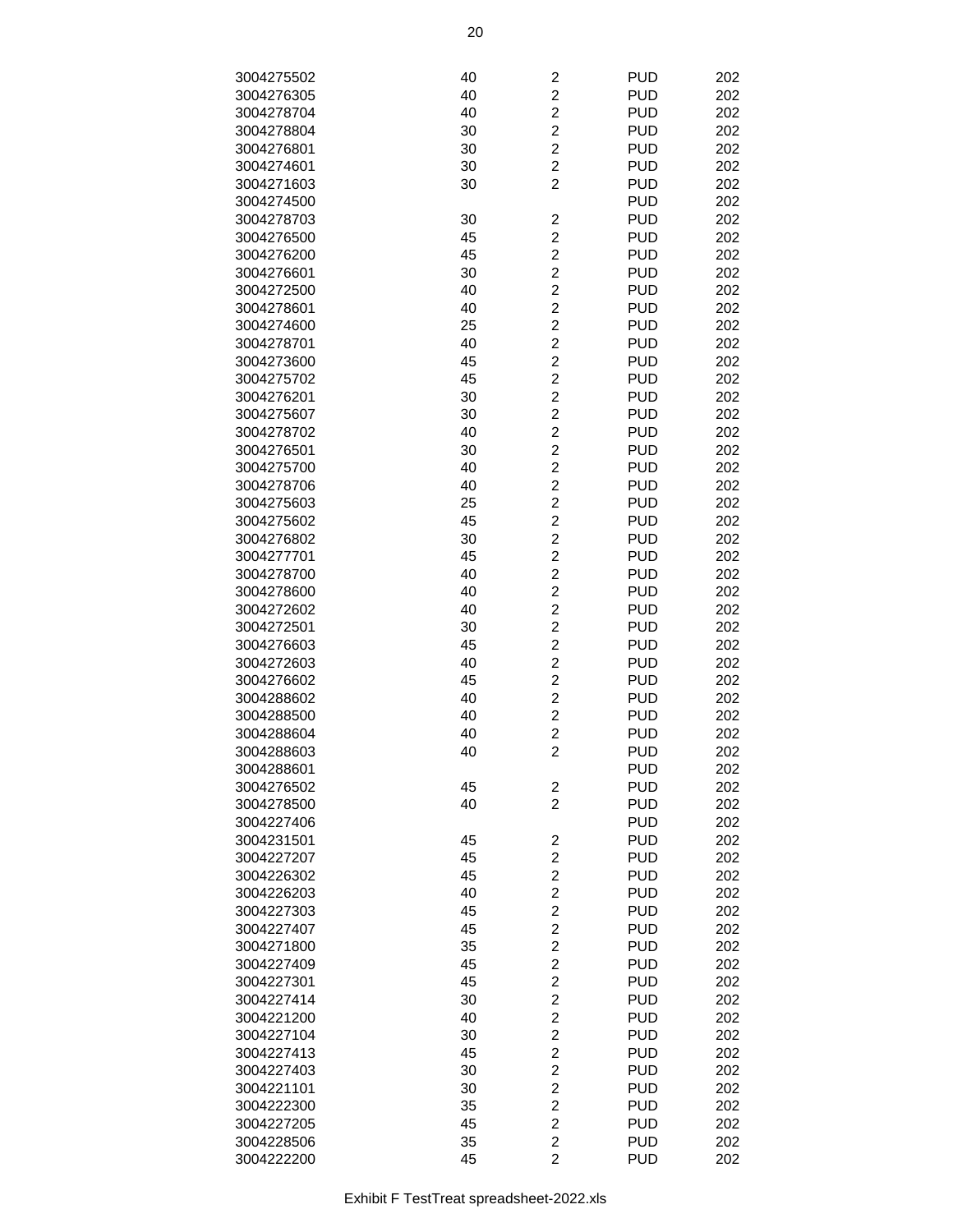| 3004275502 | 40 | $\overline{c}$          | <b>PUD</b> | 202 |
|------------|----|-------------------------|------------|-----|
|            |    |                         |            |     |
| 3004276305 | 40 | $\overline{c}$          | <b>PUD</b> | 202 |
| 3004278704 | 40 | $\overline{2}$          | <b>PUD</b> | 202 |
| 3004278804 | 30 | $\overline{c}$          | <b>PUD</b> | 202 |
| 3004276801 | 30 | $\overline{2}$          | <b>PUD</b> | 202 |
| 3004274601 | 30 | $\overline{c}$          | <b>PUD</b> | 202 |
| 3004271603 | 30 | 2                       | <b>PUD</b> | 202 |
|            |    |                         | <b>PUD</b> | 202 |
| 3004274500 |    |                         |            |     |
| 3004278703 | 30 | 2                       | <b>PUD</b> | 202 |
| 3004276500 | 45 | $\overline{2}$          | <b>PUD</b> | 202 |
| 3004276200 | 45 | $\overline{c}$          | <b>PUD</b> | 202 |
| 3004276601 | 30 | $\overline{c}$          | <b>PUD</b> | 202 |
| 3004272500 | 40 | $\overline{2}$          | <b>PUD</b> | 202 |
| 3004278601 | 40 | $\overline{c}$          | <b>PUD</b> | 202 |
| 3004274600 | 25 | $\overline{2}$          | <b>PUD</b> | 202 |
|            |    |                         |            |     |
| 3004278701 | 40 | $\overline{c}$          | <b>PUD</b> | 202 |
| 3004273600 | 45 | $\overline{c}$          | <b>PUD</b> | 202 |
| 3004275702 | 45 | $\overline{2}$          | <b>PUD</b> | 202 |
| 3004276201 | 30 | $\overline{2}$          | <b>PUD</b> | 202 |
| 3004275607 | 30 | $\overline{2}$          | <b>PUD</b> | 202 |
| 3004278702 | 40 | $\overline{c}$          | <b>PUD</b> | 202 |
| 3004276501 | 30 | $\overline{c}$          | <b>PUD</b> | 202 |
|            |    | $\overline{2}$          |            |     |
| 3004275700 | 40 |                         | <b>PUD</b> | 202 |
| 3004278706 | 40 | $\overline{c}$          | <b>PUD</b> | 202 |
| 3004275603 | 25 | $\overline{c}$          | <b>PUD</b> | 202 |
| 3004275602 | 45 | $\overline{c}$          | <b>PUD</b> | 202 |
| 3004276802 | 30 | $\overline{c}$          | <b>PUD</b> | 202 |
| 3004277701 | 45 | $\overline{c}$          | <b>PUD</b> | 202 |
| 3004278700 | 40 | $\overline{2}$          | <b>PUD</b> | 202 |
| 3004278600 | 40 | $\overline{2}$          | <b>PUD</b> | 202 |
|            |    |                         |            |     |
| 3004272602 | 40 | $\overline{c}$          | <b>PUD</b> | 202 |
| 3004272501 | 30 | $\overline{c}$          | <b>PUD</b> | 202 |
| 3004276603 | 45 | $\overline{2}$          | <b>PUD</b> | 202 |
| 3004272603 | 40 | $\overline{c}$          | <b>PUD</b> | 202 |
| 3004276602 | 45 | $\overline{2}$          | <b>PUD</b> | 202 |
| 3004288602 | 40 | $\overline{c}$          | <b>PUD</b> | 202 |
| 3004288500 | 40 | $\overline{c}$          | <b>PUD</b> | 202 |
| 3004288604 | 40 | $\overline{2}$          | <b>PUD</b> | 202 |
|            |    |                         |            |     |
| 3004288603 | 40 | $\overline{c}$          | <b>PUD</b> | 202 |
| 3004288601 |    |                         | <b>PUD</b> | 202 |
| 3004276502 | 45 | 2                       | <b>PUD</b> | 202 |
| 3004278500 | 40 | $\overline{2}$          | <b>PUD</b> | 202 |
| 3004227406 |    |                         | <b>PUD</b> | 202 |
| 3004231501 | 45 | 2                       | <b>PUD</b> | 202 |
| 3004227207 | 45 | $\overline{c}$          | <b>PUD</b> | 202 |
|            |    |                         | <b>PUD</b> | 202 |
| 3004226302 | 45 | $\overline{\mathbf{c}}$ |            |     |
| 3004226203 | 40 | $\overline{\mathbf{c}}$ | <b>PUD</b> | 202 |
| 3004227303 | 45 | $\overline{c}$          | <b>PUD</b> | 202 |
| 3004227407 | 45 | $\overline{2}$          | <b>PUD</b> | 202 |
| 3004271800 | 35 | $\overline{2}$          | <b>PUD</b> | 202 |
| 3004227409 | 45 | $\overline{2}$          | <b>PUD</b> | 202 |
| 3004227301 | 45 | $\overline{c}$          | <b>PUD</b> | 202 |
| 3004227414 | 30 | $\overline{2}$          | <b>PUD</b> | 202 |
|            |    |                         |            |     |
| 3004221200 | 40 | $\overline{c}$          | <b>PUD</b> | 202 |
| 3004227104 | 30 | $\overline{c}$          | <b>PUD</b> | 202 |
| 3004227413 | 45 | $\overline{\mathbf{c}}$ | <b>PUD</b> | 202 |
| 3004227403 | 30 | $\overline{c}$          | <b>PUD</b> | 202 |
| 3004221101 | 30 | $\overline{c}$          | <b>PUD</b> | 202 |
| 3004222300 | 35 | $\overline{2}$          | <b>PUD</b> | 202 |
| 3004227205 | 45 | $\overline{2}$          | <b>PUD</b> | 202 |
|            |    | $\overline{2}$          | <b>PUD</b> | 202 |
| 3004228506 | 35 |                         |            |     |
| 3004222200 | 45 | $\overline{2}$          | <b>PUD</b> | 202 |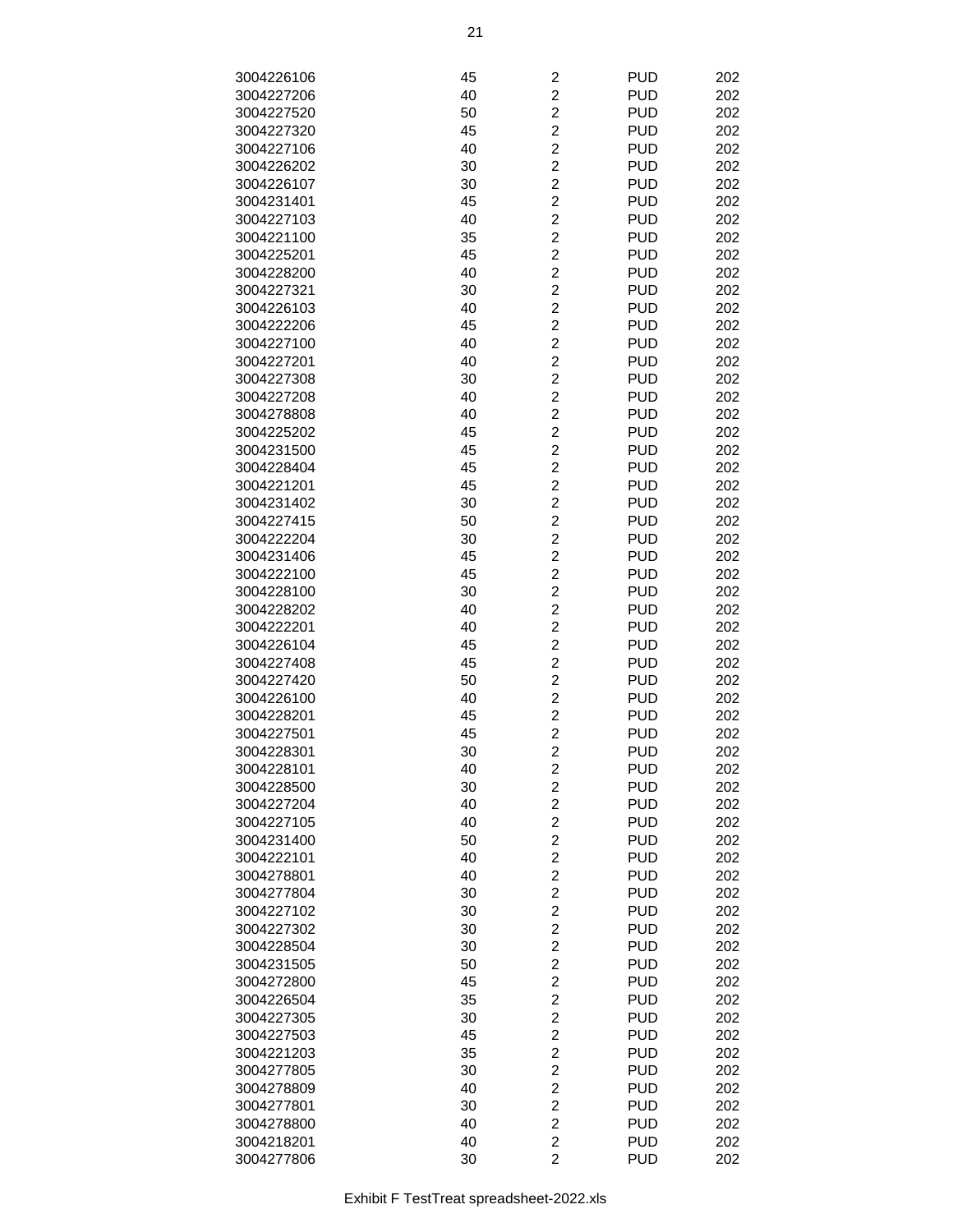| 3004226106 | 45 | $\overline{\mathbf{c}}$ | <b>PUD</b> | 202 |
|------------|----|-------------------------|------------|-----|
| 3004227206 | 40 | $\overline{2}$          | <b>PUD</b> | 202 |
|            |    | $\overline{2}$          |            |     |
| 3004227520 | 50 |                         | <b>PUD</b> | 202 |
| 3004227320 | 45 | $\overline{c}$          | <b>PUD</b> | 202 |
| 3004227106 | 40 | $\overline{c}$          | <b>PUD</b> | 202 |
| 3004226202 | 30 | $\overline{\mathbf{c}}$ | <b>PUD</b> | 202 |
| 3004226107 | 30 | $\overline{c}$          | <b>PUD</b> | 202 |
| 3004231401 | 45 | $\overline{c}$          | <b>PUD</b> | 202 |
| 3004227103 | 40 | $\overline{\mathbf{c}}$ | <b>PUD</b> | 202 |
| 3004221100 | 35 | $\overline{c}$          | <b>PUD</b> | 202 |
| 3004225201 | 45 | $\overline{c}$          | <b>PUD</b> | 202 |
| 3004228200 | 40 | $\overline{2}$          | <b>PUD</b> | 202 |
| 3004227321 | 30 | $\overline{2}$          | <b>PUD</b> | 202 |
| 3004226103 | 40 | $\overline{c}$          | <b>PUD</b> | 202 |
| 3004222206 | 45 | $\overline{c}$          | <b>PUD</b> | 202 |
| 3004227100 | 40 | $\overline{c}$          | <b>PUD</b> | 202 |
| 3004227201 | 40 | $\overline{c}$          | <b>PUD</b> | 202 |
| 3004227308 | 30 | $\overline{2}$          | <b>PUD</b> | 202 |
| 3004227208 | 40 | $\overline{c}$          | <b>PUD</b> | 202 |
|            |    |                         |            |     |
| 3004278808 | 40 | $\overline{c}$          | <b>PUD</b> | 202 |
| 3004225202 | 45 | $\overline{c}$          | <b>PUD</b> | 202 |
| 3004231500 | 45 | $\overline{2}$          | <b>PUD</b> | 202 |
| 3004228404 | 45 | $\overline{2}$          | <b>PUD</b> | 202 |
| 3004221201 | 45 | $\overline{c}$          | <b>PUD</b> | 202 |
| 3004231402 | 30 | $\overline{c}$          | <b>PUD</b> | 202 |
| 3004227415 | 50 | $\overline{\mathbf{c}}$ | <b>PUD</b> | 202 |
| 3004222204 | 30 | $\overline{c}$          | <b>PUD</b> | 202 |
| 3004231406 | 45 | $\overline{c}$          | <b>PUD</b> | 202 |
| 3004222100 | 45 | $\overline{\mathbf{c}}$ | <b>PUD</b> | 202 |
| 3004228100 | 30 | $\overline{c}$          | <b>PUD</b> | 202 |
| 3004228202 | 40 | $\overline{c}$          | <b>PUD</b> | 202 |
| 3004222201 | 40 | $\overline{2}$          | <b>PUD</b> | 202 |
| 3004226104 | 45 | $\overline{2}$          | <b>PUD</b> | 202 |
| 3004227408 | 45 | $\overline{c}$          | <b>PUD</b> | 202 |
| 3004227420 | 50 | $\overline{c}$          | <b>PUD</b> | 202 |
| 3004226100 | 40 | $\overline{\mathbf{c}}$ | <b>PUD</b> | 202 |
|            |    |                         | <b>PUD</b> |     |
| 3004228201 | 45 | $\overline{c}$          |            | 202 |
| 3004227501 | 45 | $\overline{2}$          | <b>PUD</b> | 202 |
| 3004228301 | 30 | $\overline{c}$          | <b>PUD</b> | 202 |
| 3004228101 | 40 | $\overline{c}$          | <b>PUD</b> | 202 |
| 3004228500 | 30 | $\overline{\mathbf{c}}$ | <b>PUD</b> | 202 |
| 3004227204 | 40 | $\overline{2}$          | <b>PUD</b> | 202 |
| 3004227105 | 40 | $\overline{2}$          | <b>PUD</b> | 202 |
| 3004231400 | 50 | $\overline{c}$          | <b>PUD</b> | 202 |
| 3004222101 | 40 | $\overline{c}$          | <b>PUD</b> | 202 |
| 3004278801 | 40 | $\overline{\mathbf{c}}$ | <b>PUD</b> | 202 |
| 3004277804 | 30 | $\overline{c}$          | <b>PUD</b> | 202 |
| 3004227102 | 30 | $\overline{c}$          | <b>PUD</b> | 202 |
| 3004227302 | 30 | $\overline{\mathbf{c}}$ | <b>PUD</b> | 202 |
| 3004228504 | 30 | $\overline{c}$          | <b>PUD</b> | 202 |
| 3004231505 | 50 | $\overline{c}$          | <b>PUD</b> | 202 |
| 3004272800 | 45 | $\overline{2}$          | <b>PUD</b> | 202 |
| 3004226504 | 35 | $\overline{2}$          | <b>PUD</b> | 202 |
| 3004227305 | 30 | $\overline{c}$          | <b>PUD</b> | 202 |
| 3004227503 | 45 | $\overline{c}$          | <b>PUD</b> | 202 |
| 3004221203 | 35 | $\overline{\mathbf{c}}$ | <b>PUD</b> | 202 |
|            |    |                         | <b>PUD</b> |     |
| 3004277805 | 30 | $\overline{\mathbf{c}}$ |            | 202 |
| 3004278809 | 40 | $\overline{c}$          | <b>PUD</b> | 202 |
| 3004277801 | 30 | $\overline{\mathbf{c}}$ | <b>PUD</b> | 202 |
| 3004278800 | 40 | $\overline{c}$          | <b>PUD</b> | 202 |
| 3004218201 | 40 | $\overline{\mathbf{c}}$ | <b>PUD</b> | 202 |
| 3004277806 | 30 | $\overline{2}$          | <b>PUD</b> | 202 |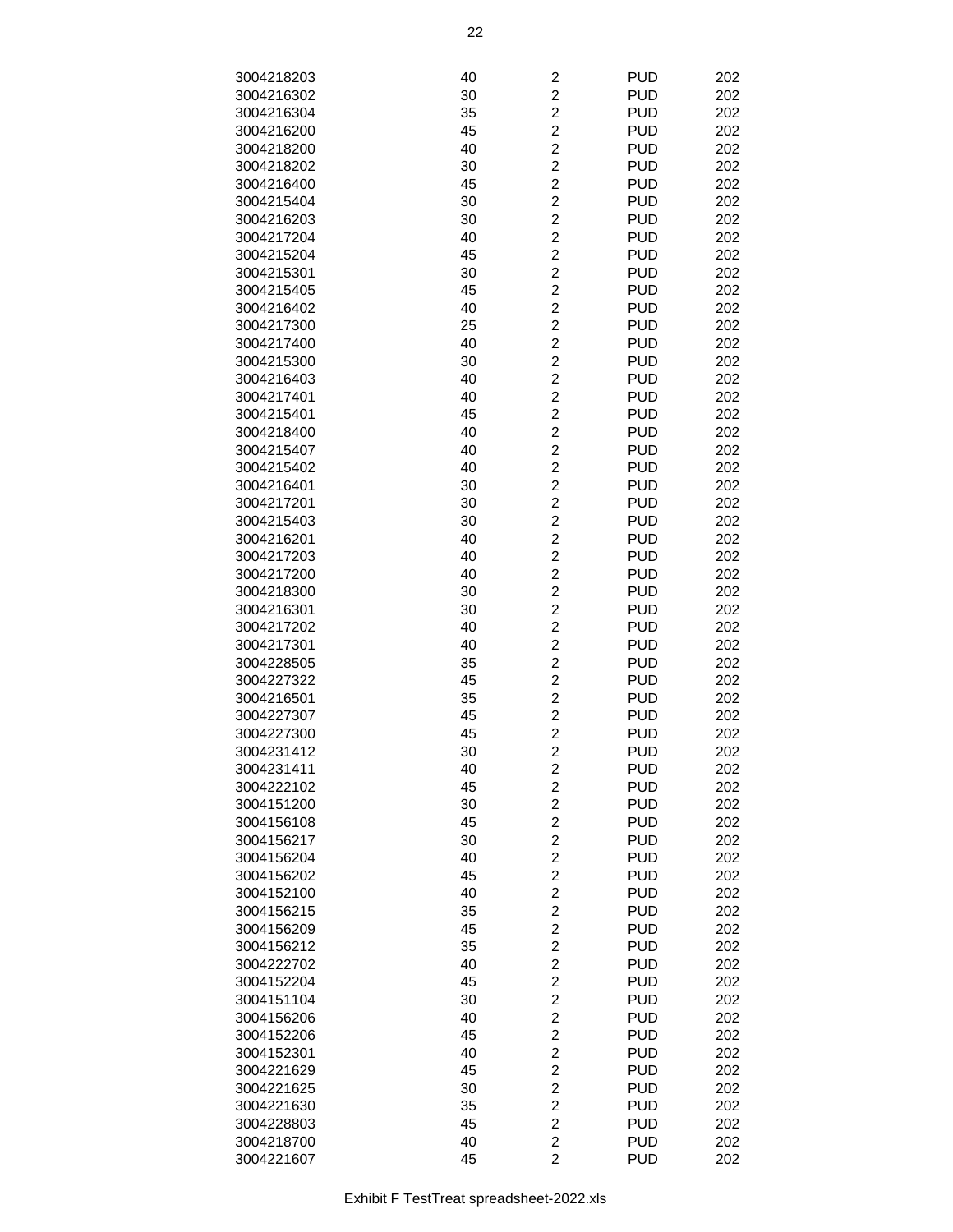| 3004218203 | 40 | $\overline{c}$          | <b>PUD</b> | 202 |
|------------|----|-------------------------|------------|-----|
| 3004216302 | 30 | $\overline{c}$          | <b>PUD</b> | 202 |
| 3004216304 | 35 | $\overline{c}$          | <b>PUD</b> | 202 |
| 3004216200 | 45 | $\overline{c}$          | <b>PUD</b> | 202 |
|            |    | $\overline{c}$          |            |     |
| 3004218200 | 40 |                         | <b>PUD</b> | 202 |
| 3004218202 | 30 | $\overline{c}$          | <b>PUD</b> | 202 |
| 3004216400 | 45 | $\overline{c}$          | <b>PUD</b> | 202 |
| 3004215404 | 30 | $\overline{c}$          | <b>PUD</b> | 202 |
| 3004216203 | 30 | $\overline{\mathbf{c}}$ | <b>PUD</b> | 202 |
| 3004217204 | 40 | $\overline{c}$          | <b>PUD</b> | 202 |
| 3004215204 | 45 | $\overline{2}$          | <b>PUD</b> | 202 |
| 3004215301 | 30 | $\overline{2}$          | <b>PUD</b> | 202 |
| 3004215405 | 45 | $\overline{c}$          | <b>PUD</b> | 202 |
| 3004216402 | 40 | $\overline{c}$          | <b>PUD</b> | 202 |
| 3004217300 | 25 | $\overline{c}$          | <b>PUD</b> | 202 |
| 3004217400 | 40 | $\overline{c}$          | <b>PUD</b> | 202 |
| 3004215300 | 30 | $\overline{c}$          | <b>PUD</b> | 202 |
| 3004216403 | 40 | $\overline{c}$          | <b>PUD</b> | 202 |
| 3004217401 | 40 | $\overline{\mathbf{c}}$ | <b>PUD</b> | 202 |
| 3004215401 | 45 | $\overline{c}$          | <b>PUD</b> | 202 |
| 3004218400 | 40 | $\overline{2}$          | <b>PUD</b> | 202 |
| 3004215407 | 40 | $\overline{2}$          | <b>PUD</b> | 202 |
| 3004215402 | 40 | $\overline{c}$          | <b>PUD</b> | 202 |
| 3004216401 | 30 | $\overline{c}$          | <b>PUD</b> | 202 |
| 3004217201 | 30 | $\overline{c}$          | <b>PUD</b> | 202 |
|            |    | $\overline{c}$          | <b>PUD</b> | 202 |
| 3004215403 | 30 | $\overline{c}$          |            |     |
| 3004216201 | 40 |                         | <b>PUD</b> | 202 |
| 3004217203 | 40 | $\overline{c}$          | <b>PUD</b> | 202 |
| 3004217200 | 40 | $\overline{\mathbf{c}}$ | <b>PUD</b> | 202 |
| 3004218300 | 30 | $\overline{c}$          | <b>PUD</b> | 202 |
| 3004216301 | 30 | $\overline{2}$          | <b>PUD</b> | 202 |
| 3004217202 | 40 | $\overline{2}$          | <b>PUD</b> | 202 |
| 3004217301 | 40 | $\overline{c}$          | <b>PUD</b> | 202 |
| 3004228505 | 35 | $\overline{\mathbf{c}}$ | <b>PUD</b> | 202 |
| 3004227322 | 45 | $\overline{c}$          | <b>PUD</b> | 202 |
| 3004216501 | 35 | $\overline{c}$          | <b>PUD</b> | 202 |
| 3004227307 | 45 | $\overline{c}$          | <b>PUD</b> | 202 |
| 3004227300 | 45 | $\overline{c}$          | <b>PUD</b> | 202 |
| 3004231412 | 30 | $\overline{\mathbf{c}}$ | <b>PUD</b> | 202 |
| 3004231411 | 40 | $\overline{\mathbf{c}}$ | <b>PUD</b> | 202 |
| 3004222102 | 45 | $\overline{2}$          | <b>PUD</b> | 202 |
| 3004151200 | 30 | $\overline{2}$          | <b>PUD</b> | 202 |
| 3004156108 | 45 | $\overline{c}$          | <b>PUD</b> | 202 |
| 3004156217 | 30 | $\overline{c}$          | <b>PUD</b> | 202 |
| 3004156204 | 40 | $\overline{c}$          | <b>PUD</b> | 202 |
| 3004156202 | 45 | $\overline{c}$          | <b>PUD</b> | 202 |
| 3004152100 | 40 | $\overline{c}$          | <b>PUD</b> | 202 |
| 3004156215 | 35 | $\overline{c}$          | <b>PUD</b> | 202 |
| 3004156209 | 45 | $\overline{c}$          | <b>PUD</b> | 202 |
| 3004156212 | 35 | $\overline{c}$          | <b>PUD</b> | 202 |
| 3004222702 | 40 | $\overline{2}$          | <b>PUD</b> | 202 |
| 3004152204 | 45 | $\overline{2}$          | <b>PUD</b> | 202 |
| 3004151104 | 30 | $\overline{c}$          | <b>PUD</b> | 202 |
| 3004156206 | 40 | $\overline{c}$          | <b>PUD</b> | 202 |
|            |    | $\overline{c}$          |            |     |
| 3004152206 | 45 |                         | <b>PUD</b> | 202 |
| 3004152301 | 40 | $\overline{c}$          | <b>PUD</b> | 202 |
| 3004221629 | 45 | $\overline{c}$          | <b>PUD</b> | 202 |
| 3004221625 | 30 | $\overline{\mathbf{c}}$ | <b>PUD</b> | 202 |
| 3004221630 | 35 | $\overline{c}$          | <b>PUD</b> | 202 |
| 3004228803 | 45 | $\overline{c}$          | <b>PUD</b> | 202 |
| 3004218700 | 40 | $\overline{2}$          | <b>PUD</b> | 202 |
| 3004221607 | 45 | $\overline{2}$          | <b>PUD</b> | 202 |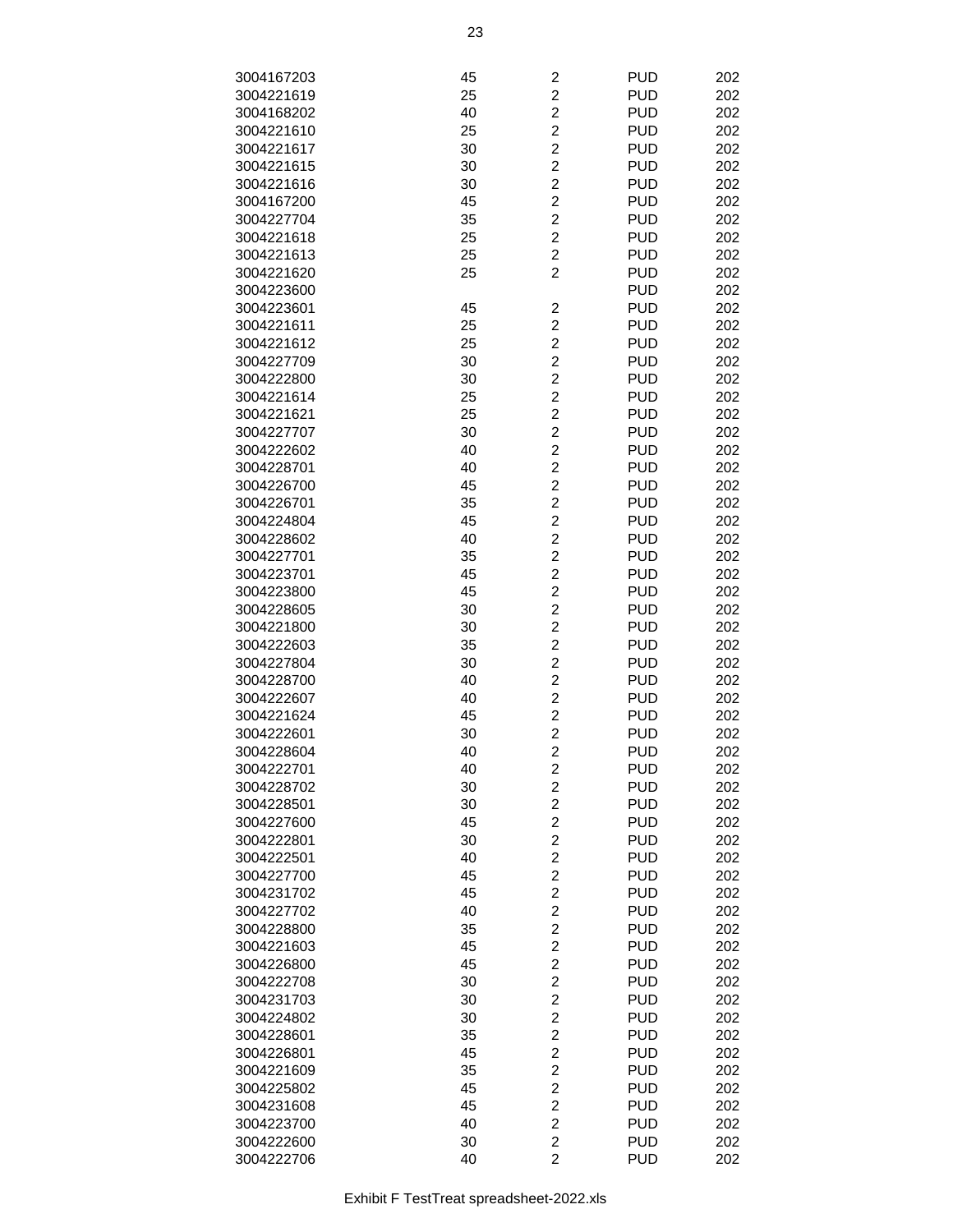| 3004167203 | 45 | 2                       | <b>PUD</b> | 202 |
|------------|----|-------------------------|------------|-----|
| 3004221619 | 25 | $\overline{c}$          | <b>PUD</b> | 202 |
| 3004168202 | 40 | $\overline{\mathbf{c}}$ | <b>PUD</b> | 202 |
| 3004221610 | 25 | $\overline{c}$          | <b>PUD</b> | 202 |
|            |    |                         |            |     |
| 3004221617 | 30 | $\overline{c}$          | <b>PUD</b> | 202 |
| 3004221615 | 30 | $\overline{c}$          | <b>PUD</b> | 202 |
| 3004221616 | 30 | $\overline{c}$          | <b>PUD</b> | 202 |
| 3004167200 | 45 | $\overline{\mathbf{c}}$ | <b>PUD</b> | 202 |
| 3004227704 | 35 | $\overline{c}$          | <b>PUD</b> | 202 |
| 3004221618 | 25 | $\overline{2}$          | <b>PUD</b> | 202 |
| 3004221613 | 25 | $\overline{2}$          | <b>PUD</b> | 202 |
| 3004221620 | 25 | $\overline{2}$          | <b>PUD</b> | 202 |
| 3004223600 |    |                         | <b>PUD</b> | 202 |
| 3004223601 | 45 | $\overline{\mathbf{c}}$ | <b>PUD</b> | 202 |
| 3004221611 | 25 | $\overline{\mathbf{c}}$ | <b>PUD</b> | 202 |
| 3004221612 | 25 | $\overline{c}$          | <b>PUD</b> | 202 |
| 3004227709 | 30 | $\overline{c}$          | <b>PUD</b> | 202 |
|            |    |                         |            |     |
| 3004222800 | 30 | $\overline{\mathbf{c}}$ | <b>PUD</b> | 202 |
| 3004221614 | 25 | $\overline{c}$          | <b>PUD</b> | 202 |
| 3004221621 | 25 | $\overline{2}$          | <b>PUD</b> | 202 |
| 3004227707 | 30 | $\overline{2}$          | <b>PUD</b> | 202 |
| 3004222602 | 40 | $\overline{c}$          | <b>PUD</b> | 202 |
| 3004228701 | 40 | $\overline{\mathbf{c}}$ | <b>PUD</b> | 202 |
| 3004226700 | 45 | $\overline{c}$          | <b>PUD</b> | 202 |
| 3004226701 | 35 | $\overline{c}$          | <b>PUD</b> | 202 |
| 3004224804 | 45 | $\overline{c}$          | <b>PUD</b> | 202 |
| 3004228602 | 40 | $\overline{c}$          | <b>PUD</b> | 202 |
| 3004227701 | 35 | $\overline{\mathbf{c}}$ | <b>PUD</b> | 202 |
|            |    | $\overline{c}$          | <b>PUD</b> |     |
| 3004223701 | 45 |                         |            | 202 |
| 3004223800 | 45 | $\overline{2}$          | <b>PUD</b> | 202 |
| 3004228605 | 30 | $\overline{2}$          | <b>PUD</b> | 202 |
| 3004221800 | 30 | $\overline{c}$          | <b>PUD</b> | 202 |
| 3004222603 | 35 | $\overline{\mathbf{c}}$ | <b>PUD</b> | 202 |
| 3004227804 | 30 | $\overline{c}$          | <b>PUD</b> | 202 |
| 3004228700 | 40 | $\overline{c}$          | <b>PUD</b> | 202 |
| 3004222607 | 40 | $\overline{c}$          | <b>PUD</b> | 202 |
| 3004221624 | 45 | $\overline{c}$          | <b>PUD</b> | 202 |
| 3004222601 | 30 | $\overline{c}$          | <b>PUD</b> | 202 |
| 3004228604 | 40 | $\overline{2}$          | <b>PUD</b> | 202 |
| 3004222701 | 40 | $\overline{\mathbf{c}}$ | <b>PUD</b> | 202 |
| 3004228702 | 30 | $\overline{2}$          | <b>PUD</b> | 202 |
| 3004228501 | 30 | $\overline{c}$          | <b>PUD</b> | 202 |
|            |    |                         | <b>PUD</b> | 202 |
| 3004227600 | 45 | $\overline{\mathbf{c}}$ |            |     |
| 3004222801 | 30 | $\overline{\mathbf{c}}$ | <b>PUD</b> | 202 |
| 3004222501 | 40 | $\overline{c}$          | <b>PUD</b> | 202 |
| 3004227700 | 45 | $\overline{c}$          | <b>PUD</b> | 202 |
| 3004231702 | 45 | $\overline{c}$          | <b>PUD</b> | 202 |
| 3004227702 | 40 | $\overline{\mathbf{c}}$ | <b>PUD</b> | 202 |
| 3004228800 | 35 | $\overline{c}$          | <b>PUD</b> | 202 |
| 3004221603 | 45 | $\overline{c}$          | <b>PUD</b> | 202 |
| 3004226800 | 45 | $\overline{2}$          | <b>PUD</b> | 202 |
| 3004222708 | 30 | $\overline{c}$          | <b>PUD</b> | 202 |
| 3004231703 | 30 | $\overline{\mathbf{c}}$ | <b>PUD</b> | 202 |
| 3004224802 | 30 | $\overline{\mathbf{c}}$ | <b>PUD</b> | 202 |
| 3004228601 | 35 | $\overline{\mathbf{c}}$ | <b>PUD</b> | 202 |
| 3004226801 | 45 | $\overline{c}$          | <b>PUD</b> | 202 |
|            |    |                         |            |     |
| 3004221609 | 35 | $\overline{\mathbf{c}}$ | <b>PUD</b> | 202 |
| 3004225802 | 45 | $\overline{\mathbf{c}}$ | <b>PUD</b> | 202 |
| 3004231608 | 45 | $\overline{c}$          | <b>PUD</b> | 202 |
| 3004223700 | 40 | $\overline{c}$          | <b>PUD</b> | 202 |
| 3004222600 | 30 | $\overline{2}$          | <b>PUD</b> | 202 |
| 3004222706 | 40 | $\overline{2}$          | <b>PUD</b> | 202 |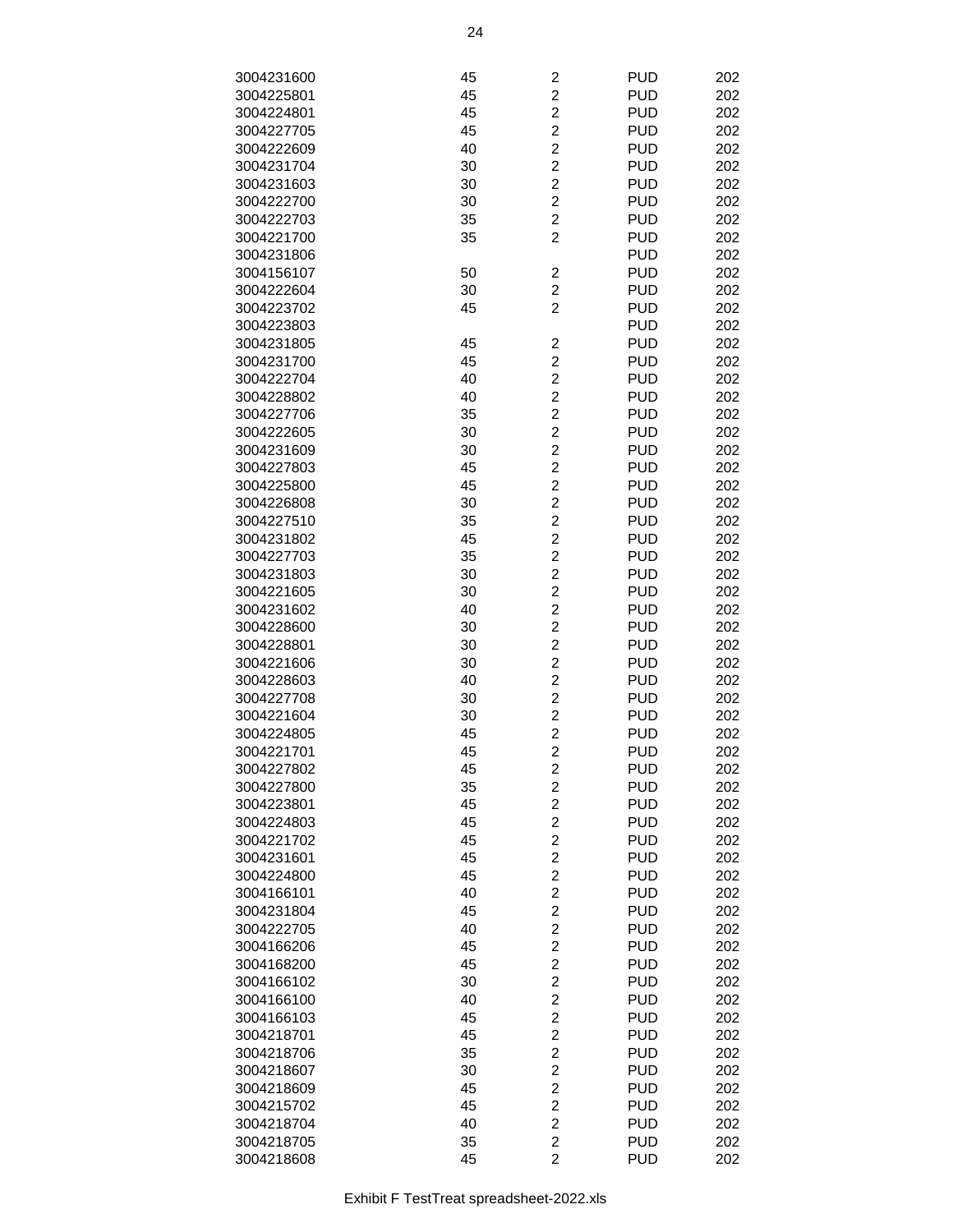| 3004231600 | 45 | 2                       | <b>PUD</b> | 202 |
|------------|----|-------------------------|------------|-----|
| 3004225801 | 45 | $\overline{c}$          | <b>PUD</b> | 202 |
|            |    |                         |            |     |
| 3004224801 | 45 | $\overline{c}$          | <b>PUD</b> | 202 |
| 3004227705 | 45 | $\overline{c}$          | <b>PUD</b> | 202 |
| 3004222609 | 40 | $\overline{c}$          | <b>PUD</b> | 202 |
| 3004231704 | 30 | $\overline{\mathbf{c}}$ | <b>PUD</b> | 202 |
| 3004231603 | 30 | $\overline{c}$          | <b>PUD</b> | 202 |
| 3004222700 | 30 | $\overline{2}$          | <b>PUD</b> | 202 |
| 3004222703 | 35 | $\overline{2}$          | <b>PUD</b> | 202 |
| 3004221700 | 35 | $\overline{2}$          | <b>PUD</b> | 202 |
|            |    |                         |            |     |
| 3004231806 |    |                         | <b>PUD</b> | 202 |
| 3004156107 | 50 | 2                       | <b>PUD</b> | 202 |
| 3004222604 | 30 | $\overline{2}$          | <b>PUD</b> | 202 |
| 3004223702 | 45 | $\overline{c}$          | <b>PUD</b> | 202 |
| 3004223803 |    |                         | <b>PUD</b> | 202 |
| 3004231805 | 45 | 2                       | <b>PUD</b> | 202 |
| 3004231700 | 45 | $\overline{c}$          | <b>PUD</b> | 202 |
| 3004222704 | 40 | $\overline{2}$          | <b>PUD</b> | 202 |
| 3004228802 | 40 | $\overline{2}$          | <b>PUD</b> | 202 |
|            |    |                         |            |     |
| 3004227706 | 35 | $\overline{2}$          | <b>PUD</b> | 202 |
| 3004222605 | 30 | $\overline{\mathbf{c}}$ | <b>PUD</b> | 202 |
| 3004231609 | 30 | $\overline{c}$          | <b>PUD</b> | 202 |
| 3004227803 | 45 | $\overline{c}$          | <b>PUD</b> | 202 |
| 3004225800 | 45 | $\overline{c}$          | <b>PUD</b> | 202 |
| 3004226808 | 30 | $\overline{c}$          | <b>PUD</b> | 202 |
| 3004227510 | 35 | $\overline{\mathbf{c}}$ | <b>PUD</b> | 202 |
| 3004231802 | 45 | $\overline{c}$          | <b>PUD</b> | 202 |
|            |    |                         |            |     |
| 3004227703 | 35 | $\overline{2}$          | <b>PUD</b> | 202 |
| 3004231803 | 30 | $\overline{2}$          | <b>PUD</b> | 202 |
| 3004221605 | 30 | $\overline{2}$          | <b>PUD</b> | 202 |
| 3004231602 | 40 | $\overline{c}$          | <b>PUD</b> | 202 |
| 3004228600 | 30 | $\overline{c}$          | <b>PUD</b> | 202 |
| 3004228801 | 30 | $\overline{2}$          | <b>PUD</b> | 202 |
| 3004221606 | 30 | $\overline{c}$          | <b>PUD</b> | 202 |
| 3004228603 | 40 | $\overline{2}$          | <b>PUD</b> | 202 |
| 3004227708 | 30 | $\overline{\mathbf{c}}$ | <b>PUD</b> | 202 |
|            |    | $\overline{c}$          |            |     |
| 3004221604 | 30 |                         | <b>PUD</b> | 202 |
| 3004224805 | 45 | $\overline{2}$          | <b>PUD</b> | 202 |
| 3004221701 | 45 | $\overline{2}$          | <b>PUD</b> | 202 |
| 3004227802 | 45 | 2                       | <b>PUD</b> | 202 |
| 3004227800 | 35 | $\overline{\mathbf{c}}$ | <b>PUD</b> | 202 |
| 3004223801 | 45 | $\overline{\mathbf{c}}$ | <b>PUD</b> | 202 |
| 3004224803 | 45 | $\overline{c}$          | <b>PUD</b> | 202 |
| 3004221702 | 45 | $\overline{\mathbf{c}}$ | <b>PUD</b> | 202 |
| 3004231601 | 45 | $\overline{c}$          | <b>PUD</b> | 202 |
| 3004224800 | 45 | $\overline{\mathbf{c}}$ | <b>PUD</b> | 202 |
|            |    |                         |            |     |
| 3004166101 | 40 | $\overline{c}$          | <b>PUD</b> | 202 |
| 3004231804 | 45 | $\overline{2}$          | <b>PUD</b> | 202 |
| 3004222705 | 40 | $\overline{2}$          | <b>PUD</b> | 202 |
| 3004166206 | 45 | $\overline{c}$          | <b>PUD</b> | 202 |
| 3004168200 | 45 | $\overline{\mathbf{c}}$ | <b>PUD</b> | 202 |
| 3004166102 | 30 | $\overline{\mathbf{c}}$ | <b>PUD</b> | 202 |
| 3004166100 | 40 | $\overline{c}$          | <b>PUD</b> | 202 |
| 3004166103 | 45 | $\overline{\mathbf{c}}$ | <b>PUD</b> | 202 |
| 3004218701 | 45 | $\overline{c}$          | <b>PUD</b> | 202 |
|            |    |                         |            |     |
| 3004218706 | 35 | $\overline{\mathbf{c}}$ | <b>PUD</b> | 202 |
| 3004218607 | 30 | $\overline{c}$          | <b>PUD</b> | 202 |
| 3004218609 | 45 | $\overline{2}$          | <b>PUD</b> | 202 |
| 3004215702 | 45 | $\overline{2}$          | <b>PUD</b> | 202 |
| 3004218704 | 40 | $\overline{c}$          | <b>PUD</b> | 202 |
| 3004218705 | 35 | $\overline{\mathbf{c}}$ | <b>PUD</b> | 202 |
| 3004218608 | 45 | $\overline{2}$          | <b>PUD</b> | 202 |
|            |    |                         |            |     |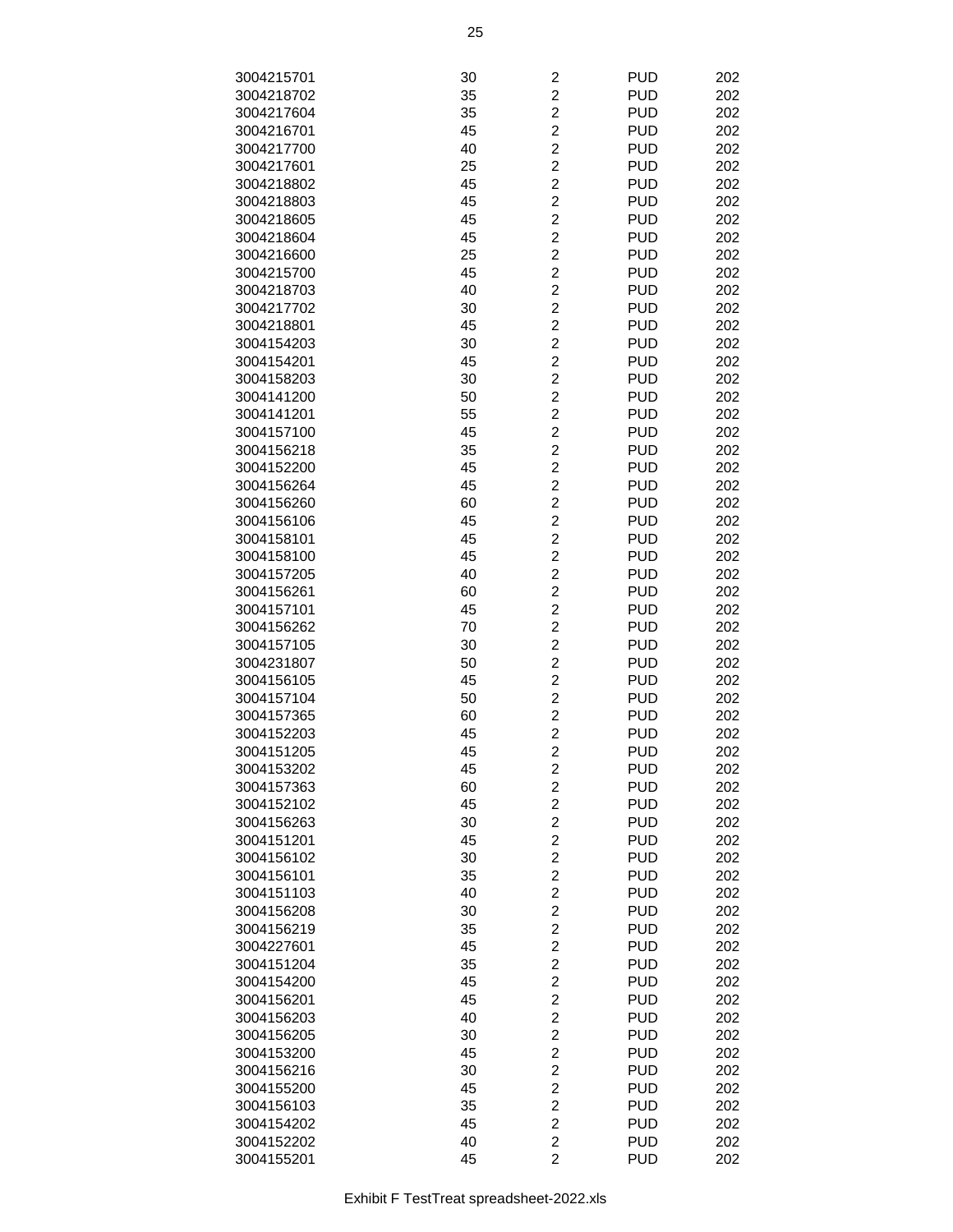| 3004215701 | 30 | $\overline{\mathbf{c}}$ | <b>PUD</b> | 202 |
|------------|----|-------------------------|------------|-----|
|            |    | $\overline{2}$          |            |     |
| 3004218702 | 35 |                         | <b>PUD</b> | 202 |
| 3004217604 | 35 | $\overline{2}$          | <b>PUD</b> | 202 |
| 3004216701 | 45 | $\overline{c}$          | <b>PUD</b> | 202 |
| 3004217700 | 40 | $\overline{c}$          | <b>PUD</b> | 202 |
| 3004217601 | 25 | $\overline{\mathbf{c}}$ | <b>PUD</b> | 202 |
| 3004218802 | 45 | $\overline{c}$          | <b>PUD</b> | 202 |
| 3004218803 | 45 | $\overline{c}$          | <b>PUD</b> | 202 |
| 3004218605 | 45 | $\overline{\mathbf{c}}$ | <b>PUD</b> | 202 |
|            |    |                         |            |     |
| 3004218604 | 45 | $\overline{c}$          | <b>PUD</b> | 202 |
| 3004216600 | 25 | $\overline{c}$          | <b>PUD</b> | 202 |
| 3004215700 | 45 | $\overline{2}$          | <b>PUD</b> | 202 |
| 3004218703 | 40 | $\overline{2}$          | <b>PUD</b> | 202 |
| 3004217702 | 30 | $\overline{c}$          | <b>PUD</b> | 202 |
| 3004218801 | 45 | $\overline{c}$          | <b>PUD</b> | 202 |
| 3004154203 | 30 | $\overline{\mathbf{c}}$ | <b>PUD</b> | 202 |
| 3004154201 | 45 | $\overline{c}$          | <b>PUD</b> | 202 |
| 3004158203 | 30 | $\overline{c}$          | <b>PUD</b> | 202 |
|            |    |                         |            |     |
| 3004141200 | 50 | $\overline{\mathbf{c}}$ | <b>PUD</b> | 202 |
| 3004141201 | 55 | $\overline{c}$          | <b>PUD</b> | 202 |
| 3004157100 | 45 | $\overline{c}$          | <b>PUD</b> | 202 |
| 3004156218 | 35 | $\overline{2}$          | <b>PUD</b> | 202 |
| 3004152200 | 45 | $\overline{2}$          | <b>PUD</b> | 202 |
| 3004156264 | 45 | $\overline{c}$          | <b>PUD</b> | 202 |
| 3004156260 | 60 | $\overline{c}$          | <b>PUD</b> | 202 |
| 3004156106 | 45 | $\overline{\mathbf{c}}$ | <b>PUD</b> | 202 |
| 3004158101 | 45 | $\overline{c}$          | <b>PUD</b> | 202 |
|            |    |                         |            |     |
| 3004158100 | 45 | $\overline{c}$          | <b>PUD</b> | 202 |
| 3004157205 | 40 | $\overline{\mathbf{c}}$ | <b>PUD</b> | 202 |
| 3004156261 | 60 | $\overline{c}$          | <b>PUD</b> | 202 |
| 3004157101 | 45 | $\overline{c}$          | <b>PUD</b> | 202 |
| 3004156262 | 70 | $\overline{2}$          | <b>PUD</b> | 202 |
| 3004157105 | 30 | $\overline{2}$          | <b>PUD</b> | 202 |
| 3004231807 | 50 | $\overline{c}$          | <b>PUD</b> | 202 |
| 3004156105 | 45 | $\overline{c}$          | <b>PUD</b> | 202 |
| 3004157104 | 50 | $\overline{\mathbf{c}}$ | <b>PUD</b> | 202 |
| 3004157365 | 60 | $\overline{c}$          | <b>PUD</b> | 202 |
| 3004152203 | 45 | $\overline{2}$          | <b>PUD</b> | 202 |
|            |    |                         |            |     |
| 3004151205 | 45 | $\overline{c}$          | <b>PUD</b> | 202 |
| 3004153202 | 45 | $\overline{c}$          | <b>PUD</b> | 202 |
| 3004157363 | 60 | $\overline{\mathbf{c}}$ | <b>PUD</b> | 202 |
| 3004152102 | 45 | $\overline{2}$          | <b>PUD</b> | 202 |
| 3004156263 | 30 | $\overline{2}$          | <b>PUD</b> | 202 |
| 3004151201 | 45 | $\overline{c}$          | <b>PUD</b> | 202 |
| 3004156102 | 30 | $\overline{c}$          | <b>PUD</b> | 202 |
| 3004156101 | 35 | $\overline{\mathbf{c}}$ | <b>PUD</b> | 202 |
| 3004151103 | 40 | $\overline{c}$          | <b>PUD</b> | 202 |
| 3004156208 | 30 | $\overline{c}$          | <b>PUD</b> | 202 |
|            |    |                         |            |     |
| 3004156219 | 35 | $\overline{\mathbf{c}}$ | <b>PUD</b> | 202 |
| 3004227601 | 45 | $\overline{c}$          | <b>PUD</b> | 202 |
| 3004151204 | 35 | $\overline{\mathbf{c}}$ | <b>PUD</b> | 202 |
| 3004154200 | 45 | $\overline{2}$          | <b>PUD</b> | 202 |
| 3004156201 | 45 | $\overline{2}$          | <b>PUD</b> | 202 |
| 3004156203 | 40 | $\overline{c}$          | <b>PUD</b> | 202 |
| 3004156205 | 30 | $\overline{c}$          | <b>PUD</b> | 202 |
| 3004153200 | 45 | $\overline{\mathbf{c}}$ | <b>PUD</b> | 202 |
| 3004156216 | 30 | $\overline{\mathbf{c}}$ | <b>PUD</b> | 202 |
| 3004155200 | 45 | $\overline{c}$          | <b>PUD</b> | 202 |
|            |    |                         |            |     |
| 3004156103 | 35 | $\overline{\mathbf{c}}$ | <b>PUD</b> | 202 |
| 3004154202 | 45 | $\overline{c}$          | <b>PUD</b> | 202 |
| 3004152202 | 40 | $\overline{\mathbf{c}}$ | <b>PUD</b> | 202 |
| 3004155201 | 45 | $\overline{2}$          | <b>PUD</b> | 202 |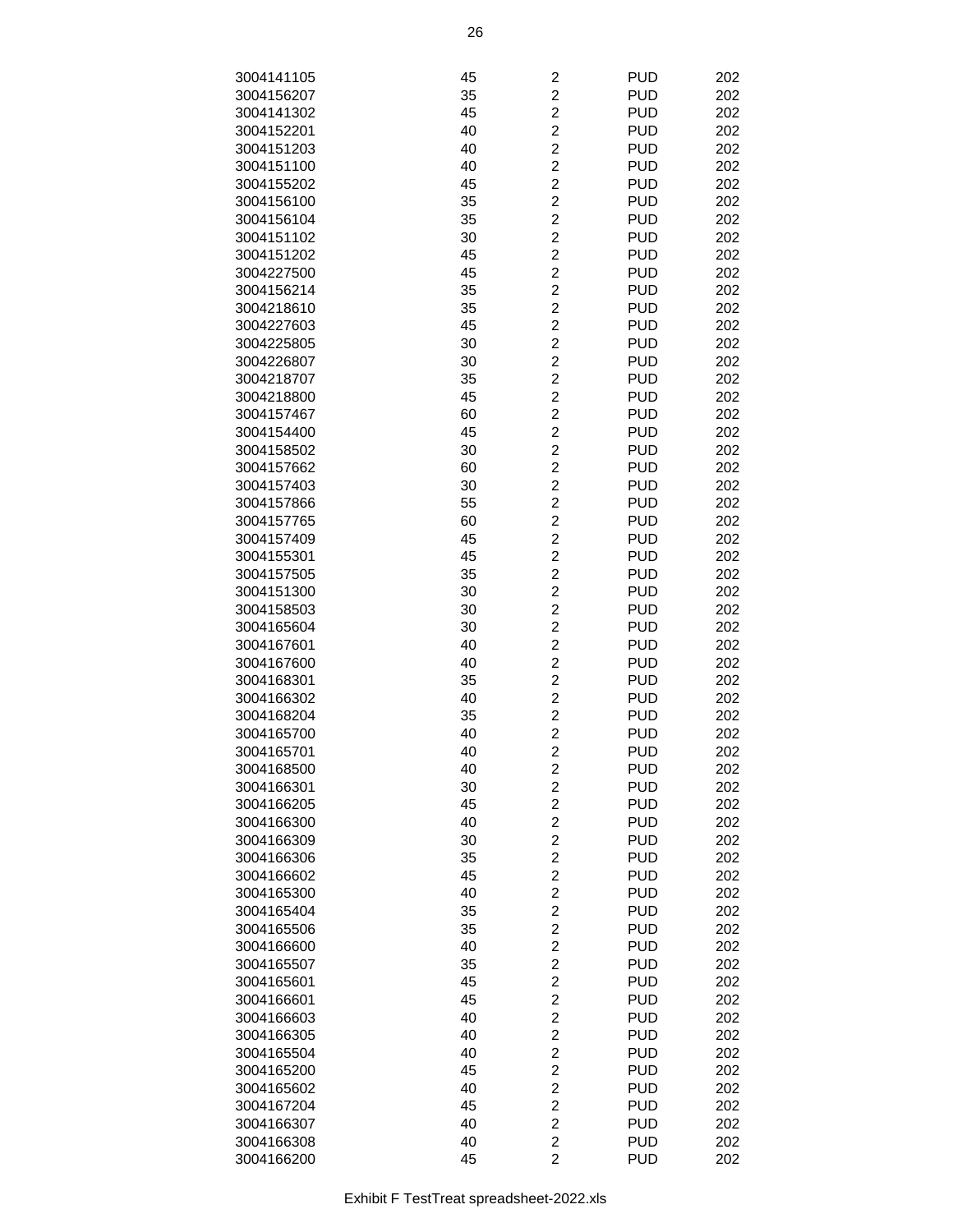| 3004141105 | 45 | 2                       | <b>PUD</b> | 202 |
|------------|----|-------------------------|------------|-----|
|            |    |                         |            |     |
| 3004156207 | 35 | $\overline{c}$          | <b>PUD</b> | 202 |
| 3004141302 | 45 | $\overline{c}$          | <b>PUD</b> | 202 |
| 3004152201 | 40 | $\overline{c}$          | <b>PUD</b> | 202 |
| 3004151203 | 40 | $\overline{c}$          | <b>PUD</b> | 202 |
| 3004151100 | 40 | $\overline{c}$          | <b>PUD</b> | 202 |
| 3004155202 | 45 | $\overline{c}$          | <b>PUD</b> | 202 |
| 3004156100 | 35 | $\overline{c}$          | <b>PUD</b> | 202 |
| 3004156104 | 35 | $\overline{c}$          | <b>PUD</b> | 202 |
| 3004151102 | 30 | $\overline{2}$          | <b>PUD</b> | 202 |
| 3004151202 | 45 | $\overline{2}$          | <b>PUD</b> | 202 |
| 3004227500 | 45 | $\overline{c}$          | <b>PUD</b> | 202 |
| 3004156214 | 35 | $\overline{c}$          | <b>PUD</b> | 202 |
|            |    |                         |            |     |
| 3004218610 | 35 | $\overline{c}$          | <b>PUD</b> | 202 |
| 3004227603 | 45 | $\overline{c}$          | <b>PUD</b> | 202 |
| 3004225805 | 30 | $\overline{c}$          | <b>PUD</b> | 202 |
| 3004226807 | 30 | $\overline{c}$          | <b>PUD</b> | 202 |
| 3004218707 | 35 | $\overline{c}$          | <b>PUD</b> | 202 |
| 3004218800 | 45 | $\overline{c}$          | <b>PUD</b> | 202 |
| 3004157467 | 60 | $\overline{2}$          | <b>PUD</b> | 202 |
| 3004154400 | 45 | $\overline{2}$          | <b>PUD</b> | 202 |
| 3004158502 | 30 | $\overline{c}$          | <b>PUD</b> | 202 |
| 3004157662 | 60 | $\overline{c}$          | <b>PUD</b> | 202 |
| 3004157403 | 30 | $\overline{c}$          | <b>PUD</b> | 202 |
| 3004157866 | 55 | $\overline{c}$          | <b>PUD</b> | 202 |
|            |    |                         |            |     |
| 3004157765 | 60 | $\overline{c}$          | <b>PUD</b> | 202 |
| 3004157409 | 45 | $\overline{c}$          | <b>PUD</b> | 202 |
| 3004155301 | 45 | $\overline{c}$          | <b>PUD</b> | 202 |
| 3004157505 | 35 | $\overline{c}$          | <b>PUD</b> | 202 |
| 3004151300 | 30 | $\overline{2}$          | <b>PUD</b> | 202 |
| 3004158503 | 30 | $\overline{2}$          | <b>PUD</b> | 202 |
| 3004165604 | 30 | $\overline{c}$          | <b>PUD</b> | 202 |
| 3004167601 | 40 | $\overline{c}$          | <b>PUD</b> | 202 |
| 3004167600 | 40 | $\overline{c}$          | <b>PUD</b> | 202 |
| 3004168301 | 35 | $\overline{c}$          | <b>PUD</b> | 202 |
| 3004166302 | 40 | $\overline{c}$          | <b>PUD</b> | 202 |
| 3004168204 | 35 | $\overline{c}$          | <b>PUD</b> | 202 |
| 3004165700 | 40 | $\overline{c}$          | <b>PUD</b> | 202 |
| 3004165701 | 40 | $\overline{c}$          | <b>PUD</b> | 202 |
| 3004168500 | 40 | 2                       | <b>PUD</b> | 202 |
|            |    | $\overline{c}$          | <b>PUD</b> |     |
| 3004166301 | 30 |                         |            | 202 |
| 3004166205 | 45 | $\overline{c}$          | <b>PUD</b> | 202 |
| 3004166300 | 40 | $\overline{c}$          | <b>PUD</b> | 202 |
| 3004166309 | 30 | $\overline{c}$          | <b>PUD</b> | 202 |
| 3004166306 | 35 | $\overline{c}$          | <b>PUD</b> | 202 |
| 3004166602 | 45 | $\overline{\mathbf{c}}$ | <b>PUD</b> | 202 |
| 3004165300 | 40 | $\overline{c}$          | <b>PUD</b> | 202 |
| 3004165404 | 35 | $\overline{c}$          | <b>PUD</b> | 202 |
| 3004165506 | 35 | $\overline{c}$          | <b>PUD</b> | 202 |
| 3004166600 | 40 | $\overline{2}$          | <b>PUD</b> | 202 |
| 3004165507 | 35 | $\overline{c}$          | <b>PUD</b> | 202 |
| 3004165601 | 45 | $\overline{c}$          | <b>PUD</b> | 202 |
| 3004166601 | 45 | $\overline{c}$          | <b>PUD</b> | 202 |
| 3004166603 | 40 | $\overline{\mathbf{c}}$ | <b>PUD</b> | 202 |
| 3004166305 | 40 | $\overline{c}$          | <b>PUD</b> | 202 |
|            |    |                         |            |     |
| 3004165504 | 40 | $\overline{\mathbf{c}}$ | <b>PUD</b> | 202 |
| 3004165200 | 45 | $\overline{\mathbf{c}}$ | <b>PUD</b> | 202 |
| 3004165602 | 40 | $\overline{\mathbf{c}}$ | <b>PUD</b> | 202 |
| 3004167204 | 45 | $\overline{c}$          | <b>PUD</b> | 202 |
| 3004166307 | 40 | $\overline{2}$          | <b>PUD</b> | 202 |
| 3004166308 | 40 | $\overline{c}$          | <b>PUD</b> | 202 |
| 3004166200 | 45 | $\overline{2}$          | <b>PUD</b> | 202 |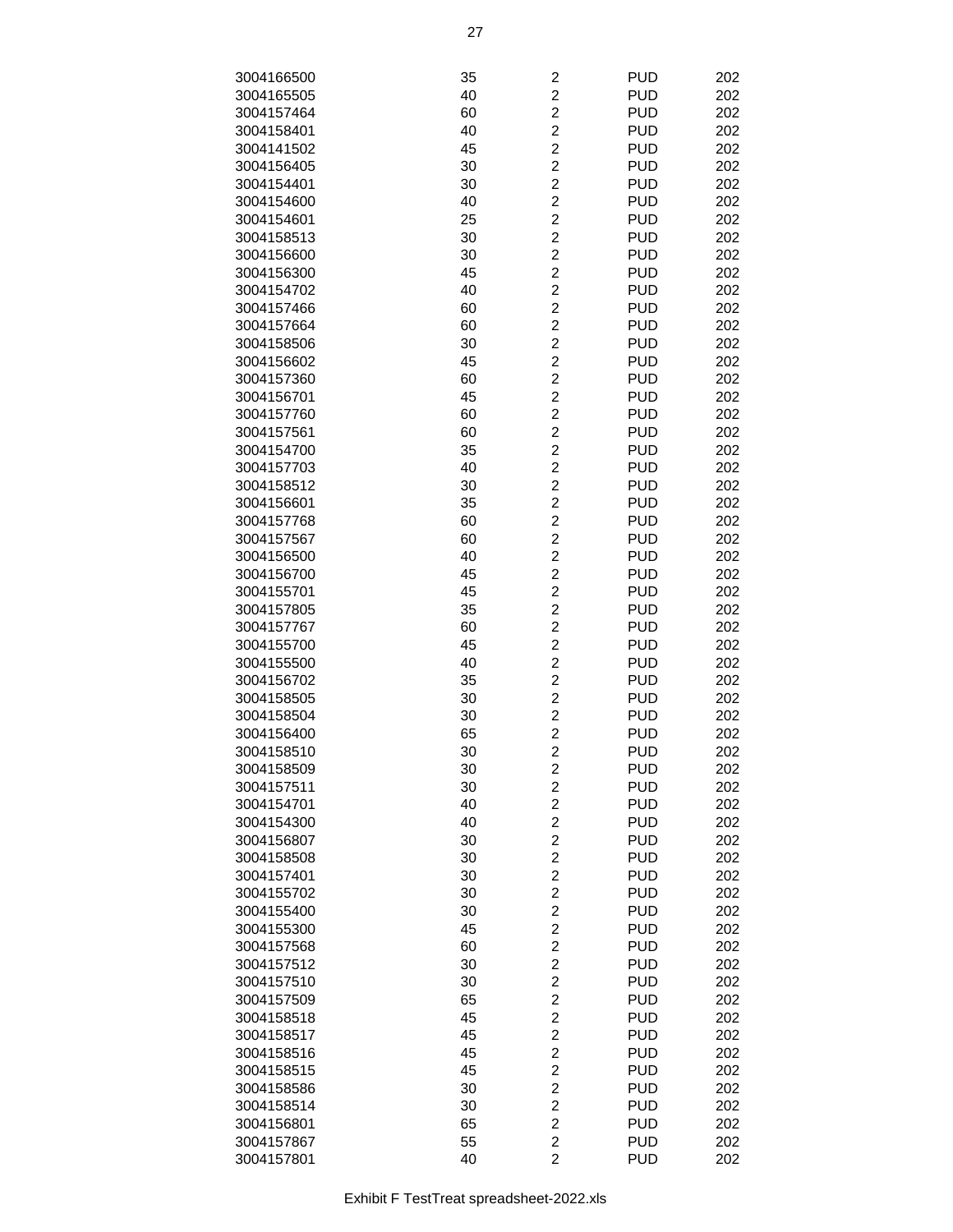| 3004166500 | 35 | $\overline{c}$          | <b>PUD</b> | 202 |
|------------|----|-------------------------|------------|-----|
| 3004165505 | 40 | $\overline{c}$          | <b>PUD</b> | 202 |
|            |    |                         |            |     |
| 3004157464 | 60 | $\overline{c}$          | <b>PUD</b> | 202 |
| 3004158401 | 40 | $\overline{c}$          | <b>PUD</b> | 202 |
| 3004141502 | 45 | $\overline{c}$          | <b>PUD</b> | 202 |
| 3004156405 | 30 | $\overline{c}$          | <b>PUD</b> | 202 |
| 3004154401 | 30 | $\overline{c}$          | <b>PUD</b> | 202 |
| 3004154600 | 40 | $\overline{c}$          | <b>PUD</b> | 202 |
| 3004154601 | 25 | $\overline{c}$          | <b>PUD</b> | 202 |
| 3004158513 | 30 | $\overline{2}$          | <b>PUD</b> | 202 |
| 3004156600 | 30 | $\overline{c}$          | <b>PUD</b> | 202 |
| 3004156300 | 45 | $\overline{c}$          | <b>PUD</b> | 202 |
| 3004154702 | 40 | $\overline{c}$          | <b>PUD</b> | 202 |
| 3004157466 | 60 | $\overline{c}$          | <b>PUD</b> | 202 |
| 3004157664 | 60 | $\overline{c}$          | <b>PUD</b> | 202 |
| 3004158506 | 30 | $\overline{c}$          | <b>PUD</b> | 202 |
|            |    | $\overline{c}$          |            |     |
| 3004156602 | 45 |                         | <b>PUD</b> | 202 |
| 3004157360 | 60 | $\overline{c}$          | <b>PUD</b> | 202 |
| 3004156701 | 45 | $\overline{2}$          | <b>PUD</b> | 202 |
| 3004157760 | 60 | $\overline{2}$          | <b>PUD</b> | 202 |
| 3004157561 | 60 | $\overline{c}$          | <b>PUD</b> | 202 |
| 3004154700 | 35 | $\overline{c}$          | <b>PUD</b> | 202 |
| 3004157703 | 40 | $\overline{c}$          | <b>PUD</b> | 202 |
| 3004158512 | 30 | $\overline{c}$          | <b>PUD</b> | 202 |
| 3004156601 | 35 | $\overline{c}$          | <b>PUD</b> | 202 |
| 3004157768 | 60 | $\overline{c}$          | <b>PUD</b> | 202 |
| 3004157567 | 60 | $\overline{c}$          | <b>PUD</b> | 202 |
| 3004156500 | 40 | $\overline{c}$          | <b>PUD</b> | 202 |
| 3004156700 | 45 | $\overline{c}$          | <b>PUD</b> | 202 |
| 3004155701 | 45 | $\overline{2}$          | <b>PUD</b> | 202 |
| 3004157805 | 35 | $\overline{c}$          | <b>PUD</b> | 202 |
|            |    | $\overline{c}$          | <b>PUD</b> |     |
| 3004157767 | 60 |                         |            | 202 |
| 3004155700 | 45 | $\overline{c}$          | <b>PUD</b> | 202 |
| 3004155500 | 40 | $\overline{c}$          | <b>PUD</b> | 202 |
| 3004156702 | 35 | $\overline{c}$          | <b>PUD</b> | 202 |
| 3004158505 | 30 | $\overline{c}$          | <b>PUD</b> | 202 |
| 3004158504 | 30 | $\overline{c}$          | <b>PUD</b> | 202 |
| 3004156400 | 65 | $\overline{c}$          | <b>PUD</b> | 202 |
| 3004158510 | 30 | $\overline{c}$          | <b>PUD</b> | 202 |
| 3004158509 | 30 | $\overline{c}$          | <b>PUD</b> | 202 |
| 3004157511 | 30 | $\overline{c}$          | <b>PUD</b> | 202 |
| 3004154701 | 40 | $\overline{c}$          | <b>PUD</b> | 202 |
| 3004154300 | 40 | $\overline{c}$          | <b>PUD</b> | 202 |
| 3004156807 | 30 | $\overline{c}$          | <b>PUD</b> | 202 |
| 3004158508 | 30 | $\overline{c}$          | <b>PUD</b> | 202 |
| 3004157401 | 30 | $\overline{c}$          | <b>PUD</b> | 202 |
| 3004155702 | 30 | $\overline{c}$          | <b>PUD</b> | 202 |
| 3004155400 | 30 | $\overline{c}$          | <b>PUD</b> | 202 |
| 3004155300 |    | $\overline{c}$          | <b>PUD</b> |     |
|            | 45 | $\overline{2}$          |            | 202 |
| 3004157568 | 60 |                         | <b>PUD</b> | 202 |
| 3004157512 | 30 | $\overline{c}$          | <b>PUD</b> | 202 |
| 3004157510 | 30 | $\overline{c}$          | <b>PUD</b> | 202 |
| 3004157509 | 65 | $\overline{c}$          | <b>PUD</b> | 202 |
| 3004158518 | 45 | $\overline{\mathbf{c}}$ | <b>PUD</b> | 202 |
| 3004158517 | 45 | $\overline{c}$          | <b>PUD</b> | 202 |
| 3004158516 | 45 | $\overline{\mathbf{c}}$ | <b>PUD</b> | 202 |
| 3004158515 | 45 | $\overline{c}$          | <b>PUD</b> | 202 |
| 3004158586 | 30 | $\overline{c}$          | <b>PUD</b> | 202 |
| 3004158514 | 30 | $\overline{c}$          | <b>PUD</b> | 202 |
| 3004156801 | 65 | $\overline{2}$          | <b>PUD</b> | 202 |
| 3004157867 | 55 | $\overline{c}$          | <b>PUD</b> | 202 |
| 3004157801 | 40 | $\overline{2}$          | <b>PUD</b> | 202 |
|            |    |                         |            |     |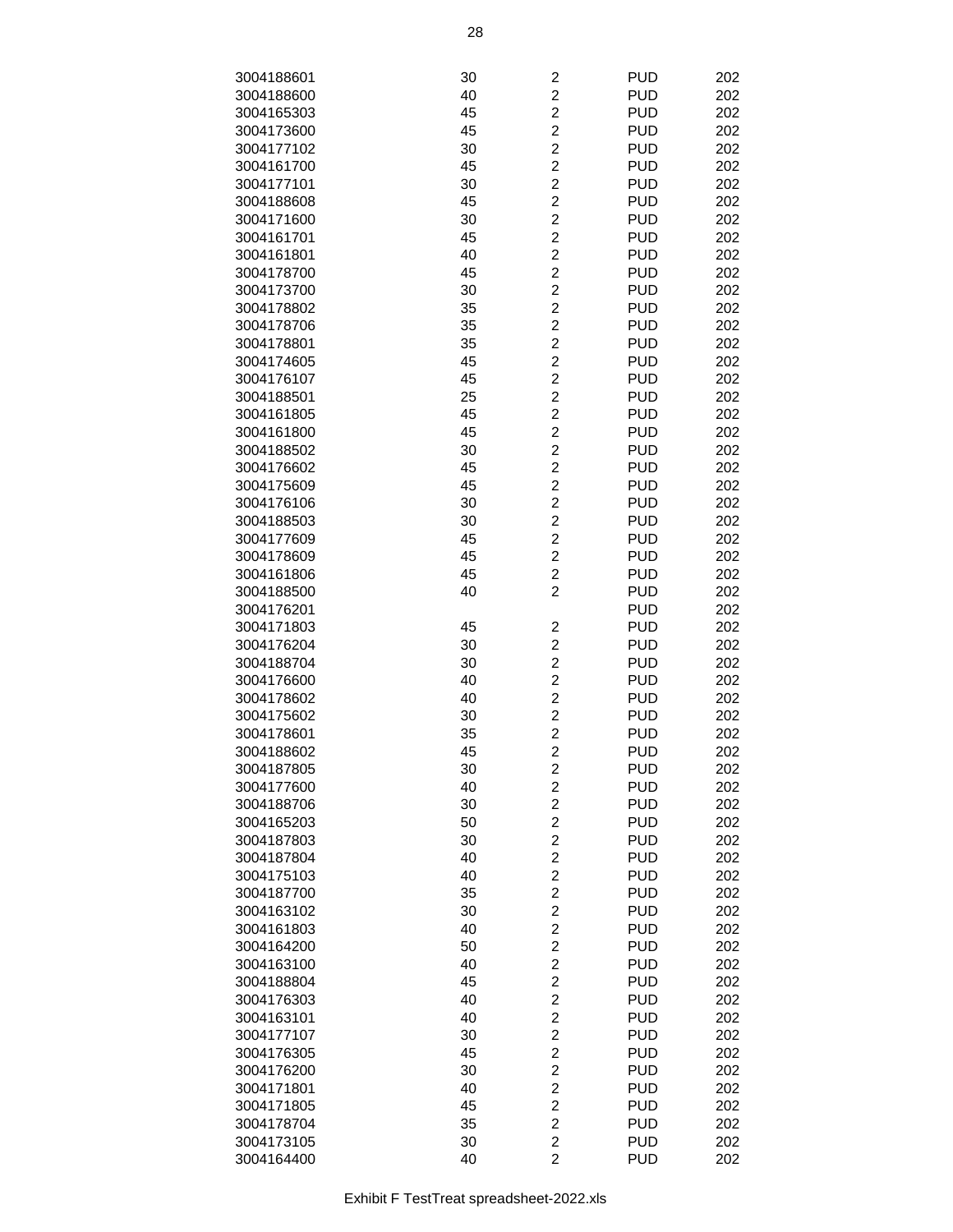|            |    |                         | <b>PUD</b> |     |
|------------|----|-------------------------|------------|-----|
| 3004188601 | 30 | $\overline{c}$          |            | 202 |
| 3004188600 | 40 | $\overline{c}$          | <b>PUD</b> | 202 |
| 3004165303 | 45 | $\overline{2}$          | <b>PUD</b> | 202 |
| 3004173600 | 45 | $\overline{c}$          | <b>PUD</b> | 202 |
| 3004177102 | 30 | $\overline{c}$          | <b>PUD</b> | 202 |
|            |    |                         |            |     |
| 3004161700 | 45 | $\overline{c}$          | <b>PUD</b> | 202 |
| 3004177101 | 30 | $\overline{c}$          | <b>PUD</b> | 202 |
| 3004188608 | 45 | $\overline{c}$          | <b>PUD</b> | 202 |
| 3004171600 | 30 | $\overline{2}$          | <b>PUD</b> | 202 |
| 3004161701 | 45 | $\overline{2}$          | <b>PUD</b> | 202 |
|            |    |                         |            |     |
| 3004161801 | 40 | $\overline{c}$          | <b>PUD</b> | 202 |
| 3004178700 | 45 | $\overline{c}$          | <b>PUD</b> | 202 |
| 3004173700 | 30 | $\overline{2}$          | <b>PUD</b> | 202 |
| 3004178802 | 35 | $\overline{c}$          | <b>PUD</b> | 202 |
|            |    | $\overline{2}$          | <b>PUD</b> | 202 |
| 3004178706 | 35 |                         |            |     |
| 3004178801 | 35 | $\overline{c}$          | <b>PUD</b> | 202 |
| 3004174605 | 45 | $\overline{c}$          | <b>PUD</b> | 202 |
| 3004176107 | 45 | $\overline{c}$          | <b>PUD</b> | 202 |
| 3004188501 | 25 | $\overline{2}$          | <b>PUD</b> | 202 |
|            |    | $\overline{2}$          | <b>PUD</b> |     |
| 3004161805 | 45 |                         |            | 202 |
| 3004161800 | 45 | $\overline{c}$          | <b>PUD</b> | 202 |
| 3004188502 | 30 | $\overline{c}$          | <b>PUD</b> | 202 |
| 3004176602 | 45 | $\overline{2}$          | <b>PUD</b> | 202 |
| 3004175609 | 45 | $\overline{c}$          | <b>PUD</b> | 202 |
|            |    |                         |            |     |
| 3004176106 | 30 | $\overline{c}$          | <b>PUD</b> | 202 |
| 3004188503 | 30 | $\overline{c}$          | <b>PUD</b> | 202 |
| 3004177609 | 45 | $\overline{c}$          | <b>PUD</b> | 202 |
| 3004178609 | 45 | $\overline{c}$          | <b>PUD</b> | 202 |
| 3004161806 | 45 | $\overline{2}$          | <b>PUD</b> | 202 |
|            |    | $\overline{2}$          |            |     |
| 3004188500 | 40 |                         | <b>PUD</b> | 202 |
| 3004176201 |    |                         | <b>PUD</b> | 202 |
| 3004171803 | 45 | $\overline{\mathbf{c}}$ | <b>PUD</b> | 202 |
| 3004176204 | 30 | $\overline{c}$          | <b>PUD</b> | 202 |
| 3004188704 | 30 | $\overline{c}$          | <b>PUD</b> | 202 |
| 3004176600 |    | $\overline{c}$          | <b>PUD</b> |     |
|            | 40 |                         |            | 202 |
| 3004178602 | 40 | $\overline{c}$          | <b>PUD</b> | 202 |
| 3004175602 | 30 | $\overline{c}$          | <b>PUD</b> | 202 |
| 3004178601 | 35 | $\overline{2}$          | <b>PUD</b> | 202 |
| 3004188602 | 45 | $\overline{\mathbf{c}}$ | <b>PUD</b> | 202 |
| 3004187805 | 30 | 2                       | <b>PUD</b> | 202 |
|            |    |                         |            |     |
| 3004177600 | 40 | $\overline{c}$          | <b>PUD</b> | 202 |
| 3004188706 | 30 | $\overline{c}$          | <b>PUD</b> | 202 |
| 3004165203 | 50 | $\overline{c}$          | <b>PUD</b> | 202 |
| 3004187803 | 30 | $\overline{c}$          | <b>PUD</b> | 202 |
| 3004187804 | 40 | $\overline{c}$          | <b>PUD</b> | 202 |
|            |    |                         |            |     |
| 3004175103 | 40 | $\overline{c}$          | <b>PUD</b> | 202 |
| 3004187700 | 35 | $\overline{c}$          | <b>PUD</b> | 202 |
| 3004163102 | 30 | $\overline{c}$          | <b>PUD</b> | 202 |
| 3004161803 | 40 | $\overline{c}$          | <b>PUD</b> | 202 |
| 3004164200 | 50 | $\overline{2}$          | <b>PUD</b> | 202 |
|            |    | $\overline{2}$          |            |     |
| 3004163100 | 40 |                         | <b>PUD</b> | 202 |
| 3004188804 | 45 | $\overline{c}$          | <b>PUD</b> | 202 |
| 3004176303 | 40 | $\overline{c}$          | <b>PUD</b> | 202 |
| 3004163101 | 40 | $\overline{\mathbf{c}}$ | <b>PUD</b> | 202 |
| 3004177107 | 30 | $\overline{c}$          | <b>PUD</b> | 202 |
|            |    |                         | <b>PUD</b> |     |
| 3004176305 | 45 | $\overline{\mathbf{c}}$ |            | 202 |
| 3004176200 | 30 | $\overline{c}$          | <b>PUD</b> | 202 |
| 3004171801 | 40 | $\overline{c}$          | <b>PUD</b> | 202 |
| 3004171805 | 45 | $\overline{c}$          | <b>PUD</b> | 202 |
| 3004178704 | 35 | $\overline{2}$          | <b>PUD</b> | 202 |
| 3004173105 | 30 | $\overline{2}$          | <b>PUD</b> | 202 |
|            |    |                         |            |     |
| 3004164400 | 40 | $\overline{c}$          | <b>PUD</b> | 202 |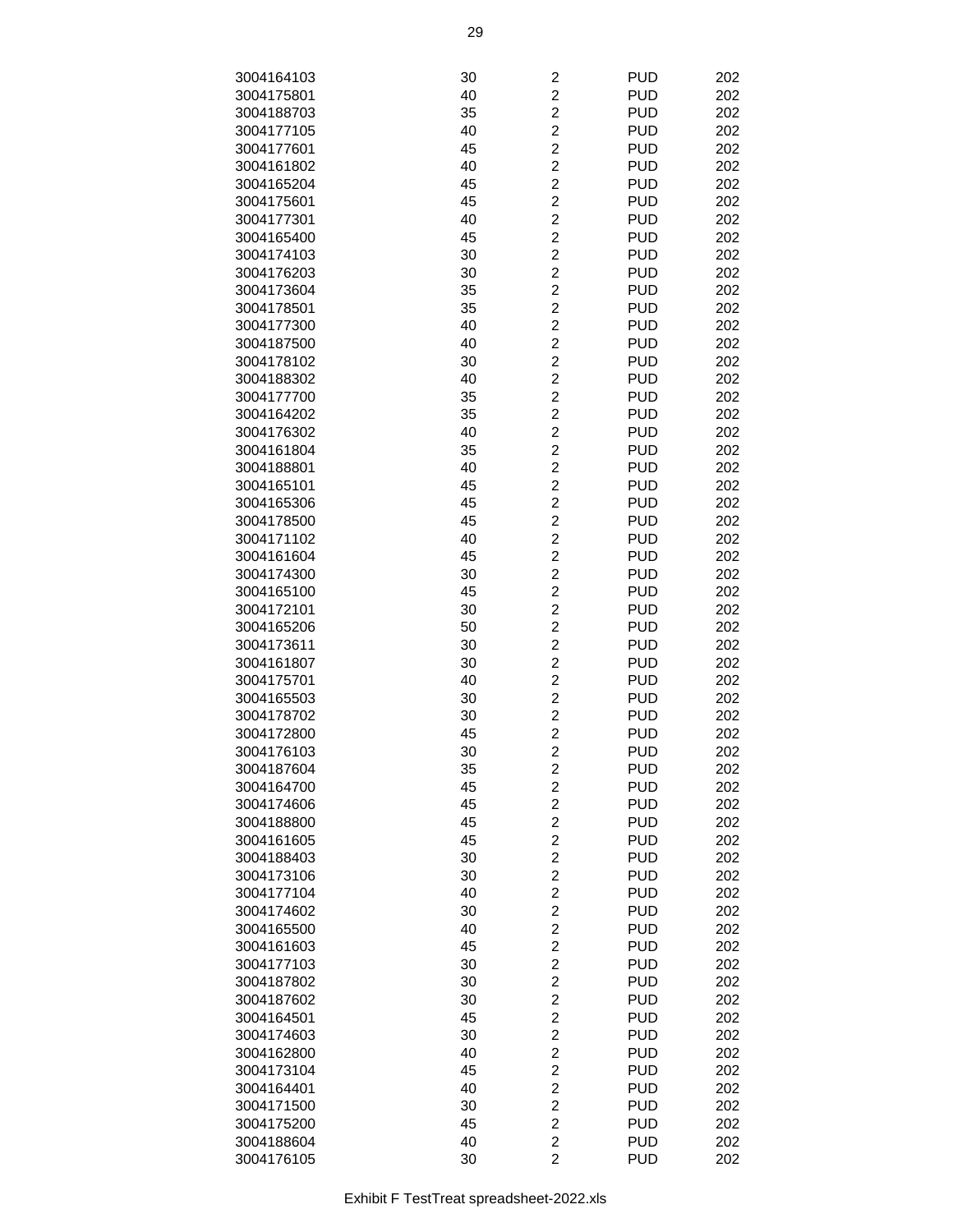| 3004164103 | 30 | 2                       | <b>PUD</b> | 202 |
|------------|----|-------------------------|------------|-----|
|            |    |                         |            |     |
| 3004175801 | 40 | $\overline{c}$          | <b>PUD</b> | 202 |
| 3004188703 | 35 | $\overline{c}$          | <b>PUD</b> | 202 |
| 3004177105 | 40 | $\overline{c}$          | <b>PUD</b> | 202 |
| 3004177601 | 45 | $\overline{c}$          | <b>PUD</b> | 202 |
| 3004161802 | 40 | $\overline{c}$          | <b>PUD</b> | 202 |
| 3004165204 | 45 | $\overline{c}$          | <b>PUD</b> | 202 |
| 3004175601 | 45 | $\overline{c}$          | <b>PUD</b> | 202 |
| 3004177301 | 40 | $\overline{c}$          | <b>PUD</b> | 202 |
| 3004165400 | 45 | $\overline{2}$          | <b>PUD</b> | 202 |
| 3004174103 | 30 | $\overline{2}$          | <b>PUD</b> | 202 |
| 3004176203 | 30 | $\overline{c}$          | <b>PUD</b> | 202 |
| 3004173604 | 35 | $\overline{c}$          | <b>PUD</b> | 202 |
|            |    |                         |            |     |
| 3004178501 | 35 | $\overline{c}$          | <b>PUD</b> | 202 |
| 3004177300 | 40 | $\overline{c}$          | <b>PUD</b> | 202 |
| 3004187500 | 40 | $\overline{c}$          | <b>PUD</b> | 202 |
| 3004178102 | 30 | $\overline{c}$          | <b>PUD</b> | 202 |
| 3004188302 | 40 | $\overline{c}$          | <b>PUD</b> | 202 |
| 3004177700 | 35 | $\overline{c}$          | <b>PUD</b> | 202 |
| 3004164202 | 35 | $\overline{2}$          | <b>PUD</b> | 202 |
| 3004176302 | 40 | $\overline{2}$          | <b>PUD</b> | 202 |
| 3004161804 | 35 | $\overline{c}$          | <b>PUD</b> | 202 |
| 3004188801 | 40 | $\overline{c}$          | <b>PUD</b> | 202 |
| 3004165101 | 45 | $\overline{c}$          | <b>PUD</b> | 202 |
| 3004165306 | 45 | $\overline{c}$          | <b>PUD</b> | 202 |
|            |    |                         |            |     |
| 3004178500 | 45 | $\overline{c}$          | <b>PUD</b> | 202 |
| 3004171102 | 40 | $\overline{c}$          | <b>PUD</b> | 202 |
| 3004161604 | 45 | $\overline{c}$          | <b>PUD</b> | 202 |
| 3004174300 | 30 | $\overline{c}$          | <b>PUD</b> | 202 |
| 3004165100 | 45 | $\overline{2}$          | <b>PUD</b> | 202 |
| 3004172101 | 30 | $\overline{2}$          | <b>PUD</b> | 202 |
| 3004165206 | 50 | $\overline{c}$          | <b>PUD</b> | 202 |
| 3004173611 | 30 | $\overline{c}$          | <b>PUD</b> | 202 |
| 3004161807 | 30 | $\overline{c}$          | <b>PUD</b> | 202 |
| 3004175701 | 40 | $\overline{c}$          | <b>PUD</b> | 202 |
| 3004165503 | 30 | $\overline{c}$          | <b>PUD</b> | 202 |
| 3004178702 | 30 | $\overline{c}$          | <b>PUD</b> | 202 |
| 3004172800 | 45 | $\overline{c}$          | <b>PUD</b> | 202 |
| 3004176103 | 30 | $\overline{c}$          | <b>PUD</b> | 202 |
| 3004187604 | 35 | 2                       | <b>PUD</b> | 202 |
| 3004164700 |    | $\overline{c}$          | <b>PUD</b> |     |
|            | 45 |                         |            | 202 |
| 3004174606 | 45 | $\overline{c}$          | <b>PUD</b> | 202 |
| 3004188800 | 45 | $\overline{c}$          | <b>PUD</b> | 202 |
| 3004161605 | 45 | $\overline{c}$          | <b>PUD</b> | 202 |
| 3004188403 | 30 | $\overline{c}$          | <b>PUD</b> | 202 |
| 3004173106 | 30 | $\overline{c}$          | <b>PUD</b> | 202 |
| 3004177104 | 40 | $\overline{c}$          | <b>PUD</b> | 202 |
| 3004174602 | 30 | $\overline{\mathbf{c}}$ | <b>PUD</b> | 202 |
| 3004165500 | 40 | $\overline{c}$          | <b>PUD</b> | 202 |
| 3004161603 | 45 | $\overline{2}$          | <b>PUD</b> | 202 |
| 3004177103 | 30 | $\overline{c}$          | <b>PUD</b> | 202 |
| 3004187802 | 30 | $\overline{c}$          | <b>PUD</b> | 202 |
| 3004187602 | 30 | $\overline{\mathbf{c}}$ | <b>PUD</b> | 202 |
| 3004164501 | 45 | $\overline{\mathbf{c}}$ | <b>PUD</b> | 202 |
| 3004174603 | 30 | $\overline{c}$          | <b>PUD</b> | 202 |
|            |    |                         |            |     |
| 3004162800 | 40 | $\overline{\mathbf{c}}$ | <b>PUD</b> | 202 |
| 3004173104 | 45 | $\overline{\mathbf{c}}$ | <b>PUD</b> | 202 |
| 3004164401 | 40 | $\overline{\mathbf{c}}$ | <b>PUD</b> | 202 |
| 3004171500 | 30 | $\overline{c}$          | <b>PUD</b> | 202 |
| 3004175200 | 45 | $\overline{c}$          | <b>PUD</b> | 202 |
| 3004188604 | 40 | $\overline{c}$          | <b>PUD</b> | 202 |
| 3004176105 | 30 | $\overline{2}$          | <b>PUD</b> | 202 |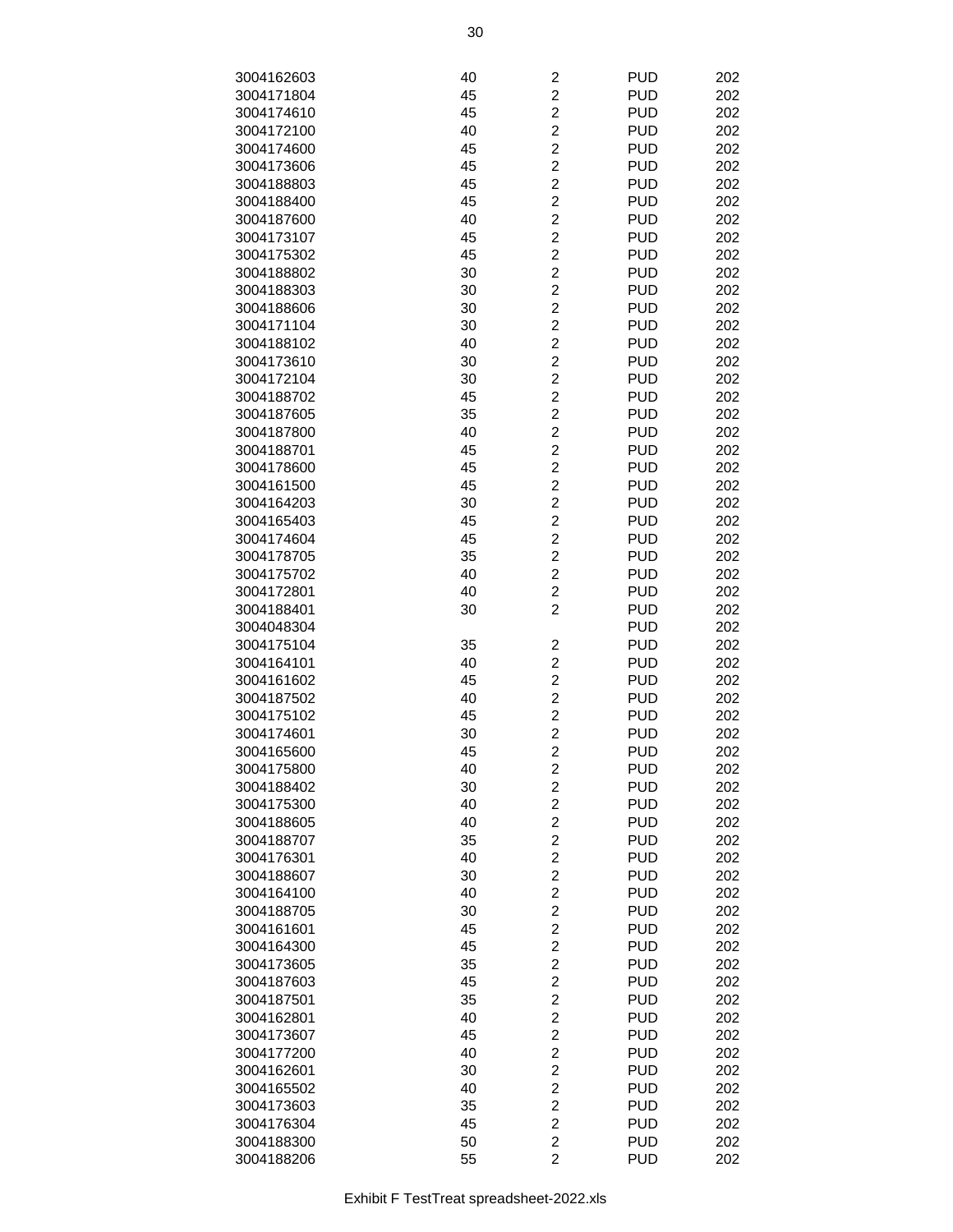| 3004162603 | 40 | 2                       | <b>PUD</b> | 202 |
|------------|----|-------------------------|------------|-----|
|            |    | $\overline{2}$          | <b>PUD</b> |     |
| 3004171804 | 45 |                         |            | 202 |
| 3004174610 | 45 | $\overline{2}$          | <b>PUD</b> | 202 |
| 3004172100 | 40 | $\overline{2}$          | <b>PUD</b> | 202 |
| 3004174600 | 45 | $\overline{c}$          | <b>PUD</b> | 202 |
| 3004173606 | 45 | $\overline{\mathbf{c}}$ | <b>PUD</b> | 202 |
| 3004188803 | 45 | $\overline{c}$          | <b>PUD</b> | 202 |
| 3004188400 | 45 | $\overline{c}$          | <b>PUD</b> | 202 |
| 3004187600 | 40 | $\overline{c}$          | <b>PUD</b> | 202 |
| 3004173107 | 45 | $\overline{2}$          | <b>PUD</b> | 202 |
| 3004175302 | 45 | $\overline{c}$          | <b>PUD</b> | 202 |
| 3004188802 | 30 | $\overline{2}$          | <b>PUD</b> | 202 |
| 3004188303 | 30 | $\overline{2}$          | <b>PUD</b> | 202 |
| 3004188606 | 30 | $\overline{2}$          | <b>PUD</b> | 202 |
| 3004171104 | 30 | $\overline{c}$          | <b>PUD</b> | 202 |
|            |    |                         |            |     |
| 3004188102 | 40 | $\overline{c}$          | <b>PUD</b> | 202 |
| 3004173610 | 30 | $\overline{c}$          | <b>PUD</b> | 202 |
| 3004172104 | 30 | $\overline{2}$          | <b>PUD</b> | 202 |
| 3004188702 | 45 | $\overline{c}$          | <b>PUD</b> | 202 |
| 3004187605 | 35 | $\overline{2}$          | <b>PUD</b> | 202 |
| 3004187800 | 40 | $\overline{c}$          | <b>PUD</b> | 202 |
| 3004188701 | 45 | $\overline{2}$          | <b>PUD</b> | 202 |
| 3004178600 | 45 | $\overline{2}$          | <b>PUD</b> | 202 |
| 3004161500 | 45 | $\overline{2}$          | <b>PUD</b> | 202 |
| 3004164203 | 30 | $\overline{c}$          | <b>PUD</b> | 202 |
| 3004165403 | 45 | $\overline{\mathbf{c}}$ | <b>PUD</b> | 202 |
| 3004174604 | 45 | $\overline{c}$          | <b>PUD</b> | 202 |
| 3004178705 | 35 | $\overline{c}$          | <b>PUD</b> | 202 |
| 3004175702 | 40 | $\overline{c}$          | <b>PUD</b> | 202 |
| 3004172801 | 40 | $\overline{2}$          | <b>PUD</b> | 202 |
|            |    | $\overline{2}$          |            |     |
| 3004188401 | 30 |                         | <b>PUD</b> | 202 |
| 3004048304 |    |                         | <b>PUD</b> | 202 |
| 3004175104 | 35 | $\overline{\mathbf{c}}$ | <b>PUD</b> | 202 |
| 3004164101 | 40 | $\overline{2}$          | <b>PUD</b> | 202 |
| 3004161602 | 45 | $\overline{c}$          | <b>PUD</b> | 202 |
| 3004187502 | 40 | $\overline{\mathbf{c}}$ | <b>PUD</b> | 202 |
| 3004175102 | 45 | $\overline{\mathbf{c}}$ | <b>PUD</b> | 202 |
| 3004174601 | 30 | $\overline{2}$          | <b>PUD</b> | 202 |
| 3004165600 | 45 | $\overline{c}$          | <b>PUD</b> | 202 |
| 3004175800 | 40 | 2                       | <b>PUD</b> | 202 |
| 3004188402 | 30 | $\overline{\mathbf{c}}$ | <b>PUD</b> | 202 |
| 3004175300 | 40 | $\overline{2}$          | <b>PUD</b> | 202 |
| 3004188605 | 40 | $\overline{2}$          | <b>PUD</b> | 202 |
| 3004188707 | 35 | $\overline{2}$          | <b>PUD</b> | 202 |
| 3004176301 | 40 | $\overline{c}$          | <b>PUD</b> | 202 |
| 3004188607 | 30 | $\overline{\mathbf{c}}$ | <b>PUD</b> | 202 |
|            |    | $\overline{c}$          | <b>PUD</b> | 202 |
| 3004164100 | 40 |                         |            |     |
| 3004188705 | 30 | $\overline{c}$          | <b>PUD</b> | 202 |
| 3004161601 | 45 | $\overline{c}$          | <b>PUD</b> | 202 |
| 3004164300 | 45 | $\overline{2}$          | <b>PUD</b> | 202 |
| 3004173605 | 35 | $\overline{c}$          | <b>PUD</b> | 202 |
| 3004187603 | 45 | $\overline{2}$          | <b>PUD</b> | 202 |
| 3004187501 | 35 | $\overline{2}$          | <b>PUD</b> | 202 |
| 3004162801 | 40 | $\overline{2}$          | <b>PUD</b> | 202 |
| 3004173607 | 45 | $\overline{c}$          | <b>PUD</b> | 202 |
| 3004177200 | 40 | $\overline{\mathbf{c}}$ | <b>PUD</b> | 202 |
| 3004162601 | 30 | $\overline{\mathbf{c}}$ | <b>PUD</b> | 202 |
| 3004165502 | 40 | $\overline{c}$          | <b>PUD</b> | 202 |
| 3004173603 | 35 | $\overline{c}$          | <b>PUD</b> | 202 |
| 3004176304 | 45 | $\overline{c}$          | <b>PUD</b> | 202 |
| 3004188300 | 50 | $\overline{c}$          | <b>PUD</b> | 202 |
| 3004188206 | 55 | $\overline{2}$          | <b>PUD</b> | 202 |
|            |    |                         |            |     |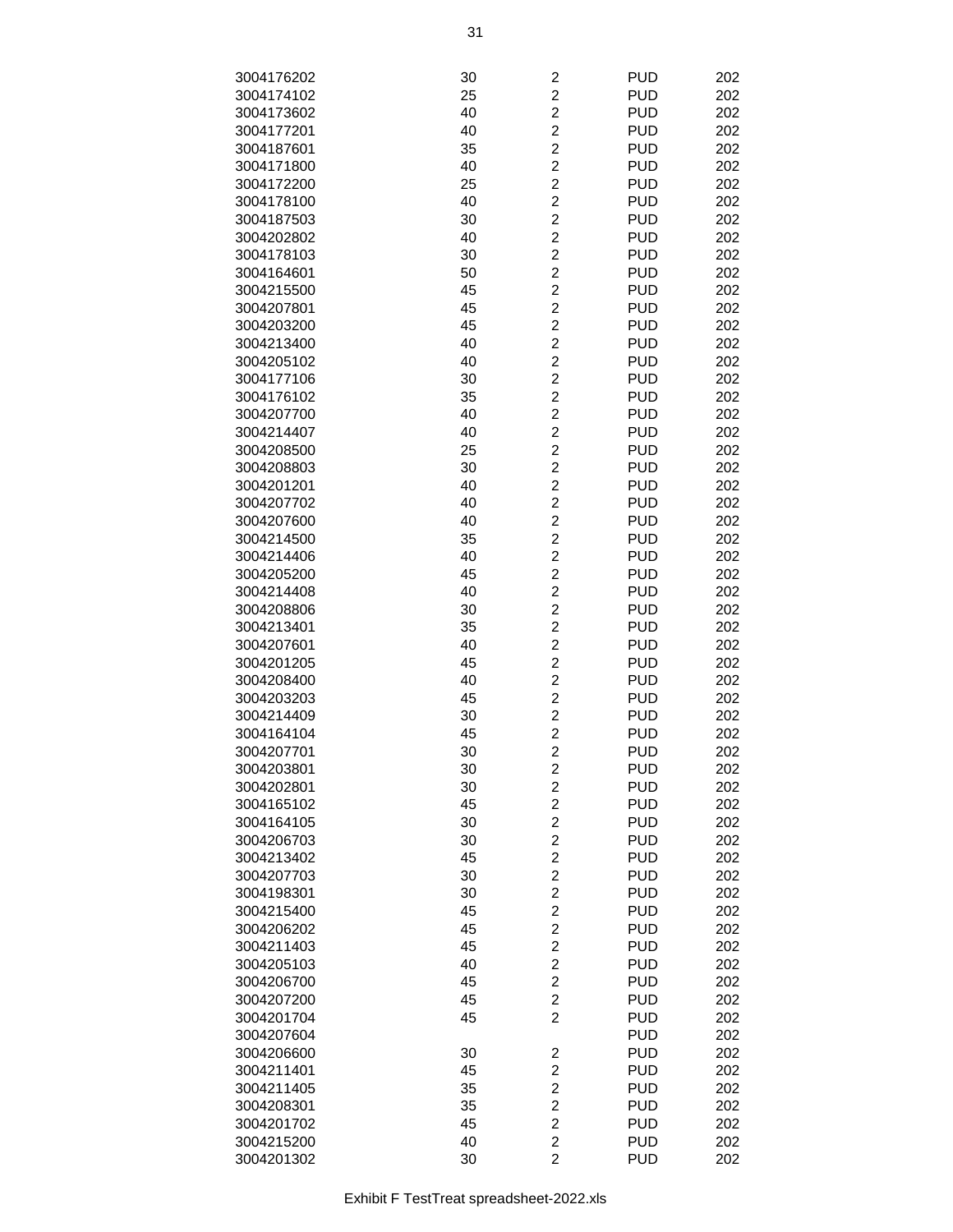| 3004176202 | 30 | $\overline{\mathbf{c}}$ | <b>PUD</b> | 202 |
|------------|----|-------------------------|------------|-----|
| 3004174102 | 25 | $\overline{c}$          | <b>PUD</b> | 202 |
| 3004173602 | 40 | $\overline{2}$          | <b>PUD</b> | 202 |
| 3004177201 | 40 | $\overline{c}$          | <b>PUD</b> | 202 |
| 3004187601 | 35 | $\overline{c}$          | <b>PUD</b> | 202 |
| 3004171800 | 40 | $\overline{c}$          | <b>PUD</b> | 202 |
| 3004172200 | 25 | $\overline{c}$          | <b>PUD</b> | 202 |
| 3004178100 | 40 | $\overline{c}$          | <b>PUD</b> | 202 |
| 3004187503 | 30 | $\overline{c}$          | <b>PUD</b> | 202 |
| 3004202802 | 40 | $\overline{c}$          | <b>PUD</b> | 202 |
| 3004178103 | 30 | $\overline{c}$          | <b>PUD</b> | 202 |
| 3004164601 | 50 | $\overline{c}$          | <b>PUD</b> | 202 |
| 3004215500 | 45 | $\overline{2}$          | <b>PUD</b> | 202 |
| 3004207801 | 45 | $\overline{2}$          | <b>PUD</b> | 202 |
| 3004203200 | 45 | $\overline{c}$          | <b>PUD</b> | 202 |
| 3004213400 | 40 | $\overline{c}$          | <b>PUD</b> | 202 |
| 3004205102 | 40 | $\overline{c}$          | <b>PUD</b> | 202 |
| 3004177106 | 30 | $\overline{c}$          | <b>PUD</b> | 202 |
| 3004176102 | 35 | $\overline{c}$          | <b>PUD</b> | 202 |
| 3004207700 | 40 | $\overline{c}$          | <b>PUD</b> | 202 |
| 3004214407 | 40 | $\overline{c}$          | <b>PUD</b> | 202 |
| 3004208500 | 25 | $\overline{c}$          | <b>PUD</b> | 202 |
| 3004208803 | 30 | $\overline{2}$          | <b>PUD</b> | 202 |
| 3004201201 | 40 | $\overline{c}$          | <b>PUD</b> | 202 |
| 3004207702 | 40 | $\overline{c}$          | <b>PUD</b> | 202 |
| 3004207600 | 40 | $\overline{c}$          | <b>PUD</b> | 202 |
| 3004214500 | 35 | $\overline{c}$          | <b>PUD</b> | 202 |
| 3004214406 | 40 | $\overline{c}$          | <b>PUD</b> | 202 |
| 3004205200 | 45 | $\overline{c}$          | <b>PUD</b> | 202 |
| 3004214408 | 40 | $\overline{c}$          | <b>PUD</b> | 202 |
| 3004208806 | 30 | $\overline{c}$          | <b>PUD</b> | 202 |
| 3004213401 | 35 | $\overline{c}$          | <b>PUD</b> | 202 |
| 3004207601 | 40 | $\overline{2}$          | <b>PUD</b> | 202 |
| 3004201205 | 45 | $\overline{c}$          | <b>PUD</b> | 202 |
| 3004208400 | 40 | $\overline{c}$          | <b>PUD</b> | 202 |
| 3004203203 | 45 | $\overline{c}$          | <b>PUD</b> | 202 |
| 3004214409 | 30 | $\overline{c}$          | <b>PUD</b> | 202 |
| 3004164104 | 45 | $\overline{2}$          | <b>PUD</b> | 202 |
| 3004207701 | 30 | $\overline{2}$          | <b>PUD</b> | 202 |
| 3004203801 | 30 | $\overline{\mathbf{c}}$ | <b>PUD</b> | 202 |
| 3004202801 | 30 | $\overline{\mathbf{c}}$ | <b>PUD</b> | 202 |
| 3004165102 | 45 | $\overline{c}$          | <b>PUD</b> | 202 |
| 3004164105 | 30 | $\overline{c}$          | <b>PUD</b> | 202 |
| 3004206703 | 30 | $\overline{2}$          | <b>PUD</b> | 202 |
| 3004213402 | 45 | $\overline{c}$          | <b>PUD</b> | 202 |
| 3004207703 | 30 | $\overline{\mathbf{c}}$ | <b>PUD</b> | 202 |
| 3004198301 | 30 | $\overline{c}$          | <b>PUD</b> | 202 |
| 3004215400 | 45 | $\overline{c}$          | <b>PUD</b> | 202 |
| 3004206202 | 45 | $\overline{c}$          | <b>PUD</b> | 202 |
| 3004211403 | 45 | $\overline{c}$          | <b>PUD</b> | 202 |
| 3004205103 | 40 | $\overline{\mathbf{c}}$ | <b>PUD</b> | 202 |
| 3004206700 | 45 | $\overline{c}$          | <b>PUD</b> | 202 |
| 3004207200 | 45 | $\overline{2}$          | <b>PUD</b> | 202 |
| 3004201704 | 45 | $\overline{2}$          | <b>PUD</b> | 202 |
| 3004207604 |    |                         | <b>PUD</b> | 202 |
| 3004206600 | 30 | $\overline{\mathbf{c}}$ | <b>PUD</b> | 202 |
| 3004211401 | 45 | $\overline{\mathbf{c}}$ | <b>PUD</b> | 202 |
| 3004211405 | 35 | $\overline{c}$          | <b>PUD</b> | 202 |
| 3004208301 | 35 | $\overline{c}$          | <b>PUD</b> | 202 |
| 3004201702 | 45 | $\overline{\mathbf{c}}$ | <b>PUD</b> | 202 |
| 3004215200 | 40 | $\overline{\mathbf{c}}$ | <b>PUD</b> | 202 |
| 3004201302 | 30 | $\overline{2}$          | <b>PUD</b> | 202 |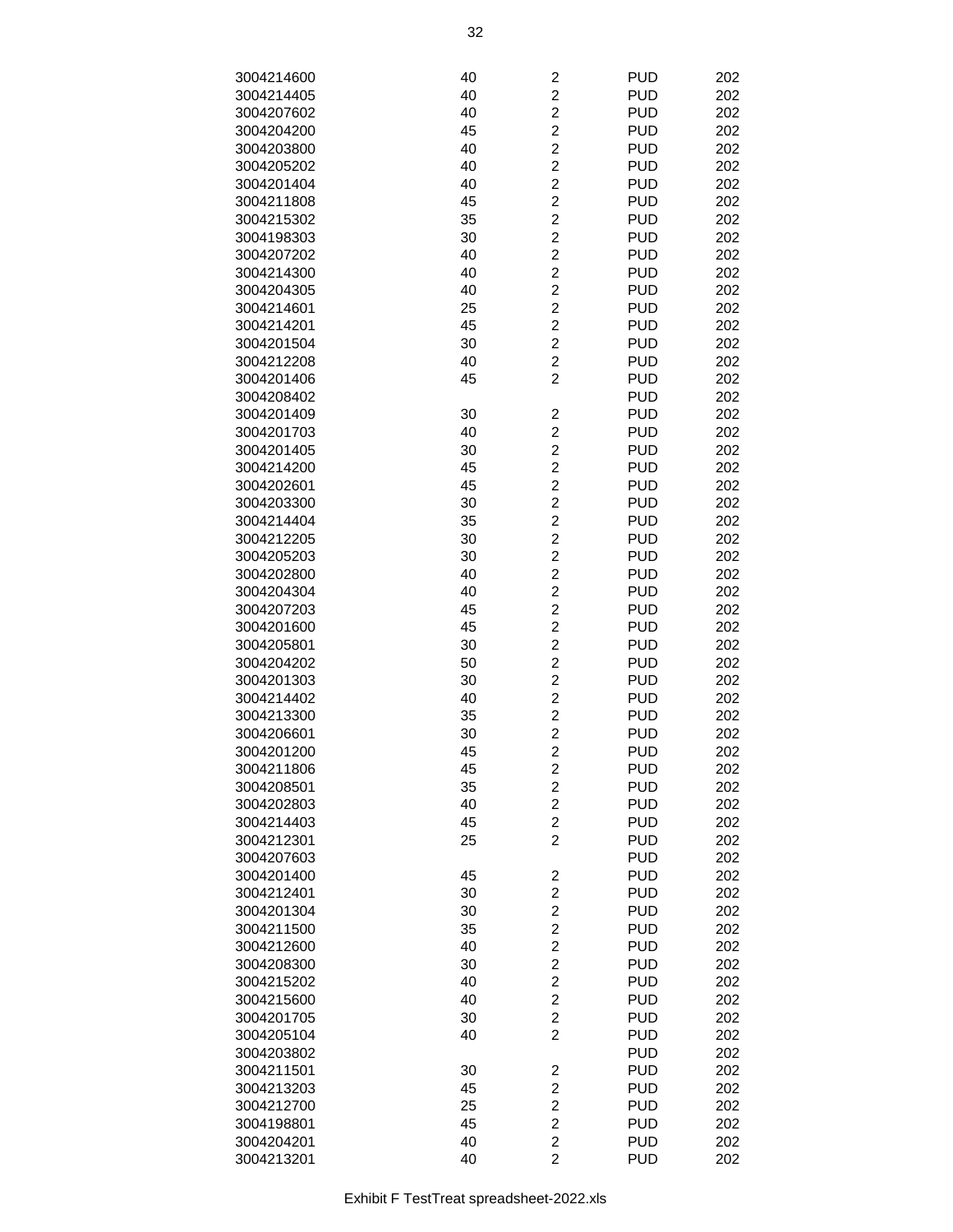| 3004214600 | 40 |                         | <b>PUD</b> | 202 |
|------------|----|-------------------------|------------|-----|
|            |    | 2                       |            |     |
| 3004214405 | 40 | $\overline{c}$          | <b>PUD</b> | 202 |
| 3004207602 | 40 | $\overline{2}$          | <b>PUD</b> | 202 |
| 3004204200 | 45 | $\overline{c}$          | <b>PUD</b> | 202 |
| 3004203800 | 40 | $\overline{c}$          | <b>PUD</b> | 202 |
|            |    |                         |            |     |
| 3004205202 | 40 | $\overline{c}$          | <b>PUD</b> | 202 |
| 3004201404 | 40 | $\overline{c}$          | <b>PUD</b> | 202 |
| 3004211808 | 45 | $\overline{c}$          | <b>PUD</b> | 202 |
| 3004215302 | 35 | $\overline{c}$          | <b>PUD</b> | 202 |
| 3004198303 | 30 | $\overline{2}$          | <b>PUD</b> | 202 |
|            |    |                         |            |     |
| 3004207202 | 40 | $\overline{2}$          | <b>PUD</b> | 202 |
| 3004214300 | 40 | $\overline{c}$          | <b>PUD</b> | 202 |
| 3004204305 | 40 | $\overline{2}$          | <b>PUD</b> | 202 |
| 3004214601 | 25 | $\overline{c}$          | <b>PUD</b> | 202 |
|            |    | $\overline{2}$          | <b>PUD</b> | 202 |
| 3004214201 | 45 |                         |            |     |
| 3004201504 | 30 | $\overline{c}$          | <b>PUD</b> | 202 |
| 3004212208 | 40 | $\overline{c}$          | <b>PUD</b> | 202 |
| 3004201406 | 45 | $\overline{2}$          | <b>PUD</b> | 202 |
| 3004208402 |    |                         | <b>PUD</b> | 202 |
|            |    |                         | <b>PUD</b> |     |
| 3004201409 | 30 | $\overline{\mathbf{c}}$ |            | 202 |
| 3004201703 | 40 | $\overline{2}$          | <b>PUD</b> | 202 |
| 3004201405 | 30 | $\overline{c}$          | <b>PUD</b> | 202 |
| 3004214200 | 45 | $\overline{2}$          | <b>PUD</b> | 202 |
| 3004202601 | 45 | $\overline{c}$          | <b>PUD</b> | 202 |
|            |    |                         |            |     |
| 3004203300 | 30 | $\overline{c}$          | <b>PUD</b> | 202 |
| 3004214404 | 35 | $\overline{c}$          | <b>PUD</b> | 202 |
| 3004212205 | 30 | $\overline{c}$          | <b>PUD</b> | 202 |
| 3004205203 | 30 | $\overline{c}$          | <b>PUD</b> | 202 |
| 3004202800 | 40 | $\overline{c}$          | <b>PUD</b> | 202 |
|            |    |                         |            |     |
| 3004204304 | 40 | $\overline{2}$          | <b>PUD</b> | 202 |
| 3004207203 | 45 | $\overline{2}$          | <b>PUD</b> | 202 |
| 3004201600 | 45 | $\overline{c}$          | <b>PUD</b> | 202 |
| 3004205801 | 30 | $\overline{2}$          | <b>PUD</b> | 202 |
| 3004204202 | 50 | $\overline{c}$          | <b>PUD</b> | 202 |
| 3004201303 |    | $\overline{c}$          | <b>PUD</b> |     |
|            | 30 |                         |            | 202 |
| 3004214402 | 40 | $\overline{c}$          | <b>PUD</b> | 202 |
| 3004213300 | 35 | $\overline{c}$          | <b>PUD</b> | 202 |
| 3004206601 | 30 | $\overline{2}$          | <b>PUD</b> | 202 |
| 3004201200 | 45 | $\overline{\mathbf{c}}$ | <b>PUD</b> | 202 |
| 3004211806 |    |                         | <b>PUD</b> | 202 |
|            | 45 | 2                       |            |     |
| 3004208501 | 35 | $\overline{c}$          | <b>PUD</b> | 202 |
| 3004202803 | 40 | $\overline{c}$          | <b>PUD</b> | 202 |
| 3004214403 | 45 | $\overline{2}$          | <b>PUD</b> | 202 |
| 3004212301 | 25 | $\overline{c}$          | <b>PUD</b> | 202 |
| 3004207603 |    |                         | <b>PUD</b> | 202 |
|            |    |                         |            |     |
| 3004201400 | 45 | 2                       | <b>PUD</b> | 202 |
| 3004212401 | 30 | $\overline{c}$          | <b>PUD</b> | 202 |
| 3004201304 | 30 | $\overline{c}$          | <b>PUD</b> | 202 |
| 3004211500 | 35 | $\overline{c}$          | <b>PUD</b> | 202 |
|            | 40 | $\overline{2}$          | <b>PUD</b> |     |
| 3004212600 |    |                         |            | 202 |
| 3004208300 | 30 | $\overline{2}$          | <b>PUD</b> | 202 |
| 3004215202 | 40 | $\overline{c}$          | <b>PUD</b> | 202 |
| 3004215600 | 40 | $\overline{c}$          | <b>PUD</b> | 202 |
| 3004201705 | 30 | $\overline{c}$          | <b>PUD</b> | 202 |
|            |    | $\overline{c}$          | <b>PUD</b> |     |
| 3004205104 | 40 |                         |            | 202 |
| 3004203802 |    |                         | <b>PUD</b> | 202 |
| 3004211501 | 30 | 2                       | <b>PUD</b> | 202 |
| 3004213203 | 45 | $\overline{c}$          | <b>PUD</b> | 202 |
| 3004212700 | 25 | $\overline{c}$          | <b>PUD</b> | 202 |
|            |    | $\overline{c}$          | <b>PUD</b> |     |
| 3004198801 | 45 |                         |            | 202 |
| 3004204201 | 40 | $\overline{2}$          | <b>PUD</b> | 202 |
| 3004213201 | 40 | $\overline{2}$          | <b>PUD</b> | 202 |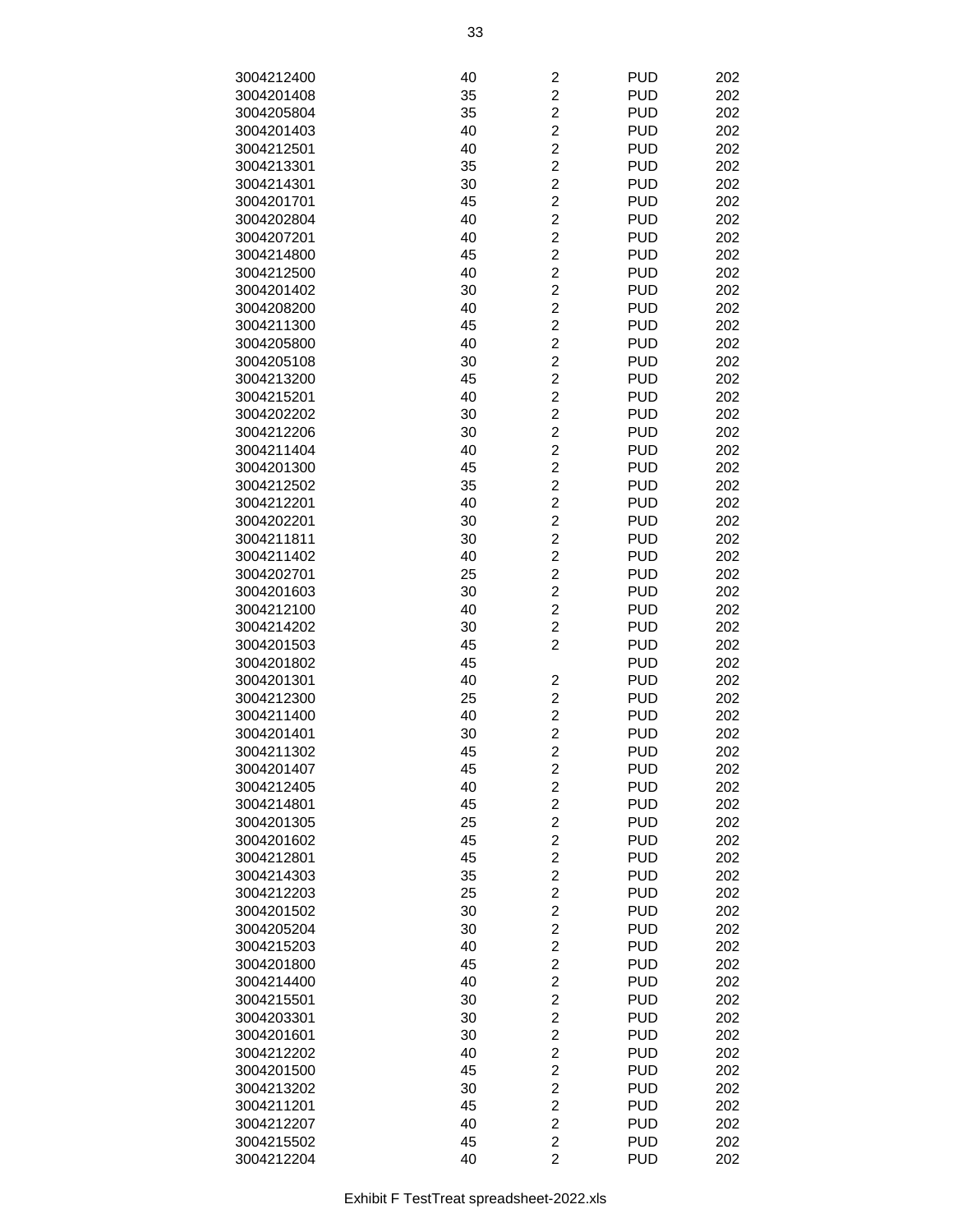| 3004212400 | 40 | $\overline{c}$          | <b>PUD</b> | 202 |
|------------|----|-------------------------|------------|-----|
| 3004201408 | 35 | $\overline{c}$          | <b>PUD</b> | 202 |
| 3004205804 | 35 | $\overline{c}$          | <b>PUD</b> | 202 |
| 3004201403 | 40 | $\overline{c}$          | <b>PUD</b> | 202 |
|            |    | $\overline{c}$          |            |     |
| 3004212501 | 40 |                         | <b>PUD</b> | 202 |
| 3004213301 | 35 | $\overline{c}$          | <b>PUD</b> | 202 |
| 3004214301 | 30 | $\overline{c}$          | <b>PUD</b> | 202 |
| 3004201701 | 45 | $\overline{c}$          | <b>PUD</b> | 202 |
| 3004202804 | 40 | $\overline{c}$          | <b>PUD</b> | 202 |
| 3004207201 | 40 | $\overline{c}$          | <b>PUD</b> | 202 |
| 3004214800 | 45 | $\overline{2}$          | <b>PUD</b> | 202 |
| 3004212500 | 40 | $\overline{2}$          | <b>PUD</b> | 202 |
| 3004201402 | 30 | $\overline{c}$          | <b>PUD</b> | 202 |
| 3004208200 | 40 | $\overline{c}$          | <b>PUD</b> | 202 |
| 3004211300 | 45 | $\overline{c}$          | <b>PUD</b> | 202 |
| 3004205800 | 40 | $\overline{c}$          | <b>PUD</b> | 202 |
| 3004205108 | 30 | $\overline{c}$          | <b>PUD</b> | 202 |
| 3004213200 | 45 | $\overline{c}$          | <b>PUD</b> | 202 |
| 3004215201 | 40 | $\overline{c}$          | <b>PUD</b> | 202 |
| 3004202202 | 30 | $\overline{c}$          | <b>PUD</b> | 202 |
| 3004212206 | 30 | $\overline{2}$          | <b>PUD</b> | 202 |
| 3004211404 | 40 | $\overline{2}$          | <b>PUD</b> | 202 |
| 3004201300 |    | $\overline{c}$          | <b>PUD</b> |     |
|            | 45 |                         |            | 202 |
| 3004212502 | 35 | $\overline{c}$          | <b>PUD</b> | 202 |
| 3004212201 | 40 | $\overline{c}$          | <b>PUD</b> | 202 |
| 3004202201 | 30 | $\overline{c}$          | <b>PUD</b> | 202 |
| 3004211811 | 30 | $\overline{c}$          | <b>PUD</b> | 202 |
| 3004211402 | 40 | $\overline{c}$          | <b>PUD</b> | 202 |
| 3004202701 | 25 | $\overline{c}$          | <b>PUD</b> | 202 |
| 3004201603 | 30 | $\overline{c}$          | <b>PUD</b> | 202 |
| 3004212100 | 40 | $\overline{2}$          | <b>PUD</b> | 202 |
| 3004214202 | 30 | $\overline{2}$          | <b>PUD</b> | 202 |
| 3004201503 | 45 | $\overline{2}$          | <b>PUD</b> | 202 |
| 3004201802 | 45 |                         | <b>PUD</b> | 202 |
| 3004201301 | 40 | $\overline{c}$          | <b>PUD</b> | 202 |
| 3004212300 | 25 | $\overline{c}$          | <b>PUD</b> | 202 |
| 3004211400 | 40 | $\overline{c}$          | <b>PUD</b> | 202 |
| 3004201401 | 30 | $\overline{c}$          | <b>PUD</b> | 202 |
| 3004211302 | 45 | $\overline{c}$          | <b>PUD</b> | 202 |
| 3004201407 | 45 | $\overline{\mathbf{c}}$ | <b>PUD</b> | 202 |
| 3004212405 | 40 | $\overline{2}$          | <b>PUD</b> | 202 |
| 3004214801 | 45 | $\overline{2}$          | <b>PUD</b> | 202 |
| 3004201305 | 25 | $\overline{c}$          | <b>PUD</b> | 202 |
| 3004201602 | 45 | $\overline{c}$          | <b>PUD</b> | 202 |
| 3004212801 | 45 | $\overline{c}$          | <b>PUD</b> | 202 |
|            |    | $\overline{c}$          | <b>PUD</b> | 202 |
| 3004214303 | 35 |                         |            |     |
| 3004212203 | 25 | $\overline{c}$          | <b>PUD</b> | 202 |
| 3004201502 | 30 | $\overline{c}$          | <b>PUD</b> | 202 |
| 3004205204 | 30 | $\overline{c}$          | <b>PUD</b> | 202 |
| 3004215203 | 40 | $\overline{c}$          | <b>PUD</b> | 202 |
| 3004201800 | 45 | $\overline{2}$          | <b>PUD</b> | 202 |
| 3004214400 | 40 | $\overline{2}$          | <b>PUD</b> | 202 |
| 3004215501 | 30 | $\overline{c}$          | <b>PUD</b> | 202 |
| 3004203301 | 30 | $\overline{c}$          | <b>PUD</b> | 202 |
| 3004201601 | 30 | $\overline{c}$          | <b>PUD</b> | 202 |
| 3004212202 | 40 | $\overline{c}$          | <b>PUD</b> | 202 |
| 3004201500 | 45 | $\overline{c}$          | <b>PUD</b> | 202 |
| 3004213202 | 30 | $\overline{\mathbf{c}}$ | <b>PUD</b> | 202 |
| 3004211201 | 45 | $\overline{\mathbf{c}}$ | <b>PUD</b> | 202 |
| 3004212207 | 40 | $\overline{c}$          | <b>PUD</b> | 202 |
| 3004215502 | 45 | $\overline{2}$          | <b>PUD</b> | 202 |
| 3004212204 | 40 | $\overline{2}$          | <b>PUD</b> | 202 |
|            |    |                         |            |     |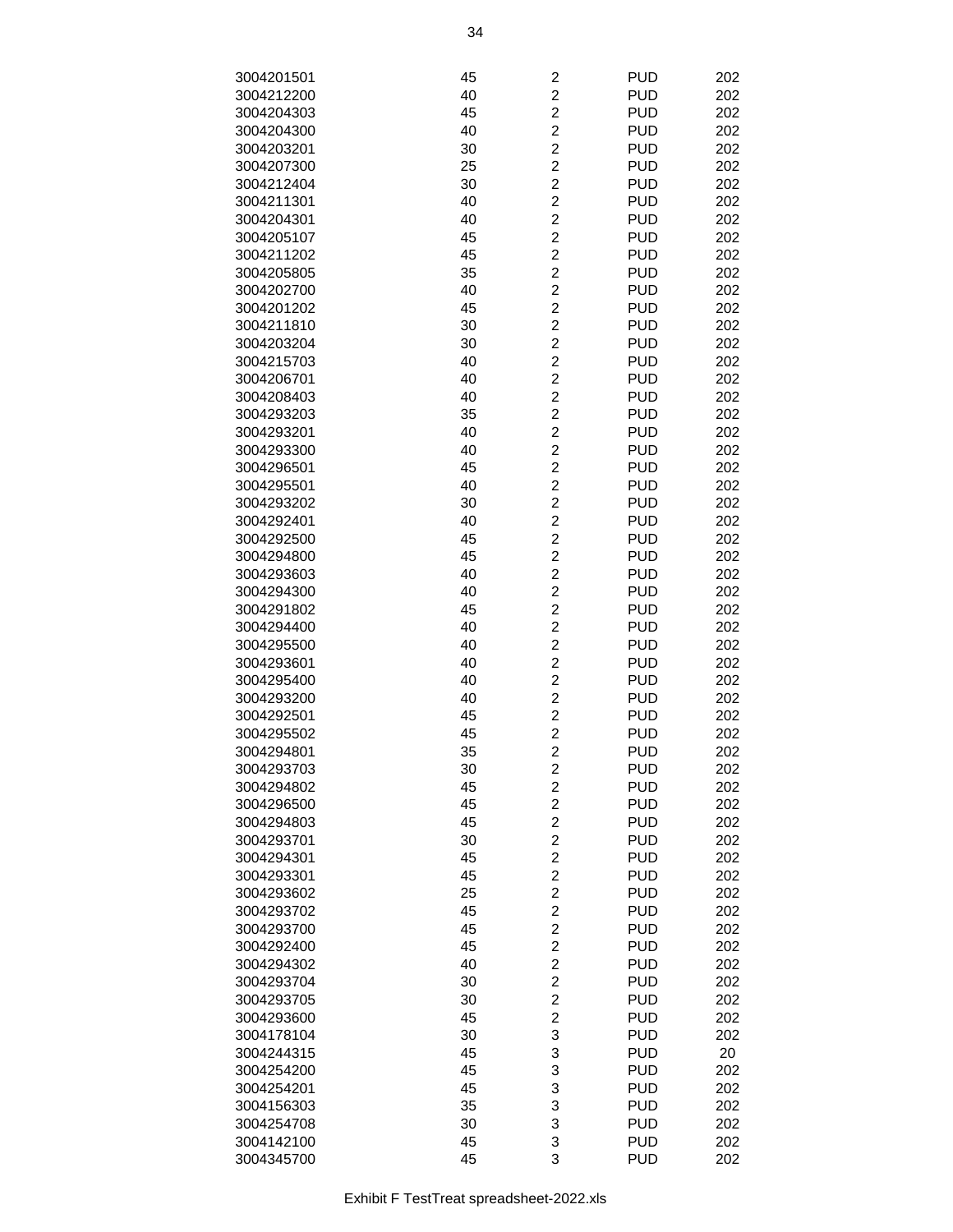| 3004201501               | 45       | $\overline{c}$                   | <b>PUD</b> | 202 |
|--------------------------|----------|----------------------------------|------------|-----|
| 3004212200               | 40       | $\overline{c}$                   | <b>PUD</b> | 202 |
| 3004204303               | 45       | $\overline{c}$                   | <b>PUD</b> | 202 |
| 3004204300               | 40       | $\overline{c}$                   | <b>PUD</b> | 202 |
| 3004203201               | 30       | $\overline{c}$                   | <b>PUD</b> | 202 |
| 3004207300               | 25       | $\overline{c}$                   | <b>PUD</b> | 202 |
| 3004212404               | 30       | $\overline{c}$                   | <b>PUD</b> | 202 |
| 3004211301               | 40       | $\overline{c}$                   | <b>PUD</b> | 202 |
| 3004204301               | 40       | $\overline{c}$                   | <b>PUD</b> | 202 |
| 3004205107               | 45       | $\overline{c}$                   | <b>PUD</b> | 202 |
| 3004211202               | 45       | $\overline{2}$                   | <b>PUD</b> | 202 |
| 3004205805               | 35       | $\overline{2}$                   | <b>PUD</b> | 202 |
| 3004202700               | 40       | $\overline{c}$                   | <b>PUD</b> | 202 |
| 3004201202               | 45       | $\overline{c}$                   | <b>PUD</b> | 202 |
| 3004211810               | 30       | $\overline{c}$                   | <b>PUD</b> | 202 |
|                          | 30       | $\overline{c}$                   | <b>PUD</b> | 202 |
| 3004203204<br>3004215703 | 40       | $\overline{c}$                   | <b>PUD</b> | 202 |
|                          |          | $\overline{c}$                   | <b>PUD</b> |     |
| 3004206701               | 40<br>40 |                                  | <b>PUD</b> | 202 |
| 3004208403               |          | $\overline{c}$<br>$\overline{c}$ |            | 202 |
| 3004293203               | 35       |                                  | <b>PUD</b> | 202 |
| 3004293201               | 40       | $\overline{2}$                   | <b>PUD</b> | 202 |
| 3004293300               | 40       | $\overline{2}$                   | <b>PUD</b> | 202 |
| 3004296501               | 45       | $\overline{c}$                   | <b>PUD</b> | 202 |
| 3004295501               | 40       | $\overline{c}$                   | <b>PUD</b> | 202 |
| 3004293202               | 30       | $\overline{c}$                   | <b>PUD</b> | 202 |
| 3004292401               | 40       | $\overline{c}$                   | <b>PUD</b> | 202 |
| 3004292500               | 45       | $\overline{c}$                   | <b>PUD</b> | 202 |
| 3004294800               | 45       | $\overline{c}$                   | <b>PUD</b> | 202 |
| 3004293603               | 40       | $\overline{c}$                   | <b>PUD</b> | 202 |
| 3004294300               | 40       | $\overline{c}$                   | <b>PUD</b> | 202 |
| 3004291802               | 45       | $\overline{2}$                   | <b>PUD</b> | 202 |
| 3004294400               | 40       | $\overline{c}$                   | <b>PUD</b> | 202 |
| 3004295500               | 40       | $\overline{c}$                   | <b>PUD</b> | 202 |
| 3004293601               | 40       | $\overline{c}$                   | <b>PUD</b> | 202 |
| 3004295400               | 40       | $\overline{c}$                   | <b>PUD</b> | 202 |
| 3004293200               | 40       | $\overline{c}$                   | <b>PUD</b> | 202 |
| 3004292501               | 45       | $\overline{2}$                   | <b>PUD</b> | 202 |
| 3004295502               | 45       | $\overline{c}$                   | <b>PUD</b> | 202 |
| 3004294801               | 35       | $\overline{c}$                   | <b>PUD</b> | 202 |
| 3004293703               | 30       | $\overline{\mathbf{c}}$          | <b>PUD</b> | 202 |
| 3004294802               | 45       | $\overline{2}$                   | <b>PUD</b> | 202 |
| 3004296500               | 45       | $\overline{2}$                   | <b>PUD</b> | 202 |
| 3004294803               | 45       | $\overline{c}$                   | <b>PUD</b> | 202 |
| 3004293701               | 30       | $\overline{c}$                   | <b>PUD</b> | 202 |
| 3004294301               | 45       | $\overline{c}$                   | <b>PUD</b> | 202 |
| 3004293301               | 45       | $\overline{c}$                   | <b>PUD</b> | 202 |
| 3004293602               | 25       | $\overline{c}$                   | <b>PUD</b> | 202 |
| 3004293702               | 45       | $\overline{c}$                   | <b>PUD</b> | 202 |
| 3004293700               | 45       | $\overline{c}$                   | <b>PUD</b> | 202 |
| 3004292400               | 45       | $\overline{c}$                   | <b>PUD</b> | 202 |
| 3004294302               | 40       | $\overline{2}$                   | <b>PUD</b> | 202 |
| 3004293704               | 30       | $\overline{c}$                   | <b>PUD</b> | 202 |
| 3004293705               | 30       | $\overline{c}$                   | <b>PUD</b> | 202 |
| 3004293600               | 45       | $\overline{c}$                   | <b>PUD</b> | 202 |
| 3004178104               | 30       | 3                                | <b>PUD</b> | 202 |
| 3004244315               | 45       | 3                                | <b>PUD</b> | 20  |
| 3004254200               | 45       | 3                                | <b>PUD</b> | 202 |
| 3004254201               | 45       | 3                                | <b>PUD</b> | 202 |
| 3004156303               | 35       | 3                                | <b>PUD</b> | 202 |
| 3004254708               | 30       | 3                                | <b>PUD</b> | 202 |
| 3004142100               | 45       | 3                                | <b>PUD</b> | 202 |
| 3004345700               | 45       | 3                                | <b>PUD</b> | 202 |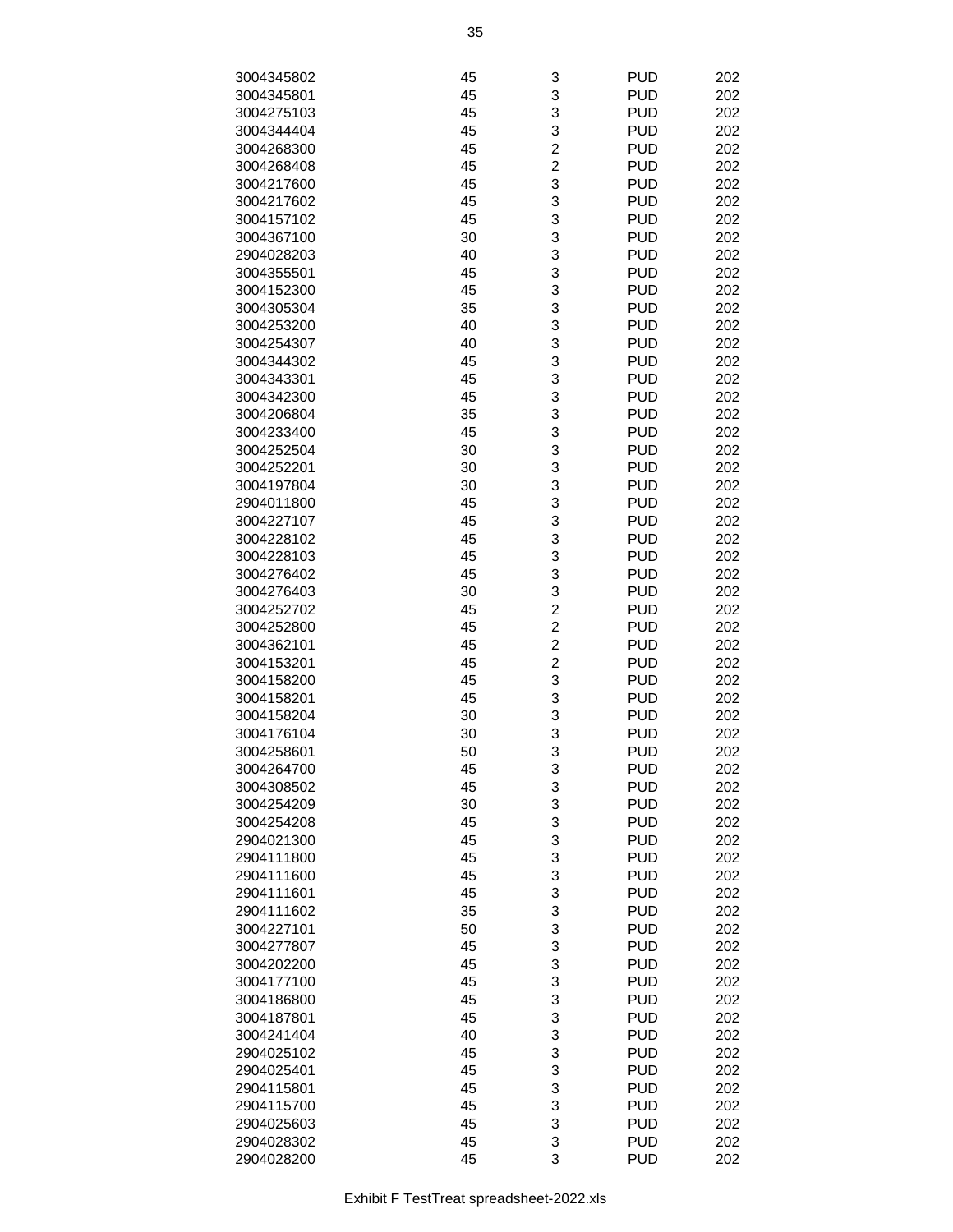| 3004345802 | 45 | 3                       | <b>PUD</b> | 202 |
|------------|----|-------------------------|------------|-----|
| 3004345801 | 45 | 3                       | <b>PUD</b> | 202 |
| 3004275103 | 45 | 3                       | <b>PUD</b> | 202 |
| 3004344404 | 45 | 3                       | <b>PUD</b> | 202 |
| 3004268300 | 45 | $\overline{c}$          | <b>PUD</b> | 202 |
| 3004268408 | 45 | $\overline{c}$          | <b>PUD</b> | 202 |
| 3004217600 | 45 | 3                       | <b>PUD</b> | 202 |
| 3004217602 | 45 | 3                       | <b>PUD</b> | 202 |
| 3004157102 | 45 | 3                       | <b>PUD</b> | 202 |
| 3004367100 | 30 | 3                       | <b>PUD</b> | 202 |
| 2904028203 | 40 | 3                       | <b>PUD</b> | 202 |
| 3004355501 | 45 | 3                       | <b>PUD</b> | 202 |
| 3004152300 | 45 | 3                       | <b>PUD</b> | 202 |
| 3004305304 | 35 | 3                       | <b>PUD</b> | 202 |
| 3004253200 | 40 | 3                       | <b>PUD</b> | 202 |
| 3004254307 | 40 | 3                       | <b>PUD</b> | 202 |
| 3004344302 | 45 | 3                       | <b>PUD</b> | 202 |
| 3004343301 | 45 | 3                       | <b>PUD</b> | 202 |
| 3004342300 | 45 | 3                       | <b>PUD</b> | 202 |
| 3004206804 | 35 | 3                       | <b>PUD</b> | 202 |
| 3004233400 | 45 | 3                       | <b>PUD</b> | 202 |
| 3004252504 | 30 | 3                       | <b>PUD</b> | 202 |
| 3004252201 | 30 | 3                       | <b>PUD</b> | 202 |
| 3004197804 | 30 | 3                       | <b>PUD</b> | 202 |
| 2904011800 | 45 | 3                       | <b>PUD</b> | 202 |
| 3004227107 | 45 | 3                       | <b>PUD</b> | 202 |
| 3004228102 | 45 | 3                       | <b>PUD</b> | 202 |
| 3004228103 | 45 | 3                       | <b>PUD</b> | 202 |
| 3004276402 | 45 | 3                       | <b>PUD</b> | 202 |
| 3004276403 | 30 | 3                       | <b>PUD</b> | 202 |
| 3004252702 | 45 | $\overline{2}$          | <b>PUD</b> | 202 |
| 3004252800 | 45 | $\overline{c}$          | <b>PUD</b> | 202 |
| 3004362101 | 45 | $\overline{\mathbf{c}}$ | <b>PUD</b> | 202 |
| 3004153201 | 45 | $\overline{c}$          | <b>PUD</b> | 202 |
| 3004158200 | 45 | 3                       | <b>PUD</b> | 202 |
| 3004158201 | 45 | 3                       | <b>PUD</b> | 202 |
| 3004158204 | 30 | 3                       | <b>PUD</b> | 202 |
| 3004176104 | 30 | 3                       | <b>PUD</b> | 202 |
| 3004258601 | 50 | 3                       | <b>PUD</b> | 202 |
| 3004264700 | 45 | 3                       | <b>PUD</b> | 202 |
| 3004308502 | 45 | 3                       | <b>PUD</b> | 202 |
| 3004254209 | 30 | 3                       | <b>PUD</b> | 202 |
| 3004254208 | 45 | 3                       | <b>PUD</b> | 202 |
| 2904021300 | 45 | 3                       | <b>PUD</b> | 202 |
| 2904111800 | 45 | 3                       | <b>PUD</b> | 202 |
| 2904111600 | 45 | 3                       | <b>PUD</b> | 202 |
| 2904111601 | 45 | 3                       | <b>PUD</b> | 202 |
| 2904111602 | 35 | 3                       | <b>PUD</b> | 202 |
| 3004227101 | 50 | 3                       | <b>PUD</b> | 202 |
| 3004277807 | 45 | 3                       | <b>PUD</b> | 202 |
| 3004202200 | 45 | 3                       | <b>PUD</b> | 202 |
| 3004177100 | 45 | 3                       | <b>PUD</b> | 202 |
| 3004186800 | 45 | 3                       | <b>PUD</b> | 202 |
| 3004187801 | 45 | 3                       | <b>PUD</b> | 202 |
| 3004241404 | 40 | 3                       | <b>PUD</b> | 202 |
| 2904025102 | 45 | 3                       | <b>PUD</b> | 202 |
| 2904025401 | 45 | 3                       | <b>PUD</b> | 202 |
| 2904115801 | 45 | 3                       | <b>PUD</b> | 202 |
| 2904115700 | 45 | 3                       | <b>PUD</b> | 202 |
| 2904025603 | 45 | 3                       | <b>PUD</b> | 202 |
| 2904028302 | 45 | 3                       | <b>PUD</b> | 202 |
| 2904028200 | 45 | 3                       | <b>PUD</b> | 202 |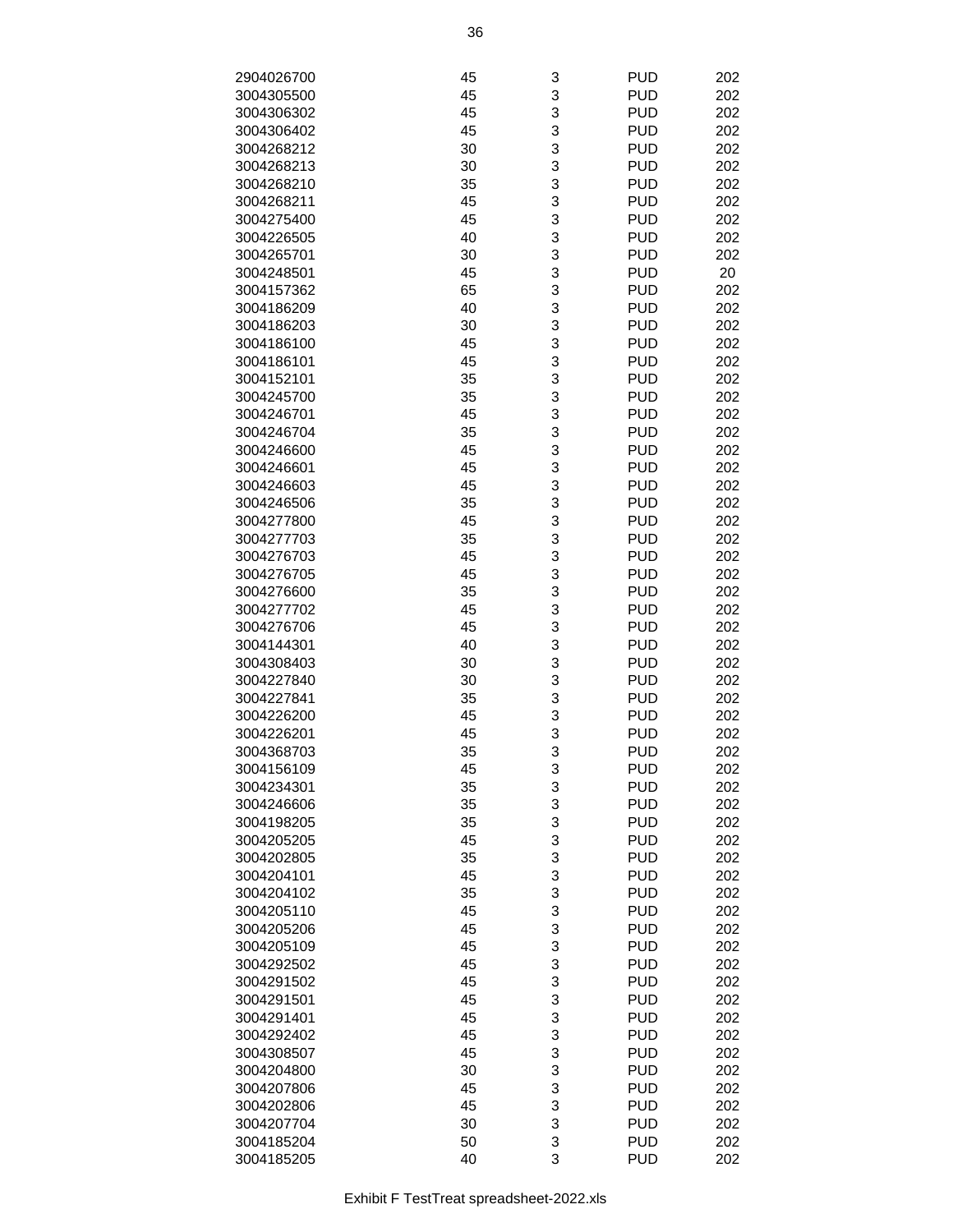| 2904026700 | 45 | 3 | <b>PUD</b>               | 202 |
|------------|----|---|--------------------------|-----|
| 3004305500 | 45 | 3 | <b>PUD</b>               | 202 |
| 3004306302 | 45 | 3 | <b>PUD</b>               | 202 |
| 3004306402 | 45 | 3 | <b>PUD</b>               | 202 |
| 3004268212 | 30 | 3 | <b>PUD</b>               | 202 |
|            |    |   |                          |     |
| 3004268213 | 30 | 3 | <b>PUD</b>               | 202 |
| 3004268210 | 35 | 3 | <b>PUD</b>               | 202 |
| 3004268211 | 45 | 3 | <b>PUD</b>               | 202 |
| 3004275400 | 45 | 3 | <b>PUD</b>               | 202 |
| 3004226505 | 40 | 3 | <b>PUD</b>               | 202 |
| 3004265701 | 30 | 3 | <b>PUD</b>               | 202 |
| 3004248501 | 45 | 3 | <b>PUD</b>               | 20  |
| 3004157362 | 65 | 3 | <b>PUD</b>               | 202 |
| 3004186209 | 40 | 3 | <b>PUD</b>               | 202 |
| 3004186203 | 30 | 3 | <b>PUD</b>               | 202 |
| 3004186100 | 45 | 3 | <b>PUD</b>               | 202 |
| 3004186101 | 45 | 3 | <b>PUD</b>               | 202 |
| 3004152101 | 35 | 3 | <b>PUD</b>               | 202 |
| 3004245700 | 35 | 3 | <b>PUD</b>               | 202 |
| 3004246701 | 45 | 3 | <b>PUD</b>               | 202 |
| 3004246704 | 35 | 3 | <b>PUD</b>               | 202 |
|            |    | 3 |                          |     |
| 3004246600 | 45 |   | <b>PUD</b>               | 202 |
| 3004246601 | 45 | 3 | <b>PUD</b>               | 202 |
| 3004246603 | 45 | 3 | <b>PUD</b>               | 202 |
| 3004246506 | 35 | 3 | <b>PUD</b>               | 202 |
| 3004277800 | 45 | 3 | <b>PUD</b>               | 202 |
| 3004277703 | 35 | 3 | <b>PUD</b>               | 202 |
| 3004276703 | 45 | 3 | <b>PUD</b>               | 202 |
| 3004276705 | 45 | 3 | <b>PUD</b>               | 202 |
| 3004276600 | 35 | 3 | <b>PUD</b>               | 202 |
| 3004277702 | 45 | 3 | <b>PUD</b>               | 202 |
| 3004276706 | 45 | 3 | <b>PUD</b>               | 202 |
| 3004144301 | 40 | 3 | <b>PUD</b>               | 202 |
| 3004308403 | 30 | 3 | <b>PUD</b>               | 202 |
| 3004227840 | 30 | 3 | <b>PUD</b>               | 202 |
| 3004227841 | 35 | 3 | <b>PUD</b>               | 202 |
| 3004226200 | 45 | 3 | <b>PUD</b>               | 202 |
| 3004226201 | 45 | 3 | <b>PUD</b>               | 202 |
| 3004368703 | 35 | 3 | <b>PUD</b>               | 202 |
| 3004156109 | 45 | 3 | <b>PUD</b>               | 202 |
| 3004234301 | 35 | 3 | <b>PUD</b>               | 202 |
| 3004246606 | 35 | 3 | <b>PUD</b>               | 202 |
|            |    |   |                          | 202 |
| 3004198205 | 35 | 3 | <b>PUD</b><br><b>PUD</b> | 202 |
| 3004205205 | 45 | 3 |                          |     |
| 3004202805 | 35 | 3 | <b>PUD</b>               | 202 |
| 3004204101 | 45 | 3 | <b>PUD</b>               | 202 |
| 3004204102 | 35 | 3 | <b>PUD</b>               | 202 |
| 3004205110 | 45 | 3 | <b>PUD</b>               | 202 |
| 3004205206 | 45 | 3 | <b>PUD</b>               | 202 |
| 3004205109 | 45 | 3 | <b>PUD</b>               | 202 |
| 3004292502 | 45 | 3 | <b>PUD</b>               | 202 |
| 3004291502 | 45 | 3 | <b>PUD</b>               | 202 |
| 3004291501 | 45 | 3 | <b>PUD</b>               | 202 |
| 3004291401 | 45 | 3 | <b>PUD</b>               | 202 |
| 3004292402 | 45 | 3 | <b>PUD</b>               | 202 |
| 3004308507 | 45 | 3 | <b>PUD</b>               | 202 |
| 3004204800 | 30 | 3 | <b>PUD</b>               | 202 |
| 3004207806 | 45 | 3 | <b>PUD</b>               | 202 |
| 3004202806 | 45 | 3 | <b>PUD</b>               | 202 |
| 3004207704 | 30 | 3 | <b>PUD</b>               | 202 |
| 3004185204 | 50 | 3 | <b>PUD</b>               | 202 |
| 3004185205 | 40 | 3 | <b>PUD</b>               | 202 |
|            |    |   |                          |     |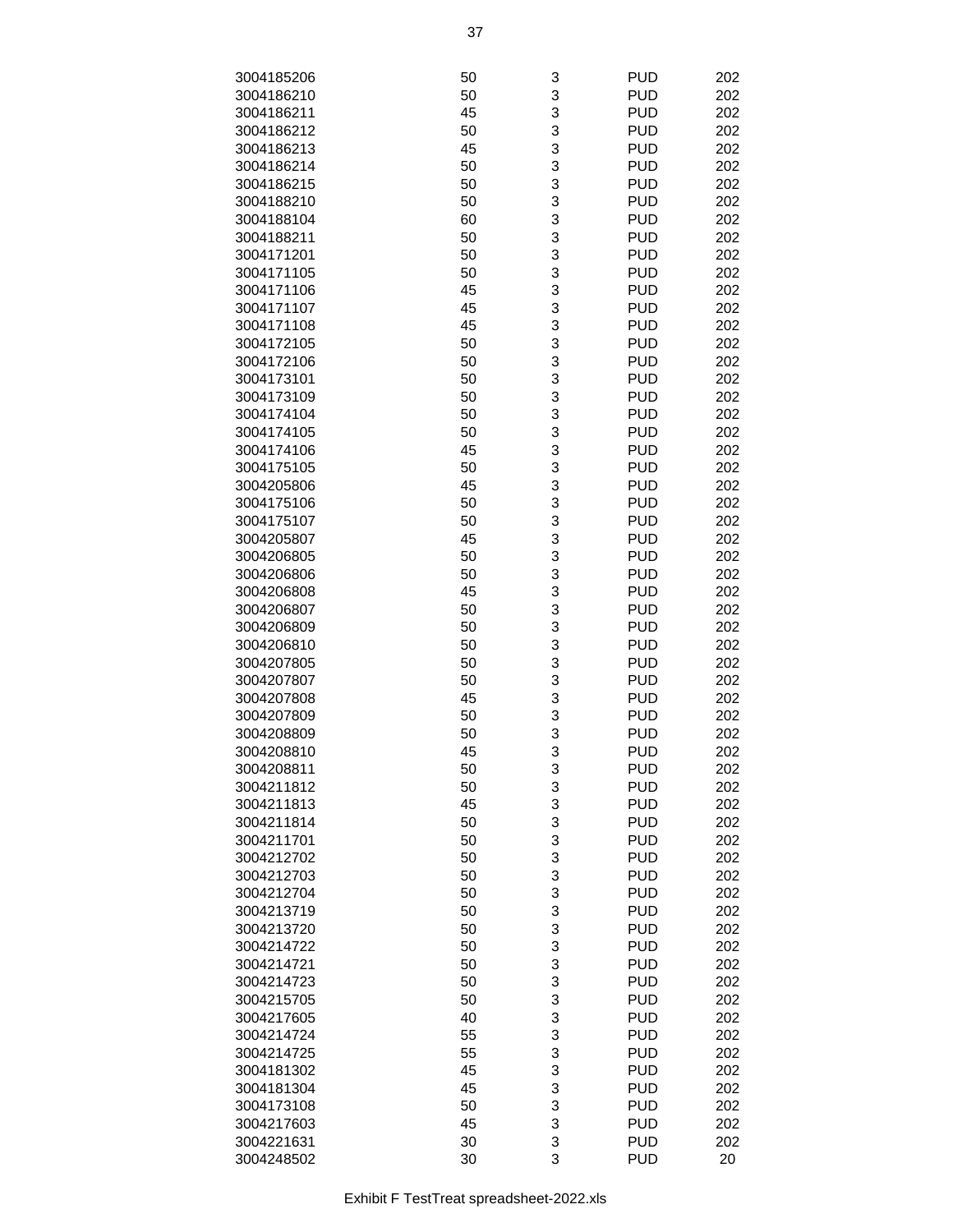| 3004185206 | 50 | 3      | <b>PUD</b> | 202 |
|------------|----|--------|------------|-----|
| 3004186210 | 50 | 3      | <b>PUD</b> | 202 |
| 3004186211 | 45 | 3      | <b>PUD</b> | 202 |
| 3004186212 | 50 | 3      | <b>PUD</b> | 202 |
| 3004186213 | 45 | 3      | <b>PUD</b> | 202 |
| 3004186214 | 50 | 3      | <b>PUD</b> | 202 |
| 3004186215 | 50 | 3      | <b>PUD</b> | 202 |
| 3004188210 | 50 | 3      | <b>PUD</b> | 202 |
| 3004188104 | 60 | 3      | <b>PUD</b> | 202 |
| 3004188211 | 50 | 3      | <b>PUD</b> | 202 |
| 3004171201 | 50 | 3      | <b>PUD</b> | 202 |
| 3004171105 | 50 | 3      | <b>PUD</b> | 202 |
|            |    |        | <b>PUD</b> | 202 |
| 3004171106 | 45 | 3<br>3 |            |     |
| 3004171107 | 45 |        | <b>PUD</b> | 202 |
| 3004171108 | 45 | 3      | <b>PUD</b> | 202 |
| 3004172105 | 50 | 3      | <b>PUD</b> | 202 |
| 3004172106 | 50 | 3      | <b>PUD</b> | 202 |
| 3004173101 | 50 | 3      | <b>PUD</b> | 202 |
| 3004173109 | 50 | 3      | <b>PUD</b> | 202 |
| 3004174104 | 50 | 3      | <b>PUD</b> | 202 |
| 3004174105 | 50 | 3      | <b>PUD</b> | 202 |
| 3004174106 | 45 | 3      | <b>PUD</b> | 202 |
| 3004175105 | 50 | 3      | <b>PUD</b> | 202 |
| 3004205806 | 45 | 3      | <b>PUD</b> | 202 |
| 3004175106 | 50 | 3      | <b>PUD</b> | 202 |
| 3004175107 | 50 | 3      | <b>PUD</b> | 202 |
| 3004205807 | 45 | 3      | <b>PUD</b> | 202 |
| 3004206805 | 50 | 3      | <b>PUD</b> | 202 |
| 3004206806 | 50 | 3      | <b>PUD</b> | 202 |
| 3004206808 | 45 | 3      | <b>PUD</b> | 202 |
| 3004206807 | 50 | 3      | <b>PUD</b> | 202 |
| 3004206809 | 50 | 3      | <b>PUD</b> | 202 |
| 3004206810 | 50 | 3      | <b>PUD</b> | 202 |
| 3004207805 | 50 | 3      | <b>PUD</b> | 202 |
| 3004207807 | 50 | 3      | <b>PUD</b> | 202 |
| 3004207808 | 45 | 3      | <b>PUD</b> | 202 |
| 3004207809 | 50 | 3      | <b>PUD</b> | 202 |
| 3004208809 | 50 | 3      | <b>PUD</b> | 202 |
| 3004208810 | 45 | 3      | <b>PUD</b> | 202 |
| 3004208811 | 50 | 3      | <b>PUD</b> | 202 |
| 3004211812 | 50 | 3      | <b>PUD</b> | 202 |
| 3004211813 | 45 | 3      | <b>PUD</b> | 202 |
| 3004211814 | 50 | 3      | <b>PUD</b> | 202 |
| 3004211701 | 50 | 3      | <b>PUD</b> | 202 |
| 3004212702 | 50 | 3      | <b>PUD</b> | 202 |
| 3004212703 | 50 | 3      | <b>PUD</b> | 202 |
| 3004212704 | 50 | 3      | <b>PUD</b> | 202 |
| 3004213719 | 50 | 3      | <b>PUD</b> | 202 |
| 3004213720 | 50 | 3      | <b>PUD</b> | 202 |
| 3004214722 | 50 | 3      | <b>PUD</b> | 202 |
|            | 50 | 3      | <b>PUD</b> |     |
| 3004214721 |    | 3      |            | 202 |
| 3004214723 | 50 |        | <b>PUD</b> | 202 |
| 3004215705 | 50 | 3      | <b>PUD</b> | 202 |
| 3004217605 | 40 | 3      | <b>PUD</b> | 202 |
| 3004214724 | 55 | 3      | <b>PUD</b> | 202 |
| 3004214725 | 55 | 3      | <b>PUD</b> | 202 |
| 3004181302 | 45 | 3      | <b>PUD</b> | 202 |
| 3004181304 | 45 | 3      | <b>PUD</b> | 202 |
| 3004173108 | 50 | 3      | <b>PUD</b> | 202 |
| 3004217603 | 45 | 3      | <b>PUD</b> | 202 |
| 3004221631 | 30 | 3      | <b>PUD</b> | 202 |
| 3004248502 | 30 | 3      | <b>PUD</b> | 20  |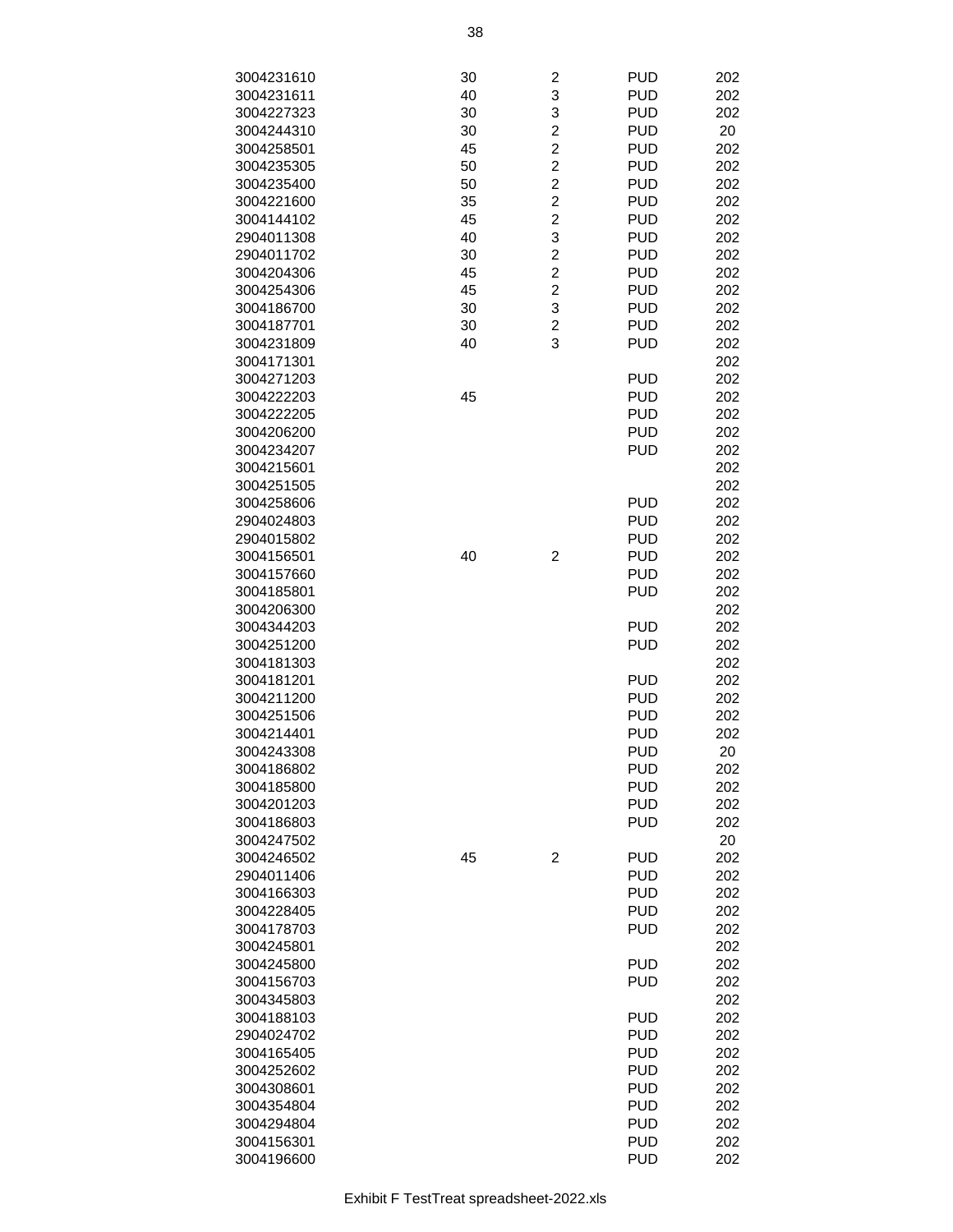| 3004231610 | 30 | 2                       | <b>PUD</b> | 202 |
|------------|----|-------------------------|------------|-----|
| 3004231611 | 40 | 3                       | <b>PUD</b> | 202 |
| 3004227323 | 30 | 3                       | <b>PUD</b> | 202 |
| 3004244310 | 30 | $\overline{\mathbf{c}}$ | <b>PUD</b> | 20  |
| 3004258501 | 45 | $\overline{2}$          | <b>PUD</b> | 202 |
| 3004235305 | 50 | $\overline{c}$          | <b>PUD</b> | 202 |
| 3004235400 | 50 | $\overline{c}$          | <b>PUD</b> | 202 |
| 3004221600 | 35 | $\overline{c}$          | <b>PUD</b> | 202 |
| 3004144102 | 45 | $\overline{c}$          | <b>PUD</b> | 202 |
| 2904011308 | 40 | 3                       | <b>PUD</b> | 202 |
| 2904011702 | 30 | $\overline{\mathbf{c}}$ | <b>PUD</b> | 202 |
| 3004204306 | 45 | $\overline{\mathbf{c}}$ | <b>PUD</b> | 202 |
| 3004254306 | 45 | $\overline{c}$          | <b>PUD</b> | 202 |
| 3004186700 | 30 | 3                       | <b>PUD</b> | 202 |
| 3004187701 | 30 | $\overline{c}$          | <b>PUD</b> | 202 |
| 3004231809 | 40 | 3                       | <b>PUD</b> | 202 |
| 3004171301 |    |                         |            | 202 |
| 3004271203 |    |                         | <b>PUD</b> | 202 |
| 3004222203 | 45 |                         | <b>PUD</b> | 202 |
| 3004222205 |    |                         | <b>PUD</b> | 202 |
| 3004206200 |    |                         | <b>PUD</b> | 202 |
| 3004234207 |    |                         | <b>PUD</b> | 202 |
| 3004215601 |    |                         |            | 202 |
| 3004251505 |    |                         |            | 202 |
| 3004258606 |    |                         | <b>PUD</b> | 202 |
| 2904024803 |    |                         | <b>PUD</b> | 202 |
| 2904015802 |    |                         | <b>PUD</b> | 202 |
| 3004156501 | 40 | $\overline{c}$          | <b>PUD</b> | 202 |
| 3004157660 |    |                         | <b>PUD</b> | 202 |
| 3004185801 |    |                         | <b>PUD</b> | 202 |
| 3004206300 |    |                         |            | 202 |
| 3004344203 |    |                         | <b>PUD</b> | 202 |
| 3004251200 |    |                         | <b>PUD</b> | 202 |
| 3004181303 |    |                         |            | 202 |
| 3004181201 |    |                         | <b>PUD</b> | 202 |
| 3004211200 |    |                         | <b>PUD</b> | 202 |
| 3004251506 |    |                         | <b>PUD</b> | 202 |
| 3004214401 |    |                         | <b>PUD</b> | 202 |
| 3004243308 |    |                         | <b>PUD</b> | 20  |
| 3004186802 |    |                         | <b>PUD</b> | 202 |
| 3004185800 |    |                         | <b>PUD</b> | 202 |
| 3004201203 |    |                         | <b>PUD</b> | 202 |
| 3004186803 |    |                         | <b>PUD</b> | 202 |
| 3004247502 |    |                         |            | 20  |
| 3004246502 | 45 | $\overline{c}$          | <b>PUD</b> | 202 |
| 2904011406 |    |                         | <b>PUD</b> | 202 |
| 3004166303 |    |                         | <b>PUD</b> | 202 |
| 3004228405 |    |                         | <b>PUD</b> | 202 |
| 3004178703 |    |                         | <b>PUD</b> | 202 |
| 3004245801 |    |                         |            | 202 |
| 3004245800 |    |                         | <b>PUD</b> | 202 |
| 3004156703 |    |                         | <b>PUD</b> | 202 |
| 3004345803 |    |                         |            | 202 |
| 3004188103 |    |                         | <b>PUD</b> | 202 |
| 2904024702 |    |                         | <b>PUD</b> | 202 |
| 3004165405 |    |                         | <b>PUD</b> | 202 |
| 3004252602 |    |                         | <b>PUD</b> | 202 |
| 3004308601 |    |                         | <b>PUD</b> | 202 |
| 3004354804 |    |                         | <b>PUD</b> | 202 |
| 3004294804 |    |                         | <b>PUD</b> | 202 |
| 3004156301 |    |                         | <b>PUD</b> | 202 |
| 3004196600 |    |                         | <b>PUD</b> | 202 |